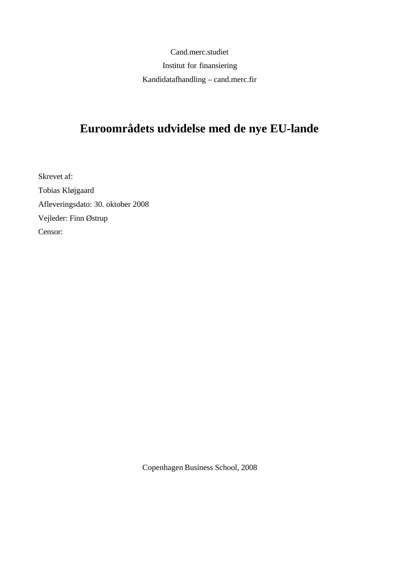Cand.merc.studiet Institut for finansiering Kandidatafhandling – cand.merc.fir

# **Euroområdets udvidelse med de nye EU-lande**

Skrevet af: Tobias Kløjgaard Afleveringsdato: 30. oktober 2008 Vejleder: Finn Østrup Censor:

Copenhagen Business School, 2008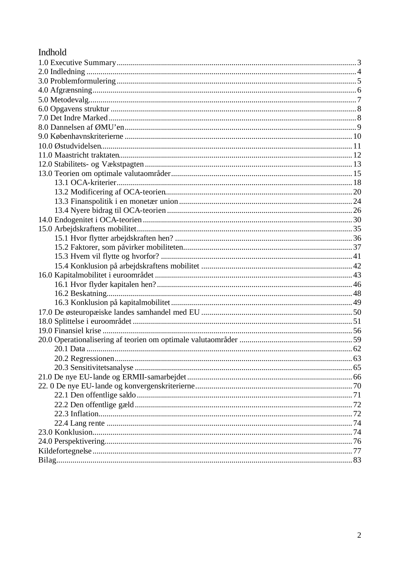# Indhold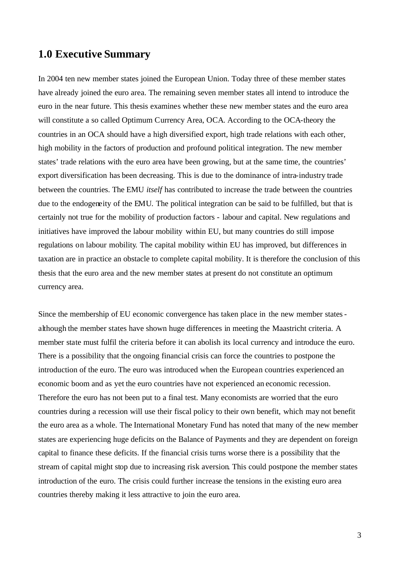#### **1.0 Executive Summary**

In 2004 ten new member states joined the European Union. Today three of these member states have already joined the euro area. The remaining seven member states all intend to introduce the euro in the near future. This thesis examines whether these new member states and the euro area will constitute a so called Optimum Currency Area, OCA. According to the OCA-theory the countries in an OCA should have a high diversified export, high trade relations with each other, high mobility in the factors of production and profound political integration. The new member states' trade relations with the euro area have been growing, but at the same time, the countries' export diversification has been decreasing. This is due to the dominance of intra-industry trade between the countries. The EMU *itself* has contributed to increase the trade between the countries due to the endogeneity of the EMU. The political integration can be said to be fulfilled, but that is certainly not true for the mobility of production factors - labour and capital. New regulations and initiatives have improved the labour mobility within EU, but many countries do still impose regulations on labour mobility. The capital mobility within EU has improved, but differences in taxation are in practice an obstacle to complete capital mobility. It is therefore the conclusion of this thesis that the euro area and the new member states at present do not constitute an optimum currency area.

Since the membership of EU economic convergence has taken place in the new member statesalthough the member states have shown huge differences in meeting the Maastricht criteria. A member state must fulfil the criteria before it can abolish its local currency and introduce the euro. There is a possibility that the ongoing financial crisis can force the countries to postpone the introduction of the euro. The euro was introduced when the European countries experienced an economic boom and as yet the euro countries have not experienced an economic recession. Therefore the euro has not been put to a final test. Many economists are worried that the euro countries during a recession will use their fiscal policy to their own benefit, which may not benefit the euro area as a whole. The International Monetary Fund has noted that many of the new member states are experiencing huge deficits on the Balance of Payments and they are dependent on foreign capital to finance these deficits. If the financial crisis turns worse there is a possibility that the stream of capital might stop due to increasing risk aversion. This could postpone the member states introduction of the euro. The crisis could further increase the tensions in the existing euro area countries thereby making it less attractive to join the euro area.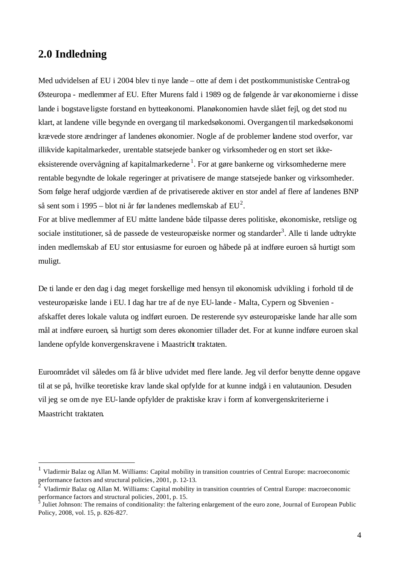#### **2.0 Indledning**

l

Med udvidelsen af EU i 2004 blev ti nye lande – otte af dem i det postkommunistiske Central-og Østeuropa - medlemmer af EU. Efter Murens fald i 1989 og de følgende år var økonomierne i disse lande i bogstave ligste forstand en bytteøkonomi. Planøkonomien havde slået fejl, og det stod nu klart, at landene ville begynde en overgang til markedsøkonomi. Overgangen til markedsøkonomi krævede store ændringer af landenes økonomier. Nogle af de problemer landene stod overfor, var illikvide kapitalmarkeder, urentable statsejede banker og virksomheder og en stort set ikkeeksisterende overvågning af kapitalmarkederne<sup>1</sup>. For at gøre bankerne og virksomhederne mere rentable begyndte de lokale regeringer at privatisere de mange statsejede banker og virksomheder. Som følge heraf udgjorde værdien af de privatiserede aktiver en stor andel af flere af landenes BNP så sent som i 1995 – blot ni år før landenes medlemskab af  $EU^2$ .

For at blive medlemmer af EU måtte landene både tilpasse deres politiske, økonomiske, retslige og sociale institutioner, så de passede de vesteuropæiske normer og standarder<sup>3</sup>. Alle ti lande udtrykte inden medlemskab af EU stor entusiasme for euroen og håbede på at indføre euroen så hurtigt som muligt.

De ti lande er den dag i dag meget forskellige med hensyn til økonomisk udvikling i forhold til de vesteuropæiske lande i EU. I dag har tre af de nye EU-lande - Malta, Cypern og Sbvenien afskaffet deres lokale valuta og indført euroen. De resterende syv østeuropæiske lande har alle som mål at indføre euroen, så hurtigt som deres økonomier tillader det. For at kunne indføre euroen skal landene opfylde konvergenskravene i Maastricht traktaten.

Euroområdet vil således om få år blive udvidet med flere lande. Jeg vil derfor benytte denne opgave til at se på, hvilke teoretiske krav lande skal opfylde for at kunne indgå i en valutaunion. Desuden vil jeg se omde nye EU-lande opfylder de praktiske krav i form af konvergenskriterierne i Maastricht traktaten.

 $<sup>1</sup>$  Vladirmir Balaz og Allan M. Williams: Capital mobility in transition countries of Central Europe: macroeconomic</sup> performance factors and structural policies, 2001, p. 12-13.

<sup>2</sup> Vladirmir Balaz og Allan M. Williams: Capital mobility in transition countries of Central Europe: macroeconomic performance factors and structural policies, 2001, p. 15.<br><sup>3</sup> Juliet Johnson: The remains of conditionality the falte

Juliet Johnson: The remains of conditionality: the faltering enlargement of the euro zone, Journal of European Public Policy, 2008, vol. 15, p. 826-827.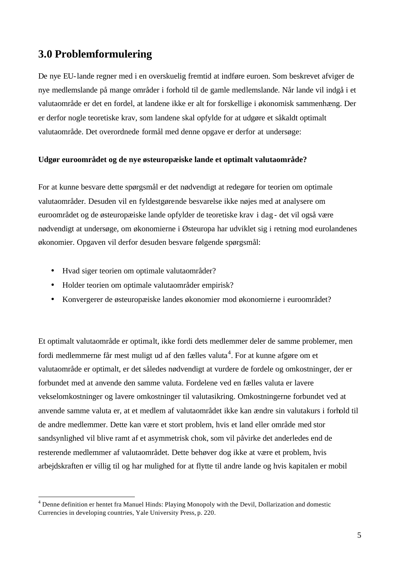# **3.0 Problemformulering**

De nye EU-lande regner med i en overskuelig fremtid at indføre euroen. Som beskrevet afviger de nye medlemslande på mange områder i forhold til de gamle medlemslande. Når lande vil indgå i et valutaområde er det en fordel, at landene ikke er alt for forskellige i økonomisk sammenhæng. Der er derfor nogle teoretiske krav, som landene skal opfylde for at udgøre et såkaldt optimalt valutaområde. Det overordnede formål med denne opgave er derfor at undersøge:

#### **Udgør euroområdet og de nye østeuropæiske lande et optimalt valutaområde?**

For at kunne besvare dette spørgsmål er det nødvendigt at redegøre for teorien om optimale valutaområder. Desuden vil en fyldestgørende besvarelse ikke nøjes med at analysere om euroområdet og de østeuropæiske lande opfylder de teoretiske krav i dag - det vil også være nødvendigt at undersøge, om økonomierne i Østeuropa har udviklet sig i retning mod eurolandenes økonomier. Opgaven vil derfor desuden besvare følgende spørgsmål:

• Hvad siger teorien om optimale valutaområder?

l

- Holder teorien om optimale valutaområder empirisk?
- Konvergerer de østeuropæiske landes økonomier mod økonomierne i euroområdet?

Et optimalt valutaområde er optimalt, ikke fordi dets medlemmer deler de samme problemer, men fordi medlemmerne får mest muligt ud af den fælles valuta<sup>4</sup>. For at kunne afgøre om et valutaområde er optimalt, er det således nødvendigt at vurdere de fordele og omkostninger, der er forbundet med at anvende den samme valuta. Fordelene ved en fælles valuta er lavere vekselomkostninger og lavere omkostninger til valutasikring. Omkostningerne forbundet ved at anvende samme valuta er, at et medlem af valutaområdet ikke kan ændre sin valutakurs i forhold til de andre medlemmer. Dette kan være et stort problem, hvis et land eller område med stor sandsynlighed vil blive ramt af et asymmetrisk chok, som vil påvirke det anderledes end de resterende medlemmer af valutaområdet. Dette behøver dog ikke at være et problem, hvis arbejdskraften er villig til og har mulighed for at flytte til andre lande og hvis kapitalen er mobil

<sup>4</sup> Denne definition er hentet fra Manuel Hinds: Playing Monopoly with the Devil, Dollarization and domestic Currencies in developing countries, Yale University Press, p. 220.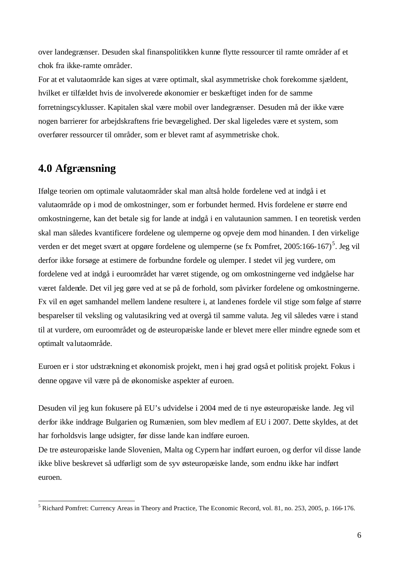over landegrænser. Desuden skal finanspolitikken kunne flytte ressourcer til ramte områder af et chok fra ikke-ramte områder.

For at et valutaområde kan siges at være optimalt, skal asymmetriske chok forekomme sjældent, hvilket er tilfældet hvis de involverede økonomier er beskæftiget inden for de samme forretningscyklusser. Kapitalen skal være mobil over landegrænser. Desuden må der ikke være nogen barrierer for arbejdskraftens frie bevægelighed. Der skal ligeledes være et system, som overfører ressourcer til områder, som er blevet ramt af asymmetriske chok.

# **4.0 Afgrænsning**

 $\overline{\phantom{a}}$ 

Ifølge teorien om optimale valutaområder skal man altså holde fordelene ved at indgå i et valutaområde op i mod de omkostninger, som er forbundet hermed. Hvis fordelene er større end omkostningerne, kan det betale sig for lande at indgå i en valutaunion sammen. I en teoretisk verden skal man således kvantificere fordelene og ulemperne og opveje dem mod hinanden. I den virkelige verden er det meget svært at opgøre fordelene og ulemperne (se fx Pomfret, 2005:166-167)<sup>5</sup>. Jeg vil derfor ikke forsøge at estimere de forbundne fordele og ulemper. I stedet vil jeg vurdere, om fordelene ved at indgå i euroområdet har været stigende, og om omkostningerne ved indgåelse har været faldende. Det vil jeg gøre ved at se på de forhold, som påvirker fordelene og omkostningerne. Fx vil en øget samhandel mellem landene resultere i, at landenes fordele vil stige som følge af større besparelser til veksling og valutasikring ved at overgå til samme valuta. Jeg vil således være i stand til at vurdere, om euroområdet og de østeuropæiske lande er blevet mere eller mindre egnede som et optimalt valutaområde.

Euroen er i stor udstrækning et økonomisk projekt, men i høj grad også et politisk projekt. Fokus i denne opgave vil være på de økonomiske aspekter af euroen.

Desuden vil jeg kun fokusere på EU's udvidelse i 2004 med de ti nye østeuropæiske lande. Jeg vil derfor ikke inddrage Bulgarien og Rumænien, som blev medlem af EU i 2007. Dette skyldes, at det har forholdsvis lange udsigter, før disse lande kan indføre euroen.

De tre østeuropæiske lande Slovenien, Malta og Cypern har indført euroen, og derfor vil disse lande ikke blive beskrevet så udførligt som de syv østeuropæiske lande, som endnu ikke har indført euroen.

 $<sup>5</sup>$  Richard Pomfret: Currency Areas in Theory and Practice, The Economic Record, vol. 81, no. 253, 2005, p. 166-176.</sup>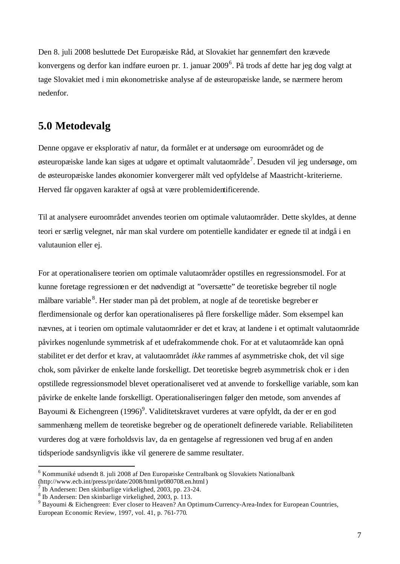Den 8. juli 2008 besluttede Det Europæiske Råd, at Slovakiet har gennemført den krævede konvergens og derfor kan indføre euroen pr. 1. januar 2009<sup>6</sup>. På trods af dette har jeg dog valgt at tage Slovakiet med i min økonometriske analyse af de østeuropæiske lande, se nærmere herom nedenfor.

## **5.0 Metodevalg**

Denne opgave er eksplorativ af natur, da formålet er at undersøge om euroområdet og de østeuropæiske lande kan siges at udgøre et optimalt valutaområde<sup>7</sup>. Desuden vil jeg undersøge, om de østeuropæiske landes økonomier konvergerer målt ved opfyldelse af Maastricht-kriterierne. Herved får opgaven karakter af også at være problemidentificerende.

Til at analysere euroområdet anvendes teorien om optimale valutaområder. Dette skyldes, at denne teori er særlig velegnet, når man skal vurdere om potentielle kandidater er egnede til at indgå i en valutaunion eller ej.

For at operationalisere teorien om optimale valutaområder opstilles en regressionsmodel. For at kunne foretage regressionen er det nødvendigt at "oversætte" de teoretiske begreber til nogle målbare variable <sup>8</sup>. Her støder man på det problem, at nogle af de teoretiske begreber er flerdimensionale og derfor kan operationaliseres på flere forskellige måder. Som eksempel kan nævnes, at i teorien om optimale valutaområder er det et krav, at landene i et optimalt valutaområde påvirkes nogenlunde symmetrisk af et udefrakommende chok. For at et valutaområde kan opnå stabilitet er det derfor et krav, at valutaområdet *ikke* rammes af asymmetriske chok, det vil sige chok, som påvirker de enkelte lande forskelligt. Det teoretiske begreb asymmetrisk chok er i den opstillede regressionsmodel blevet operationaliseret ved at anvende to forskellige variable, som kan påvirke de enkelte lande forskelligt. Operationaliseringen følger den metode, som anvendes af Bayoumi & Eichengreen (1996)<sup>9</sup>. Validitetskravet vurderes at være opfyldt, da der er en god sammenhæng mellem de teoretiske begreber og de operationelt definerede variable. Reliabiliteten vurderes dog at være forholdsvis lav, da en gentagelse af regressionen ved brug af en anden tidsperiode sandsynligvis ikke vil generere de samme resultater.

<sup>6</sup> Kommuniké udsendt 8. juli 2008 af Den Europæiske Centralbank og Slovakiets Nationalbank (http://www.ecb.int/press/pr/date/2008/html/pr080708.en.html)

<sup>7</sup> Ib Andersen: Den skinbarlige virkelighed, 2003, pp. 23-24.

<sup>8</sup> Ib Andersen: Den skinbarlige virkelighed, 2003, p. 113.

<sup>&</sup>lt;sup>9</sup> Bayoumi & Eichengreen: Ever closer to Heaven? An Optimum-Currency-Area-Index for European Countries, European Economic Review, 1997, vol. 41, p. 761-770.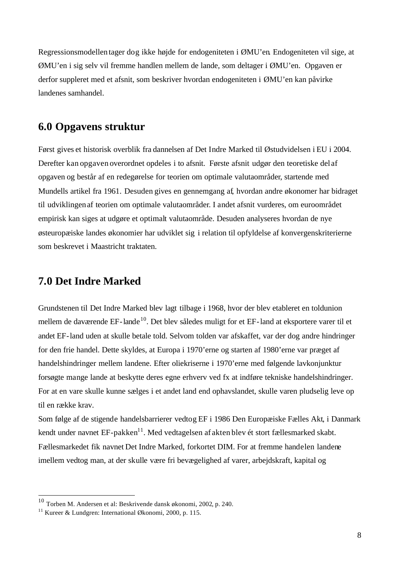Regressionsmodellen tager dog ikke højde for endogeniteten i ØMU'en. Endogeniteten vil sige, at ØMU'en i sig selv vil fremme handlen mellem de lande, som deltager i ØMU'en. Opgaven er derfor suppleret med et afsnit, som beskriver hvordan endogeniteten i ØMU'en kan påvirke landenes samhandel.

## **6.0 Opgavens struktur**

Først gives et historisk overblik fra dannelsen af Det Indre Marked til Østudvidelsen i EU i 2004. Derefter kan opgaven overordnet opdeles i to afsnit. Første afsnit udgør den teoretiske del af opgaven og består af en redegørelse for teorien om optimale valutaområder, startende med Mundells artikel fra 1961. Desuden gives en gennemgang af, hvordan andre økonomer har bidraget til udviklingen af teorien om optimale valutaområder. I andet afsnit vurderes, om euroområdet empirisk kan siges at udgøre et optimalt valutaområde. Desuden analyseres hvordan de nye østeuropæiske landes økonomier har udviklet sig i relation til opfyldelse af konvergenskriterierne som beskrevet i Maastricht traktaten.

# **7.0 Det Indre Marked**

Grundstenen til Det Indre Marked blev lagt tilbage i 1968, hvor der blev etableret en toldunion mellem de daværende EF-lande<sup>10</sup>. Det blev således muligt for et EF-land at eksportere varer til et andet EF-land uden at skulle betale told. Selvom tolden var afskaffet, var der dog andre hindringer for den frie handel. Dette skyldes, at Europa i 1970'erne og starten af 1980'erne var præget af handelshindringer mellem landene. Efter oliekriserne i 1970'erne med følgende lavkonjunktur forsøgte mange lande at beskytte deres egne erhverv ved fx at indføre tekniske handelshindringer. For at en vare skulle kunne sælges i et andet land end ophavslandet, skulle varen pludselig leve op til en række krav.

Som følge af de stigende handelsbarrierer vedtog EF i 1986 Den Europæiske Fælles Akt, i Danmark kendt under navnet  $EF$ -pakken<sup>11</sup>. Med vedtagelsen af akten blev ét stort fællesmarked skabt. Fællesmarkedet fik navnet Det Indre Marked, forkortet DIM. For at fremme handelen landene imellem vedtog man, at der skulle være fri bevægelighed af varer, arbejdskraft, kapital og

 $10$  Torben M. Andersen et al: Beskrivende dansk økonomi, 2002, p. 240.

<sup>&</sup>lt;sup>11</sup> Kureer & Lundgren: International Økonomi, 2000, p. 115.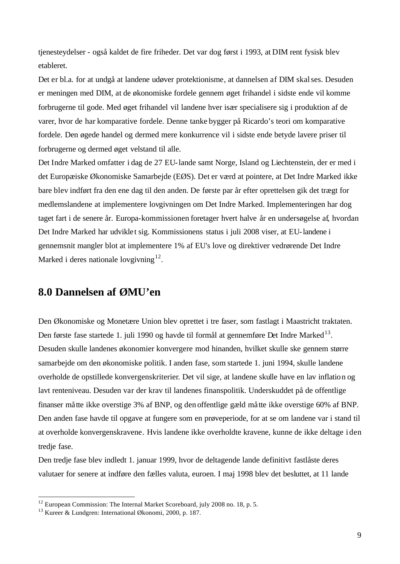tjenesteydelser - også kaldet de fire friheder. Det var dog først i 1993, at DIM rent fysisk blev etableret.

Det er bl.a. for at undgå at landene udøver protektionisme, at dannelsen af DIM skalses. Desuden er meningen med DIM, at de økonomiske fordele gennem øget frihandel i sidste ende vil komme forbrugerne til gode. Med øget frihandel vil landene hver især specialisere sig i produktion af de varer, hvor de har komparative fordele. Denne tanke bygger på Ricardo's teori om komparative fordele. Den øgede handel og dermed mere konkurrence vil i sidste ende betyde lavere priser til forbrugerne og dermed øget velstand til alle.

Det Indre Marked omfatter i dag de 27 EU-lande samt Norge, Island og Liechtenstein, der er med i det Europæiske Økonomiske Samarbejde (EØS). Det er værd at pointere, at Det Indre Marked ikke bare blev indført fra den ene dag til den anden. De første par år efter oprettelsen gik det trægt for medlemslandene at implementere lovgivningen om Det Indre Marked. Implementeringen har dog taget fart i de senere år. Europa-kommissionen foretager hvert halve år en undersøgelse af, hvordan Det Indre Marked har udviklet sig. Kommissionens status i juli 2008 viser, at EU-landene i gennemsnit mangler blot at implementere 1% af EU's love og direktiver vedrørende Det Indre Marked i deres nationale lovgivning<sup>12</sup>.

# **8.0 Dannelsen af ØMU'en**

Den Økonomiske og Monetære Union blev oprettet i tre faser, som fastlagt i Maastricht traktaten. Den første fase startede 1. juli 1990 og havde til formål at gennemføre Det Indre Marked<sup>13</sup>. Desuden skulle landenes økonomier konvergere mod hinanden, hvilket skulle ske gennem større samarbejde om den økonomiske politik. I anden fase, som startede 1. juni 1994, skulle landene overholde de opstillede konvergenskriterier. Det vil sige, at landene skulle have en lav inflation og lavt renteniveau. Desuden var der krav til landenes finanspolitik. Underskuddet på de offentlige finanser måtte ikke overstige 3% af BNP, og den offentlige gæld må tte ikke overstige 60% af BNP. Den anden fase havde til opgave at fungere som en prøveperiode, for at se om landene var i stand til at overholde konvergenskravene. Hvis landene ikke overholdte kravene, kunne de ikke deltage i den tredje fase.

Den tredje fase blev indledt 1. januar 1999, hvor de deltagende lande definitivt fastlåste deres valutaer for senere at indføre den fælles valuta, euroen. I maj 1998 blev det besluttet, at 11 lande

 $12$  European Commission: The Internal Market Scoreboard, july 2008 no. 18, p. 5.

<sup>13</sup> Kureer & Lundgren: International Økonomi, 2000, p. 187.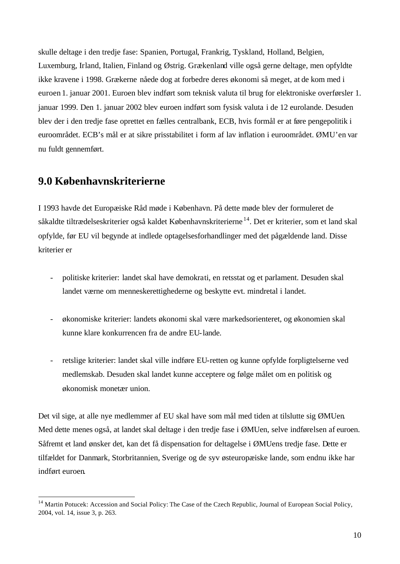skulle deltage i den tredje fase: Spanien, Portugal, Frankrig, Tyskland, Holland, Belgien, Luxemburg, Irland, Italien, Finland og Østrig. Grækenland ville også gerne deltage, men opfyldte ikke kravene i 1998. Grækerne nåede dog at forbedre deres økonomi så meget, at de kom med i euroen 1. januar 2001. Euroen blev indført som teknisk valuta til brug for elektroniske overførsler 1. januar 1999. Den 1. januar 2002 blev euroen indført som fysisk valuta i de 12 eurolande. Desuden blev der i den tredje fase oprettet en fælles centralbank, ECB, hvis formål er at føre pengepolitik i euroområdet. ECB's mål er at sikre prisstabilitet i form af lav inflation i euroområdet. ØMU'en var nu fuldt gennemført.

### **9.0 Københavnskriterierne**

l

I 1993 havde det Europæiske Råd møde i København. På dette møde blev der formuleret de såkaldte tiltrædelseskriterier også kaldet Københavnskriterierne <sup>14</sup>. Det er kriterier, som et land skal opfylde, før EU vil begynde at indlede optagelsesforhandlinger med det pågældende land. Disse kriterier er

- politiske kriterier: landet skal have demokrati, en retsstat og et parlament. Desuden skal landet værne om menneskerettighederne og beskytte evt. mindretal i landet.
- økonomiske kriterier: landets økonomi skal være markedsorienteret, og økonomien skal kunne klare konkurrencen fra de andre EU-lande.
- retslige kriterier: landet skal ville indføre EU-retten og kunne opfylde forpligtelserne ved medlemskab. Desuden skal landet kunne acceptere og følge målet om en politisk og økonomisk monetær union.

Det vil sige, at alle nye medlemmer af EU skal have som mål med tiden at tilslutte sig ØMUen. Med dette menes også, at landet skal deltage i den tredje fase i ØMUen, selve indførelsen af euroen. Såfremt et land ønsker det, kan det få dispensation for deltagelse i ØMUens tredje fase. Dette er tilfældet for Danmark, Storbritannien, Sverige og de syv østeuropæiske lande, som endnu ikke har indført euroen.

<sup>&</sup>lt;sup>14</sup> Martin Potucek: Accession and Social Policy: The Case of the Czech Republic, Journal of European Social Policy, 2004, vol. 14, issue 3, p. 263.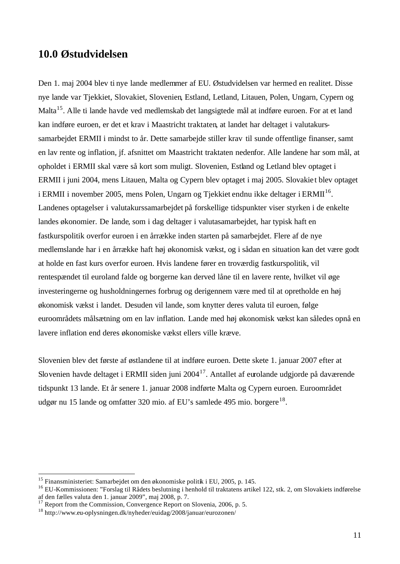#### **10.0 Østudvidelsen**

Den 1. maj 2004 blev ti nye lande medlemmer af EU. Østudvidelsen var hermed en realitet. Disse nye lande var Tjekkiet, Slovakiet, Slovenien, Estland, Letland, Litauen, Polen, Ungarn, Cypern og Malta<sup>15</sup>. Alle ti lande havde ved medlemskab det langsigtede mål at indføre euroen. For at et land kan indføre euroen, er det et krav i Maastricht traktaten, at landet har deltaget i valutakurssamarbejdet ERMII i mindst to år. Dette samarbejde stiller krav til sunde offentlige finanser, samt en lav rente og inflation, jf. afsnittet om Maastricht traktaten nedenfor. Alle landene har som mål, at opholdet i ERMII skal være så kort som muligt. Slovenien, Estland og Letland blev optaget i ERMII i juni 2004, mens Litauen, Malta og Cypern blev optaget i maj 2005. Slovakie t blev optaget i ERMII i november 2005, mens Polen, Ungarn og Tjekkiet endnu ikke deltager i ERMII<sup>16</sup>. Landenes optagelser i valutakurssamarbejdet på forskellige tidspunkter viser styrken i de enkelte landes økonomier. De lande, som i dag deltager i valutasamarbejdet, har typisk haft en fastkurspolitik overfor euroen i en årrække inden starten på samarbejdet. Flere af de nye medlemslande har i en årrække haft høj økonomisk vækst, og i sådan en situation kan det være godt at holde en fast kurs overfor euroen. Hvis landene fører en troværdig fastkurspolitik, vil rentespændet til euroland falde og borgerne kan derved låne til en lavere rente, hvilket vil øge investeringerne og husholdningernes forbrug og derigennem være med til at opretholde en høj økonomisk vækst i landet. Desuden vil lande, som knytter deres valuta til euroen, følge euroområdets målsætning om en lav inflation. Lande med høj økonomisk vækst kan således opnå en lavere inflation end deres økonomiske vækst ellers ville kræve.

Slovenien blev det første af østlandene til at indføre euroen. Dette skete 1. januar 2007 efter at Slovenien havde deltaget i ERMII siden juni 2004<sup>17</sup>. Antallet af eurolande udgjorde på daværende tidspunkt 13 lande. Et år senere 1. januar 2008 indførte Malta og Cypern euroen. Euroområdet udgør nu 15 lande og omfatter 320 mio. af EU's samlede 495 mio. borgere<sup>18</sup>.

<sup>&</sup>lt;sup>15</sup> Finansministeriet: Samarbejdet om den økonomiske politik i EU, 2005, p. 145.

<sup>&</sup>lt;sup>16</sup> EU-Kommissionen: "Forslag til Rådets beslutning i henhold til traktatens artikel 122, stk. 2, om Slovakiets indførelse af den fælles valuta den 1. januar 2009", maj 2008, p. 7.

 $17$  Report from the Commission, Convergence Report on Slovenia, 2006, p. 5.

<sup>18</sup> http://www.eu-oplysningen.dk/nyheder/euidag/2008/januar/eurozonen/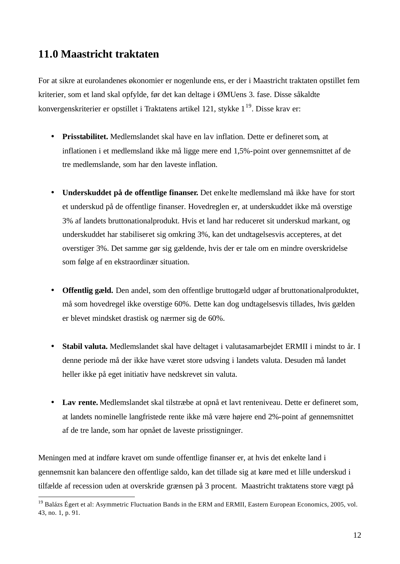# **11.0 Maastricht traktaten**

l

For at sikre at eurolandenes økonomier er nogenlunde ens, er der i Maastricht traktaten opstillet fem kriterier, som et land skal opfylde, før det kan deltage i ØMUens 3. fase. Disse såkaldte konvergenskriterier er opstillet i Traktatens artikel 121, stykke 1<sup>19</sup>. Disse krav er:

- **Prisstabilitet.** Medlemslandet skal have en lav inflation. Dette er defineret som, at inflationen i et medlemsland ikke må ligge mere end 1,5%-point over gennemsnittet af de tre medlemslande, som har den laveste inflation.
- **Underskuddet på de offentlige finanser.** Det enkelte medlemsland må ikke have for stort et underskud på de offentlige finanser. Hovedreglen er, at underskuddet ikke må overstige 3% af landets bruttonationalprodukt. Hvis et land har reduceret sit underskud markant, og underskuddet har stabiliseret sig omkring 3%, kan det undtagelsesvis accepteres, at det overstiger 3%. Det samme gør sig gældende, hvis der er tale om en mindre overskridelse som følge af en ekstraordinær situation.
- **Offentlig gæld.** Den andel, som den offentlige bruttogæld udgør af bruttonationalproduktet, må som hovedregel ikke overstige 60%. Dette kan dog undtagelsesvis tillades, hvis gælden er blevet mindsket drastisk og nærmer sig de 60%.
- **Stabil valuta.** Medlemslandet skal have deltaget i valutasamarbejdet ERMII i mindst to år. I denne periode må der ikke have været store udsving i landets valuta. Desuden må landet heller ikke på eget initiativ have nedskrevet sin valuta.
- **Lav rente.** Medlemslandet skal tilstræbe at opnå et lavt renteniveau. Dette er defineret som, at landets nominelle langfristede rente ikke må være højere end 2%-point af gennemsnittet af de tre lande, som har opnået de laveste prisstigninger.

Meningen med at indføre kravet om sunde offentlige finanser er, at hvis det enkelte land i gennemsnit kan balancere den offentlige saldo, kan det tillade sig at køre med et lille underskud i tilfælde af recession uden at overskride grænsen på 3 procent. Maastricht traktatens store vægt på

<sup>&</sup>lt;sup>19</sup> Balázs Égert et al: Asymmetric Fluctuation Bands in the ERM and ERMII, Eastern European Economics, 2005, vol. 43, no. 1, p. 91.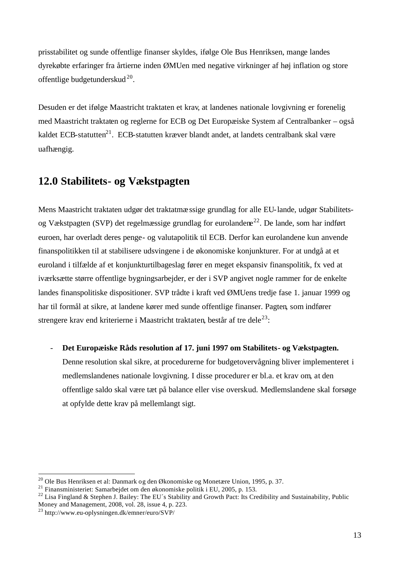prisstabilitet og sunde offentlige finanser skyldes, ifølge Ole Bus Henriksen, mange landes dyrekøbte erfaringer fra årtierne inden ØMUen med negative virkninger af høj inflation og store offentlige budgetunderskud $^{20}$ .

Desuden er det ifølge Maastricht traktaten et krav, at landenes nationale lovgivning er forenelig med Maastricht traktaten og reglerne for ECB og Det Europæiske System af Centralbanker – også kaldet ECB-statutten $^{21}$ . ECB-statutten kræver blandt andet, at landets centralbank skal være uafhængig.

# **12.0 Stabilitets- og Vækstpagten**

Mens Maastricht traktaten udgør det traktatmæssige grundlag for alle EU-lande, udgør Stabilitetsog Vækstpagten (SVP) det regelmæssige grundlag for eurolandene<sup>22</sup>. De lande, som har indført euroen, har overladt deres penge- og valutapolitik til ECB. Derfor kan eurolandene kun anvende finanspolitikken til at stabilisere udsvingene i de økonomiske konjunkturer. For at undgå at et euroland i tilfælde af et konjunkturtilbageslag fører en meget ekspansiv finanspolitik, fx ved at iværksætte større offentlige bygningsarbejder, er der i SVP angivet nogle rammer for de enkelte landes finanspolitiske dispositioner. SVP trådte i kraft ved ØMUens tredje fase 1. januar 1999 og har til formål at sikre, at landene kører med sunde offentlige finanser. Pagten, som indfører strengere krav end kriterierne i Maastricht traktaten, består af tre dele<sup>23</sup>:

#### - **Det Europæiske Råds resolution af 17. juni 1997 om Stabilitets- og Vækstpagten.**

Denne resolution skal sikre, at procedurerne for budgetovervågning bliver implementeret i medlemslandenes nationale lovgivning. I disse procedurer er bl.a. et krav om, at den offentlige saldo skal være tæt på balance eller vise overskud. Medlemslandene skal forsøge at opfylde dette krav på mellemlangt sigt.

<sup>&</sup>lt;sup>20</sup> Ole Bus Henriksen et al: Danmark og den Økonomiske og Monetære Union, 1995, p. 37.

<sup>21</sup> Finansministeriet: Samarbejdet om den økonomiske politik i EU, 2005, p. 153.

<sup>&</sup>lt;sup>22</sup> Lisa Fingland & Stephen J. Bailey: The EU's Stability and Growth Pact: Its Credibility and Sustainability, Public Money and Management, 2008, vol. 28, issue 4, p. 223.

<sup>23</sup> http://www.eu-oplysningen.dk/emner/euro/SVP/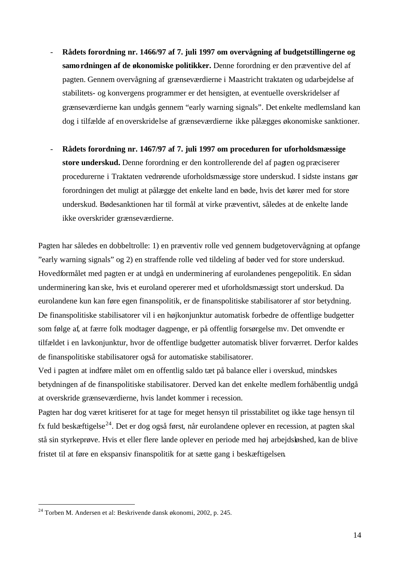- **Rådets forordning nr. 1466/97 af 7. juli 1997 om overvågning af budgetstillingerne og samordningen af de økonomiske politikker.** Denne forordning er den præventive del af pagten. Gennem overvågning af grænseværdierne i Maastricht traktaten og udarbejdelse af stabilitets- og konvergens programmer er det hensigten, at eventuelle overskridelser af grænseværdierne kan undgås gennem "early warning signals". Det enkelte medlemsland kan dog i tilfælde af enoverskridelse af grænseværdierne ikke pålægges økonomiske sanktioner.
- **Rådets forordning nr. 1467/97 af 7. juli 1997 om proceduren for uforholdsmæssige store underskud.** Denne forordning er den kontrollerende del af pagten og præciserer procedurerne i Traktaten vedrørende uforholdsmæssige store underskud. I sidste instans gør forordningen det muligt at pålægge det enkelte land en bøde, hvis det kører med for store underskud. Bødesanktionen har til formål at virke præventivt, således at de enkelte lande ikke overskrider grænseværdierne.

Pagten har således en dobbeltrolle: 1) en præventiv rolle ved gennem budgetovervågning at opfange "early warning signals" og 2) en straffende rolle ved tildeling af bøder ved for store underskud. Hovedformålet med pagten er at undgå en underminering af eurolandenes pengepolitik. En sådan underminering kan ske, hvis et euroland opererer med et uforholdsmæssigt stort underskud. Da eurolandene kun kan føre egen finanspolitik, er de finanspolitiske stabilisatorer af stor betydning. De finanspolitiske stabilisatorer vil i en højkonjunktur automatisk forbedre de offentlige budgetter som følge af, at færre folk modtager dagpenge, er på offentlig forsørgelse mv. Det omvendte er tilfældet i en lavkonjunktur, hvor de offentlige budgetter automatisk bliver forværret. Derfor kaldes de finanspolitiske stabilisatorer også for automatiske stabilisatorer.

Ved i pagten at indføre målet om en offentlig saldo tæt på balance eller i overskud, mindskes betydningen af de finanspolitiske stabilisatorer. Derved kan det enkelte medlem forhåbentlig undgå at overskride grænseværdierne, hvis landet kommer i recession.

Pagten har dog været kritiseret for at tage for meget hensyn til prisstabilitet og ikke tage hensyn til fx fuld beskæftigelse<sup>24</sup>. Det er dog også først, når eurolandene oplever en recession, at pagten skal stå sin styrkeprøve. Hvis et eller flere lande oplever en periode med høj arbejdsløshed, kan de blive fristet til at føre en ekspansiv finanspolitik for at sætte gang i beskæftigelsen.

<sup>24</sup> Torben M. Andersen et al: Beskrivende dansk økonomi, 2002, p. 245.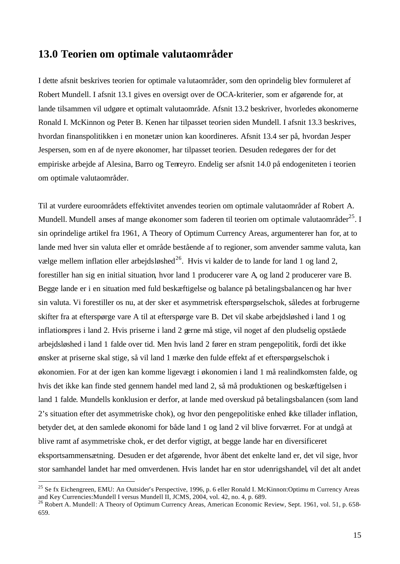#### **13.0 Teorien om optimale valutaområder**

I dette afsnit beskrives teorien for optimale va lutaområder, som den oprindelig blev formuleret af Robert Mundell. I afsnit 13.1 gives en oversigt over de OCA-kriterier, som er afgørende for, at lande tilsammen vil udgøre et optimalt valutaområde. Afsnit 13.2 beskriver, hvorledes økonomerne Ronald I. McKinnon og Peter B. Kenen har tilpasset teorien siden Mundell. I afsnit 13.3 beskrives, hvordan finanspolitikken i en monetær union kan koordineres. Afsnit 13.4 ser på, hvordan Jesper Jespersen, som en af de nyere økonomer, har tilpasset teorien. Desuden redegøres der for det empiriske arbejde af Alesina, Barro og Tenreyro. Endelig ser afsnit 14.0 på endogeniteten i teorien om optimale valutaområder.

Til at vurdere euroområdets effektivitet anvendes teorien om optimale valutaområder af Robert A. Mundell. Mundell anses af mange økonomer som faderen til teorien om optimale valutaområder<sup>25</sup>. I sin oprindelige artikel fra 1961, A Theory of Optimum Currency Areas, argumenterer han for, at to lande med hver sin valuta eller et område bestående af to regioner, som anvender samme valuta, kan vælge mellem inflation eller arbejdsløshed<sup>26</sup>. Hvis vi kalder de to lande for land 1 og land 2, forestiller han sig en initial situation, hvor land 1 producerer vare A, og land 2 producerer vare B. Begge lande er i en situation med fuld beskæftigelse og balance på betalingsbalancen og har hver sin valuta. Vi forestiller os nu, at der sker et asymmetrisk efterspørgselschok, således at forbrugerne skifter fra at efterspørge vare A til at efterspørge vare B. Det vil skabe arbejdsløshed i land 1 og inflationspres i land 2. Hvis priserne i land 2 gerne må stige, vil noget af den pludselig opståede arbejdsløshed i land 1 falde over tid. Men hvis land 2 fører en stram pengepolitik, fordi det ikke ønsker at priserne skal stige, så vil land 1 mærke den fulde effekt af et efterspørgselschok i økonomien. For at der igen kan komme ligevægt i økonomien i land 1 må realindkomsten falde, og hvis det ikke kan finde sted gennem handel med land 2, så må produktionen og beskæftigelsen i land 1 falde. Mundells konklusion er derfor, at lande med overskud på betalingsbalancen (som land 2's situation efter det asymmetriske chok), og hvor den pengepolitiske enhed ikke tillader inflation, betyder det, at den samlede økonomi for både land 1 og land 2 vil blive forværret. For at undgå at blive ramt af asymmetriske chok, er det derfor vigtigt, at begge lande har en diversificeret eksportsammensætning. Desuden er det afgørende, hvor åbent det enkelte land er, det vil sige, hvor stor samhandel landet har med omverdenen. Hvis landet har en stor udenrigshandel, vil det alt andet

<sup>&</sup>lt;sup>25</sup> Se fx Eichengreen, EMU: An Outsider's Perspective, 1996, p. 6 eller Ronald I. McKinnon:Optimu m Currency Areas and Key Currencies:Mundell I versus Mundell II, JCMS, 2004, vol. 42, no. 4, p. 689.

 $^{26}$  Robert A. Mundell: A Theory of Optimum Currency Areas, American Economic Review, Sept. 1961, vol. 51, p. 658-659.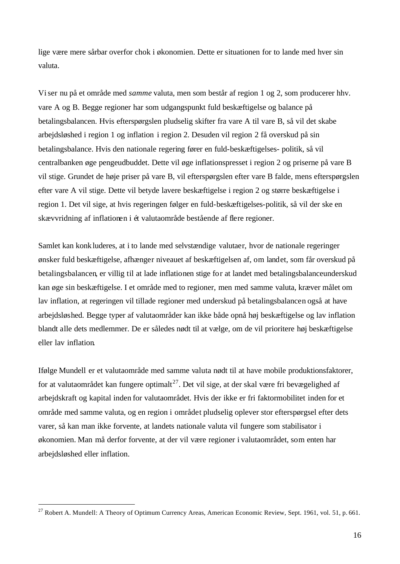lige være mere sårbar overfor chok i økonomien. Dette er situationen for to lande med hver sin valuta.

Viser nu på et område med *samme* valuta, men som består af region 1 og 2, som producerer hhv. vare A og B. Begge regioner har som udgangspunkt fuld beskæftigelse og balance på betalingsbalancen. Hvis efterspørgslen pludselig skifter fra vare A til vare B, så vil det skabe arbejdsløshed i region 1 og inflation i region 2. Desuden vil region 2 få overskud på sin betalingsbalance. Hvis den nationale regering fører en fuld-beskæftigelses- politik, så vil centralbanken øge pengeudbuddet. Dette vil øge inflationspresset i region 2 og priserne på vare B vil stige. Grundet de høje priser på vare B, vil efterspørgslen efter vare B falde, mens efterspørgslen efter vare A vil stige. Dette vil betyde lavere beskæftigelse i region 2 og større beskæftigelse i region 1. Det vil sige, at hvis regeringen følger en fuld-beskæftigelses-politik, så vil der ske en skævvridning af inflationen i ét valutaområde bestående af flere regioner.

Samlet kan konkluderes, at i to lande med selvstændige valutaer, hvor de nationale regeringer ønsker fuld beskæftigelse, afhænger niveauet af beskæftigelsen af, om landet, som får overskud på betalingsbalancen, er villig til at lade inflationen stige for at landet med betalingsbalanceunderskud kan øge sin beskæftigelse. I et område med to regioner, men med samme valuta, kræver målet om lav inflation, at regeringen vil tillade regioner med underskud på betalingsbalancen også at have arbejdsløshed. Begge typer af valutaområder kan ikke både opnå høj beskæftigelse og lav inflation blandt alle dets medlemmer. De er således nødt til at vælge, om de vil prioritere høj beskæftigelse eller lav inflation.

Ifølge Mundell er et valutaområde med samme valuta nødt til at have mobile produktionsfaktorer, for at valutaområdet kan fungere optimalt<sup>27</sup>. Det vil sige, at der skal være fri bevægelighed af arbejdskraft og kapital inden for valutaområdet. Hvis der ikke er fri faktormobilitet inden for et område med samme valuta, og en region i området pludselig oplever stor efterspørgsel efter dets varer, så kan man ikke forvente, at landets nationale valuta vil fungere som stabilisator i økonomien. Man må derfor forvente, at der vil være regioner i valutaområdet, som enten har arbejdsløshed eller inflation.

<sup>&</sup>lt;sup>27</sup> Robert A. Mundell: A Theory of Optimum Currency Areas, American Economic Review, Sept. 1961, vol. 51, p. 661.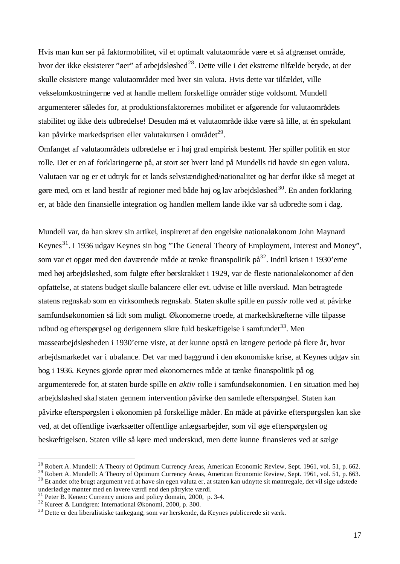Hvis man kun ser på faktormobilitet, vil et optimalt valutaområde være et så afgrænset område, hvor der ikke eksisterer "øer" af arbejdsløshed<sup>28</sup>. Dette ville i det ekstreme tilfælde betyde, at der skulle eksistere mange valutaområder med hver sin valuta. Hvis dette var tilfældet, ville vekselomkostningerne ved at handle mellem forskellige områder stige voldsomt. Mundell argumenterer således for, at produktionsfaktorernes mobilitet er afgørende for valutaområdets stabilitet og ikke dets udbredelse! Desuden må et valutaområde ikke være så lille, at én spekulant kan påvirke markedsprisen eller valutakursen i området<sup>29</sup>.

Omfanget af valutaområdets udbredelse er i høj grad empirisk bestemt. Her spiller politik en stor rolle. Det er en af forklaringerne på, at stort set hvert land på Mundells tid havde sin egen valuta. Valutaen var og er et udtryk for et lands selvstændighed/nationalitet og har derfor ikke så meget at gøre med, om et land består af regioner med både høj og lav arbejdsløshed<sup>30</sup>. En anden forklaring er, at både den finansielle integration og handlen mellem lande ikke var så udbredte som i dag.

Mundell var, da han skrev sin artikel, inspireret af den engelske nationaløkonom John Maynard Keynes<sup>31</sup>. I 1936 udgav Keynes sin bog "The General Theory of Employment, Interest and Money", som var et opgør med den daværende måde at tænke finanspolitik på<sup>32</sup>. Indtil krisen i 1930'erne med høj arbejdsløshed, som fulgte efter børskrakket i 1929, var de fleste nationaløkonomer af den opfattelse, at statens budget skulle balancere eller evt. udvise et lille overskud. Man betragtede statens regnskab som en virksomheds regnskab. Staten skulle spille en *passiv* rolle ved at påvirke samfundsøkonomien så lidt som muligt. Økonomerne troede, at markedskræfterne ville tilpasse udbud og efterspørgsel og derigennem sikre fuld beskæftigelse i samfundet<sup>33</sup>. Men massearbejdsløsheden i 1930'erne viste, at der kunne opstå en længere periode på flere år, hvor arbejdsmarkedet var i ubalance. Det var med baggrund i den økonomiske krise, at Keynes udgav sin bog i 1936. Keynes gjorde oprør med økonomernes måde at tænke finanspolitik på og argumenterede for, at staten burde spille en *aktiv* rolle i samfundsøkonomien. I en situation med høj arbejdsløshed skal staten gennem intervention påvirke den samlede efterspørgsel. Staten kan påvirke efterspørgslen i økonomien på forskellige måder. En måde at påvirke efterspørgslen kan ske ved, at det offentlige iværksætter offentlige anlægsarbejder, som vil øge efterspørgslen og beskæftigelsen. Staten ville så køre med underskud, men dette kunne finansieres ved at sælge

<sup>&</sup>lt;sup>28</sup> Robert A. Mundell: A Theory of Optimum Currency Areas, American Economic Review, Sept. 1961, vol. 51, p. 662.

<sup>&</sup>lt;sup>29</sup> Robert A. Mundell: A Theory of Optimum Currency Areas, American Economic Review, Sept. 1961, vol. 51, p. 663.

<sup>&</sup>lt;sup>30</sup> Et andet ofte brugt argument ved at have sin egen valuta er, at staten kan udnytte sit møntregale, det vil sige udstede underlødige mønter med en lavere værdi end den påtrykte værdi.

<sup>31</sup> Peter B. Kenen: Currency unions and policy domain, 2000, p. 3-4.

<sup>&</sup>lt;sup>32</sup> Kureer & Lundgren: International Økonomi, 2000, p. 300.

<sup>33</sup> Dette er den liberalistiske tankegang, som var herskende, da Keynes publicerede sit værk.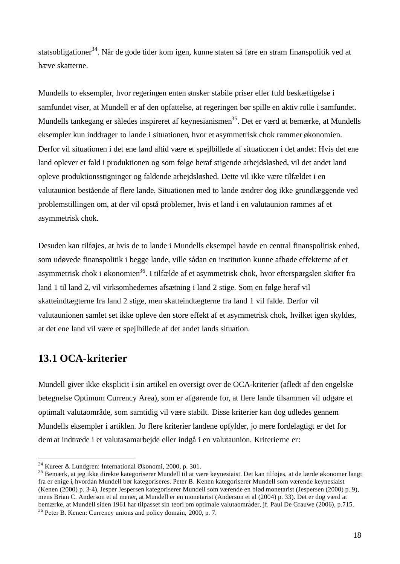statsobligationer<sup>34</sup>. Når de gode tider kom igen, kunne staten så føre en stram finanspolitik ved at hæve skatterne.

Mundells to eksempler, hvor regeringen enten ønsker stabile priser eller fuld beskæftigelse i samfundet viser, at Mundell er af den opfattelse, at regeringen bør spille en aktiv rolle i samfundet. Mundells tankegang er således inspireret af keynesianismen<sup>35</sup>. Det er værd at bemærke, at Mundells eksempler kun inddrager to lande i situationen, hvor et asymmetrisk chok rammer økonomien. Derfor vil situationen i det ene land altid være et spejlbillede af situationen i det andet: Hvis det ene land oplever et fald i produktionen og som følge heraf stigende arbejdsløshed, vil det andet land opleve produktionsstigninger og faldende arbejdsløshed. Dette vil ikke være tilfældet i en valutaunion bestående af flere lande. Situationen med to lande ændrer dog ikke grundlæggende ved problemstillingen om, at der vil opstå problemer, hvis et land i en valutaunion rammes af et asymmetrisk chok.

Desuden kan tilføjes, at hvis de to lande i Mundells eksempel havde en central finanspolitisk enhed, som udøvede finanspolitik i begge lande, ville sådan en institution kunne afbøde effekterne af et asymmetrisk chok i økonomien<sup>36</sup>. I tilfælde af et asymmetrisk chok, hvor efterspørgslen skifter fra land 1 til land 2, vil virksomhedernes afsætning i land 2 stige. Som en følge heraf vil skatteindtægterne fra land 2 stige, men skatteindtægterne fra land 1 vil falde. Derfor vil valutaunionen samlet set ikke opleve den store effekt af et asymmetrisk chok, hvilket igen skyldes, at det ene land vil være et spejlbillede af det andet lands situation.

## **13.1 OCA-kriterier**

l

Mundell giver ikke eksplicit isin artikel en oversigt over de OCA-kriterier (afledt af den engelske betegnelse Optimum Currency Area), som er afgørende for, at flere lande tilsammen vil udgøre et optimalt valutaområde, som samtidig vil være stabilt. Disse kriterier kan dog udledes gennem Mundells eksempler i artiklen. Jo flere kriterier landene opfylder, jo mere fordelagtigt er det for demat indtræde i et valutasamarbejde eller indgå i en valutaunion. Kriterierne er:

<sup>34</sup> Kureer & Lundgren: International Økonomi, 2000, p. 301.

<sup>35</sup> Bemærk, at jeg ikke direkte kategoriserer Mundell til at være keynesiaist. Det kan tilføjes, at de lærde økonomer langt fra er enige i, hvordan Mundell bør kategoriseres. Peter B. Kenen kategoriserer Mundell som værende keynesiaist (Kenen (2000) p. 3-4), Jesper Jespersen kategoriserer Mundell som værende en blød monetarist (Jespersen (2000) p. 9), mens Brian C. Anderson et al mener, at Mundell er en monetarist (Anderson et al (2004) p. 33). Det er dog værd at bemærke, at Mundell siden 1961 har tilpasset sin teori om optimale valutaområder, jf. Paul De Grauwe (2006), p.715. <sup>36</sup> Peter B. Kenen: Currency unions and policy domain, 2000, p. 7.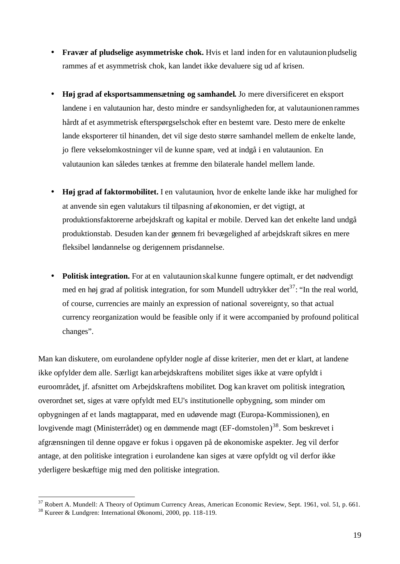- **Fravær af pludselige asymmetriske chok.** Hvis et land inden for en valutaunion pludselig rammes af et asymmetrisk chok, kan landet ikke devaluere sig ud af krisen.
- **Høj grad af eksportsammensætning og samhandel.** Jo mere diversificeret en eksport landene i en valutaunion har, desto mindre er sandsynligheden for, at valutaunionen rammes hårdt af et asymmetrisk efterspørgselschok efter en bestemt vare. Desto mere de enkelte lande eksporterer til hinanden, det vil sige desto større samhandel mellem de enkelte lande, jo flere vekselomkostninger vil de kunne spare, ved at indgå i en valutaunion. En valutaunion kan således tænkes at fremme den bilaterale handel mellem lande.
- **Høj grad af faktormobilitet.** I en valutaunion, hvor de enkelte lande ikke har mulighed for at anvende sin egen valutakurs til tilpasning af økonomien, er det vigtigt, at produktionsfaktorerne arbejdskraft og kapital er mobile. Derved kan det enkelte land undgå produktionstab. Desuden kan der gennem fri bevægelighed af arbejdskraft sikres en mere fleksibel løndannelse og derigennem prisdannelse.
- **Politisk integration.** For at en valutaunion skal kunne fungere optimalt, er det nødvendigt med en høj grad af politisk integration, for som Mundell udtrykker det<sup>37</sup>: "In the real world, of course, currencies are mainly an expression of national sovereignty, so that actual currency reorganization would be feasible only if it were accompanied by profound political changes".

Man kan diskutere, om eurolandene opfylder nogle af disse kriterier, men det er klart, at landene ikke opfylder dem alle. Særligt kan arbejdskraftens mobilitet siges ikke at være opfyldt i euroområdet, jf. afsnittet om Arbejdskraftens mobilitet. Dog kan kravet om politisk integration, overordnet set, siges at være opfyldt med EU's institutionelle opbygning, som minder om opbygningen af et lands magtapparat, med en udøvende magt (Europa-Kommissionen), en lovgivende magt (Ministerrådet) og en dømmende magt (EF-domstolen)<sup>38</sup>. Som beskrevet i afgrænsningen til denne opgave er fokus i opgaven på de økonomiske aspekter. Jeg vil derfor antage, at den politiske integration i eurolandene kan siges at være opfyldt og vil derfor ikke yderligere beskæftige mig med den politiske integration.

 $37$  Robert A. Mundell: A Theory of Optimum Currency Areas, American Economic Review, Sept. 1961, vol. 51, p. 661.

<sup>38</sup> Kureer & Lundgren: International Økonomi, 2000, pp. 118-119.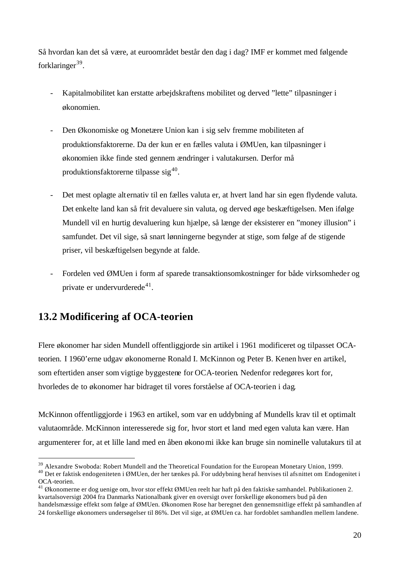Så hvordan kan det så være, at euroområdet består den dag i dag? IMF er kommet med følgende forklaringer<sup>39</sup>.

- Kapitalmobilitet kan erstatte arbejdskraftens mobilitet og derved "lette" tilpasninger i økonomien.
- Den Økonomiske og Monetære Union kan i sig selv fremme mobiliteten af produktionsfaktorerne. Da der kun er en fælles valuta i ØMUen, kan tilpasninger i økonomien ikke finde sted gennem ændringer i valutakursen. Derfor må produktionsfaktorerne tilpasse sig<sup>40</sup>.
- Det mest oplagte alternativ til en fælles valuta er, at hvert land har sin egen flydende valuta. Det enkelte land kan så frit devaluere sin valuta, og derved øge beskæftigelsen. Men ifølge Mundell vil en hurtig devaluering kun hjælpe, så længe der eksisterer en "money illusion" i samfundet. Det vil sige, så snart lønningerne begynder at stige, som følge af de stigende priser, vil beskæftigelsen begynde at falde.
- Fordelen ved ØMUen i form af sparede transaktionsomkostninger for både virksomheder og private er undervurderede $41$ .

# **13.2 Modificering af OCA-teorien**

l

Flere økonomer har siden Mundell offentliggjorde sin artikel i 1961 modificeret og tilpasset OCAteorien. I 1960'erne udgav økonomerne Ronald I. McKinnon og Peter B. Kenen hver en artikel, som eftertiden anser som vigtige byggestene for OCA-teorien. Nedenfor redegøres kort for, hvorledes de to økonomer har bidraget til vores forståelse af OCA-teorien i dag.

McKinnon offentliggjorde i 1963 en artikel, som var en uddybning af Mundells krav til et optimalt valutaområde. McKinnon interesserede sig for, hvor stort et land med egen valuta kan være. Han argumenterer for, at et lille land med en åben økonomi ikke kan bruge sin nominelle valutakurs til at

<sup>&</sup>lt;sup>39</sup> Alexandre Swoboda: Robert Mundell and the Theoretical Foundation for the European Monetary Union, 1999.

<sup>40</sup> Det er faktisk endogeniteten i ØMUen, der her tænkes på. For uddybning heraf henvises til afsnittet om Endogenitet i OCA-teorien.

<sup>41</sup> Økonomerne er dog uenige om, hvor stor effekt ØMUen reelt har haft på den faktiske samhandel. Publikationen 2. kvartalsoversigt 2004 fra Danmarks Nationalbank giver en oversigt over forskellige økonomers bud på den handelsmæssige effekt som følge af ØMUen. Økonomen Rose har beregnet den gennemsnitlige effekt på samhandlen af 24 forskellige økonomers undersøgelser til 86%. Det vil sige, at ØMUen ca. har fordoblet samhandlen mellem landene.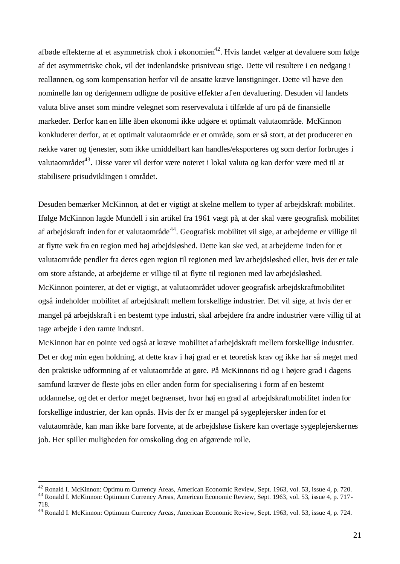afbøde effekterne af et asymmetrisk chok i økonomien<sup>42</sup>. Hvis landet vælger at devaluere som følge af det asymmetriske chok, vil det indenlandske prisniveau stige. Dette vil resultere i en nedgang i reallønnen, og som kompensation herfor vil de ansatte kræve lønstigninger. Dette vil hæve den nominelle løn og derigennem udligne de positive effekter af en devaluering. Desuden vil landets valuta blive anset som mindre velegnet som reservevaluta i tilfælde af uro på de finansielle markeder. Derfor kan en lille åben økonomi ikke udgøre et optimalt valutaområde. McKinnon konkluderer derfor, at et optimalt valutaområde er et område, som er så stort, at det producerer en række varer og tjenester, som ikke umiddelbart kan handles/eksporteres og som derfor forbruges i valutaområdet<sup>43</sup>. Disse varer vil derfor være noteret i lokal valuta og kan derfor være med til at stabilisere prisudviklingen i området.

Desuden bemærker McKinnon, at det er vigtigt at skelne mellem to typer af arbejdskraft mobilitet. Ifølge McKinnon lagde Mundell i sin artikel fra 1961 vægt på, at der skal være geografisk mobilitet af arbejdskraft inden for et valutaområde<sup>44</sup>. Geografisk mobilitet vil sige, at arbejderne er villige til at flytte væk fra en region med høj arbejdsløshed. Dette kan ske ved, at arbejderne inden for et valutaområde pendler fra deres egen region til regionen med lav arbejdsløshed eller, hvis der er tale om store afstande, at arbejderne er villige til at flytte til regionen med lav arbejdsløshed. McKinnon pointerer, at det er vigtigt, at valutaområdet udover geografisk arbejdskraftmobilitet også indeholder mobilitet af arbejdskraft mellem forskellige industrier. Det vil sige, at hvis der er mangel på arbejdskraft i en bestemt type industri, skal arbejdere fra andre industrier være villig til at tage arbejde i den ramte industri.

McKinnon har en pointe ved også at kræve mobilitet af arbejdskraft mellem forskellige industrier. Det er dog min egen holdning, at dette krav i høj grad er et teoretisk krav og ikke har så meget med den praktiske udformning af et valutaområde at gøre. På McKinnons tid og i højere grad i dagens samfund kræver de fleste jobs en eller anden form for specialisering i form af en bestemt uddannelse, og det er derfor meget begrænset, hvor høj en grad af arbejdskraftmobilitet inden for forskellige industrier, der kan opnås. Hvis der fx er mangel på sygeplejersker inden for et valutaområde, kan man ikke bare forvente, at de arbejdsløse fiskere kan overtage sygeplejerskernes job. Her spiller muligheden for omskoling dog en afgørende rolle.

<sup>&</sup>lt;sup>42</sup> Ronald I. McKinnon: Optimu m Currency Areas, American Economic Review, Sept. 1963, vol. 53, issue 4, p. 720.

<sup>43</sup> Ronald I. McKinnon: Optimum Currency Areas, American Economic Review, Sept. 1963, vol. 53, issue 4, p. 717- 718.

<sup>44</sup> Ronald I. McKinnon: Optimum Currency Areas, American Economic Review, Sept. 1963, vol. 53, issue 4, p. 724.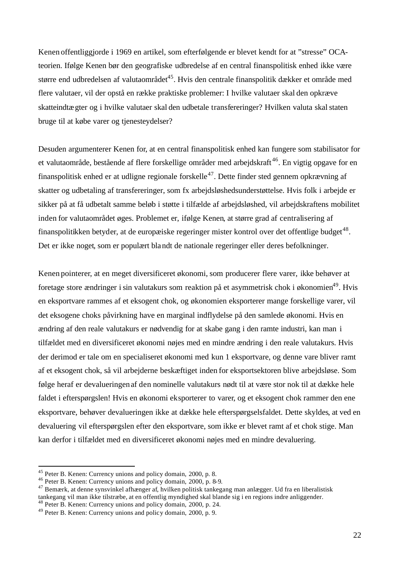Kenen offentliggjorde i 1969 en artikel, som efterfølgende er blevet kendt for at "stresse" OCAteorien. Ifølge Kenen bør den geografiske udbredelse af en central finanspolitisk enhed ikke være større end udbredelsen af valutaområdet<sup>45</sup>. Hvis den centrale finanspolitik dækker et område med flere valutaer, vil der opstå en række praktiske problemer: I hvilke valutaer skal den opkræve skatteindtægter og i hvilke valutaer skal den udbetale transfereringer? Hvilken valuta skalstaten bruge til at købe varer og tjenesteydelser?

Desuden argumenterer Kenen for, at en central finanspolitisk enhed kan fungere som stabilisator for et valutaområde, bestående af flere forskellige områder med arbejdskraft<sup>46</sup>. En vigtig opgave for en finanspolitisk enhed er at udligne regionale forskelle<sup>47</sup>. Dette finder sted gennem opkrævning af skatter og udbetaling af transfereringer, som fx arbejdsløshedsunderstøttelse. Hvis folk i arbejde er sikker på at få udbetalt samme beløb i støtte i tilfælde af arbejdsløshed, vil arbejdskraftens mobilitet inden for valutaområdet øges. Problemet er, ifølge Kenen, at større grad af centralisering af finanspolitikken betyder, at de europæiske regeringer mister kontrol over det offentlige budget<sup>48</sup>. Det er ikke noget, som er populært blandt de nationale regeringer eller deres befolkninger.

Kenen pointerer, at en meget diversificeret økonomi, som producerer flere varer, ikke behøver at foretage store ændringer i sin valutakurs som reaktion på et asymmetrisk chok i økonomien<sup>49</sup>. Hvis en eksportvare rammes af et eksogent chok, og økonomien eksporterer mange forskellige varer, vil det eksogene choks påvirkning have en marginal indflydelse på den samlede økonomi. Hvis en ændring af den reale valutakurs er nødvendig for at skabe gang i den ramte industri, kan man i tilfældet med en diversificeret økonomi nøjes med en mindre ændring i den reale valutakurs. Hvis der derimod er tale om en specialiseret økonomi med kun 1 eksportvare, og denne vare bliver ramt af et eksogent chok, så vil arbejderne beskæftiget inden for eksportsektoren blive arbejdsløse. Som følge heraf er devalueringen af den nominelle valutakurs nødt til at være stor nok til at dække hele faldet i efterspørgslen! Hvis en økonomi eksporterer to varer, og et eksogent chok rammer den ene eksportvare, behøver devalueringen ikke at dække hele efterspørgselsfaldet. Dette skyldes, at ved en devaluering vil efterspørgslen efter den eksportvare, som ikke er blevet ramt af et chok stige. Man kan derfor i tilfældet med en diversificeret økonomi nøjes med en mindre devaluering.

<sup>45</sup> Peter B. Kenen: Currency unions and policy domain, 2000, p. 8.

<sup>46</sup> Peter B. Kenen: Currency unions and policy domain, 2000, p. 8-9.

<sup>47</sup> Bemærk, at denne synsvinkel afhænger af, hvilken politisk tankegang man anlægger. Ud fra en liberalistisk tankegang vil man ikke tilstræbe, at en offentlig myndighed skal blande sig i en regions indre anliggender.

<sup>48</sup> Peter B. Kenen: Currency unions and policy domain, 2000, p. 24.

<sup>49</sup> Peter B. Kenen: Currency unions and policy domain, 2000, p. 9.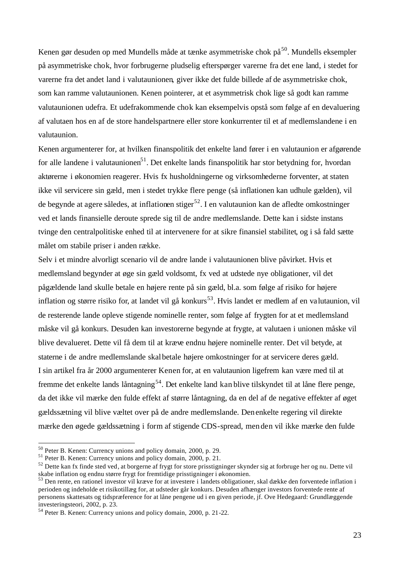Kenen gør desuden op med Mundells måde at tænke asymmetriske chok på<sup>50</sup>. Mundells eksempler på asymmetriske chok, hvor forbrugerne pludselig efterspørger varerne fra det ene land, i stedet for varerne fra det andet land i valutaunionen, giver ikke det fulde billede af de asymmetriske chok, som kan ramme valutaunionen. Kenen pointerer, at et asymmetrisk chok lige så godt kan ramme valutaunionen udefra. Et udefrakommende chok kan eksempelvis opstå som følge af en devaluering af valutaen hos en af de store handelspartnere eller store konkurrenter til et af medlemslandene i en valutaunion.

Kenen argumenterer for, at hvilken finanspolitik det enkelte land fører i en valutaunion er afgørende for alle landene i valutaunionen<sup>51</sup>. Det enkelte lands finanspolitik har stor betydning for, hvordan aktørerne i økonomien reagerer. Hvis fx husholdningerne og virksomhederne forventer, at staten ikke vil servicere sin gæld, men i stedet trykke flere penge (så inflationen kan udhule gælden), vil de begynde at agere således, at inflationen stiger<sup>52</sup>. I en valutaunion kan de afledte omkostninger ved et lands finansielle deroute sprede sig til de andre medlemslande. Dette kan i sidste instans tvinge den centralpolitiske enhed til at intervenere for at sikre finansiel stabilitet, og i så fald sætte målet om stabile priser i anden række.

Selv i et mindre alvorligt scenario vil de andre lande i valutaunionen blive påvirket. Hvis et medlemsland begynder at øge sin gæld voldsomt, fx ved at udstede nye obligationer, vil det pågældende land skulle betale en højere rente på sin gæld, bl.a. som følge af risiko for højere inflation og større risiko for, at landet vil gå konkurs<sup>53</sup>. Hvis landet er medlem af en valutaunion, vil de resterende lande opleve stigende nominelle renter, som følge af frygten for at et medlemsland måske vil gå konkurs. Desuden kan investorerne begynde at frygte, at valutaen i unionen måske vil blive devalueret. Dette vil få dem til at kræve endnu højere nominelle renter. Det vil betyde, at staterne i de andre medlemslande skal betale højere omkostninger for at servicere deres gæld. I sin artikel fra år 2000 argumenterer Kenen for, at en valutaunion ligefrem kan være med til at fremme det enkelte lands låntagning<sup>54</sup>. Det enkelte land kan blive tilskyndet til at låne flere penge, da det ikke vil mærke den fulde effekt af større låntagning, da en del af de negative effekter af øget gældssætning vil blive væltet over på de andre medlemslande. Denenkelte regering vil direkte mærke den øgede gældssætning i form af stigende CDS-spread, men den vil ikke mærke den fulde

<sup>50</sup> Peter B. Kenen: Currency unions and policy domain, 2000, p. 29.

<sup>51</sup> Peter B. Kenen: Currency unions and policy domain, 2000, p. 21.

<sup>&</sup>lt;sup>52</sup> Dette kan fx finde sted ved, at borgerne af frygt for store prisstigninger skynder sig at forbruge her og nu. Dette vil skabe inflation og endnu større frygt for fremtidige prisstigninger i økonomien.

<sup>&</sup>lt;sup>53</sup> Den rente, en rationel investor vil kræve for at investere i landets obligationer, skal dække den forventede inflation i perioden og indeholde et risikotillæg for, at udsteder går konkurs. Desuden afhænger investors forventede rente af personens skattesats og tidspræference for at låne pengene ud i en given periode, jf. Ove Hedegaard: Grundlæggende investeringsteori, 2002, p. 23.

<sup>54</sup> Peter B. Kenen: Currency unions and policy domain, 2000, p. 21-22.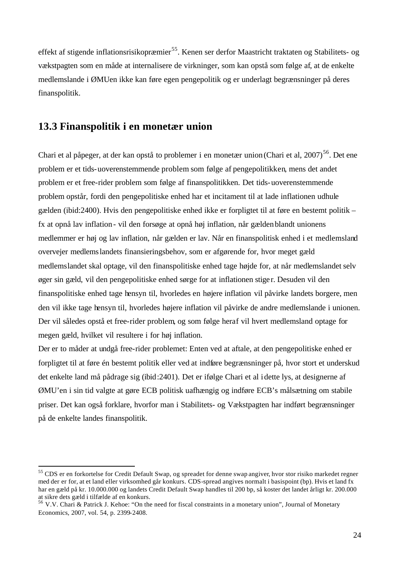effekt af stigende inflationsrisikopræmier<sup>55</sup>. Kenen ser derfor Maastricht traktaten og Stabilitets- og vækstpagten som en måde at internalisere de virkninger, som kan opstå som følge af, at de enkelte medlemslande i ØMUen ikke kan føre egen pengepolitik og er underlagt begrænsninger på deres finanspolitik.

#### **13.3 Finanspolitik i en monetær union**

l

Chari et al påpeger, at der kan opstå to problemer i en monetær union (Chari et al, 2007)<sup>56</sup>. Det ene problem er et tids-uoverenstemmende problem som følge af pengepolitikken, mens det andet problem er et free-rider problem som følge af finanspolitikken. Det tids-uoverenstemmende problem opstår, fordi den pengepolitiske enhed har et incitament til at lade inflationen udhule gælden (ibid:2400). Hvis den pengepolitiske enhed ikke er forpligtet til at føre en bestemt politik – fx at opnå lav inflation- vil den forsøge at opnå høj inflation, når gældenblandt unionens medlemmer er høj og lav inflation, når gælden er lav. Når en finanspolitisk enhed i et medlemsland overvejer medlemslandets finansieringsbehov, som er afgørende for, hvor meget gæld medlemslandet skal optage, vil den finanspolitiske enhed tage højde for, at når medlemslandet selv øger sin gæld, vil den pengepolitiske enhed sørge for at inflationen stiger. Desuden vil den finanspolitiske enhed tage hensyn til, hvorledes en højere inflation vil påvirke landets borgere, men den vil ikke tage hensyn til, hvorledes højere inflation vil påvirke de andre medlemslande i unionen. Der vil således opstå et free-rider problem, og som følge heraf vil hvert medlemsland optage for megen gæld, hvilket vil resultere i for høj inflation.

Der er to måder at undgå free-rider problemet: Enten ved at aftale, at den pengepolitiske enhed er forpligtet til at føre én bestemt politik eller ved at indføre begrænsninger på, hvor stort et underskud det enkelte land må pådrage sig (ibid:2401). Det er ifølge Chari et al idette lys, at designerne af ØMU'en i sin tid valgte at gøre ECB politisk uafhængig og indføre ECB's målsætning om stabile priser. Det kan også forklare, hvorfor man i Stabilitets- og Vækstpagten har indført begrænsninger på de enkelte landes finanspolitik.

<sup>55</sup> CDS er en forkortelse for Credit Default Swap, og spreadet for denne swap angiver, hvor stor risiko markedet regner med der er for, at et land eller virksomhed går konkurs. CDS-spread angives normalt i basispoint (bp). Hvis et land fx har en gæld på kr. 10.000.000 og landets Credit Default Swap handles til 200 bp, så koster det landet årligt kr. 200.000 at sikre dets gæld i tilfælde af en konkurs.

<sup>56</sup> V.V. Chari & Patrick J. Kehoe: "On the need for fiscal constraints in a monetary union", Journal of Monetary Economics, 2007, vol. 54, p. 2399-2408.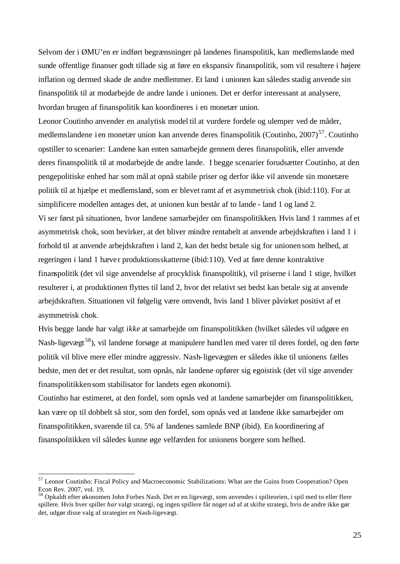Selvom der i ØMU'en er indført begrænsninger på landenes finanspolitik, kan medlemslande med sunde offentlige finanser godt tillade sig at føre en ekspansiv finanspolitik, som vil resultere i højere inflation og dermed skade de andre medlemmer. Et land i unionen kan således stadig anvende sin finanspolitik til at modarbejde de andre lande i unionen. Det er derfor interessant at analysere, hvordan brugen af finanspolitik kan koordineres i en monetær union.

Leonor Coutinho anvender en analytisk model til at vurdere fordele og ulemper ved de måder, medlemslandene i en monetær union kan anvende deres finanspolitik (Coutinho, 2007)<sup>57</sup>. Coutinho opstiller to scenarier: Landene kan enten samarbejde gennem deres finanspolitik, eller anvende deres finanspolitik til at modarbejde de andre lande. I begge scenarier forudsætter Coutinho, at den pengepolitiske enhed har som mål at opnå stabile priser og derfor ikke vil anvende sin monetære politik til at hjælpe et medlemsland, som er blevet ramt af et asymmetrisk chok (ibid:110). For at simplificere modellen antages det, at unionen kun består af to lande - land 1 og land 2. Vi ser først på situationen, hvor landene samarbejder om finanspolitikken. Hvis land 1 rammes af et asymmetrisk chok, som bevirker, at det bliver mindre rentabelt at anvende arbejdskraften i land 1 i forhold til at anvende arbejdskraften i land 2, kan det bedst betale sig for unionen som helhed, at regeringen i land 1 hæver produktionsskatterne (ibid:110). Ved at føre denne kontraktive finanspolitik (det vil sige anvendelse af procyklisk finanspolitik), vil priserne i land 1 stige, hvilket resulterer i, at produktionen flyttes til land 2, hvor det relativt set bedst kan betale sig at anvende arbejdskraften. Situationen vil følgelig være omvendt, hvis land 1 bliver påvirket positivt af et asymmetrisk chok.

Hvis begge lande har valgt *ikke* at samarbejde om finanspolitikken (hvilket således vil udgøre en Nash-ligevægt<sup>58</sup>), vil landene forsøge at manipulere handlen med varer til deres fordel, og den førte politik vil blive mere eller mindre aggressiv. Nash-ligevægten er således ikke til unionens fælles bedste, men det er det resultat, som opnås, når landene opfører sig egoistisk (det vil sige anvender finanspolitikken som stabilisator for landets egen økonomi).

Coutinho har estimeret, at den fordel, som opnås ved at landene samarbejder om finanspolitikken, kan være op til dobbelt så stor, som den fordel, som opnås ved at landene ikke samarbejder om finanspolitikken, svarende til ca. 5% af landenes samlede BNP (ibid). En koordinering af finanspolitikken vil således kunne øge velfærden for unionens borgere som helhed.

<sup>57</sup> Leonor Coutinho: Fiscal Policy and Macroeconomic Stabilizations: What are the Gains from Cooperation? Open Econ Rev. 2007, vol. 19.

<sup>&</sup>lt;sup>58</sup> Opkaldt efter økonomen John Forbes Nash. Det er en ligevægt, som anvendes i spilteorien, i spil med to eller flere spillere. Hvis hver spiller *har* valgt strategi, og ingen spillere får noget ud af at skifte strategi, hvis de andre ikke gør det, udgør disse valg af strategier en Nash-ligevægt.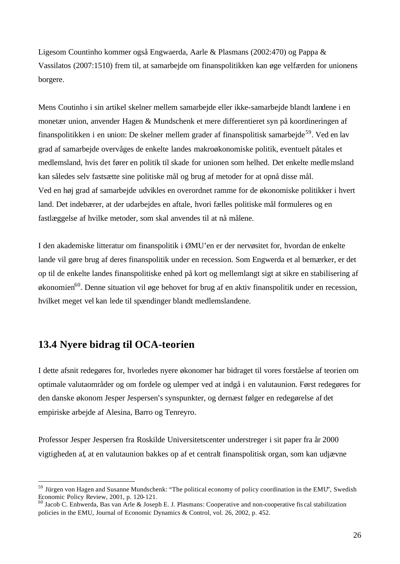Ligesom Countinho kommer også Engwaerda, Aarle & Plasmans (2002:470) og Pappa & Vassilatos (2007:1510) frem til, at samarbejde om finanspolitikken kan øge velfærden for unionens borgere.

Mens Coutinho i sin artikel skelner mellem samarbejde eller ikke-samarbejde blandt landene i en monetær union, anvender Hagen & Mundschenk et mere differentieret syn på koordineringen af finanspolitikken i en union: De skelner mellem grader af finanspolitisk samarbejde<sup>59</sup>. Ved en lav grad af samarbejde overvåges de enkelte landes makroøkonomiske politik, eventuelt påtales et medlemsland, hvis det fører en politik til skade for unionen som helhed. Det enkelte medlemsland kan således selv fastsætte sine politiske mål og brug af metoder for at opnå disse mål. Ved en høj grad af samarbejde udvikles en overordnet ramme for de økonomiske politikker i hvert land. Det indebærer, at der udarbejdes en aftale, hvori fælles politiske mål formuleres og en fastlæggelse af hvilke metoder, som skal anvendes til at nå målene.

I den akademiske litteratur om finanspolitik i ØMU'en er der nervøsitet for, hvordan de enkelte lande vil gøre brug af deres finanspolitik under en recession. Som Engwerda et al bemærker, er det op til de enkelte landes finanspolitiske enhed på kort og mellemlangt sigt at sikre en stabilisering af  $\phi$ konomien<sup>60</sup>. Denne situation vil øge behovet for brug af en aktiv finanspolitik under en recession, hvilket meget vel kan lede til spændinger blandt medlemslandene.

## **13.4 Nyere bidrag til OCA-teorien**

l

I dette afsnit redegøres for, hvorledes nyere økonomer har bidraget til vores forståelse af teorien om optimale valutaområder og om fordele og ulemper ved at indgå i en valutaunion. Først redegøres for den danske økonom Jesper Jespersen's synspunkter, og dernæst følger en redegørelse af det empiriske arbejde af Alesina, Barro og Tenreyro.

Professor Jesper Jespersen fra Roskilde Universitetscenter understreger i sit paper fra år 2000 vigtigheden af, at en valutaunion bakkes op af et centralt finanspolitisk organ, som kan udjævne

<sup>59</sup> Jürgen von Hagen and Susanne Mundschenk: "The political economy of policy coordination in the EMU", Swedish Economic Policy Review, 2001, p. 120-121.

<sup>60</sup> Jacob C. Enhwerda, Bas van Arle & Joseph E. J. Plasmans: Cooperative and non-cooperative fis cal stabilization policies in the EMU, Journal of Economic Dynamics & Control, vol. 26, 2002, p. 452.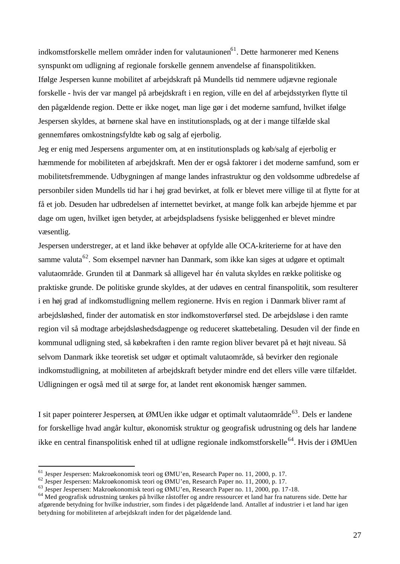indkomstforskelle mellem områder inden for valutaunionen<sup>61</sup>. Dette harmonerer med Kenens synspunkt om udligning af regionale forskelle gennem anvendelse af finanspolitikken. Ifølge Jespersen kunne mobilitet af arbejdskraft på Mundells tid nemmere udjævne regionale forskelle - hvis der var mangel på arbejdskraft i en region, ville en del af arbejdsstyrken flytte til den pågældende region. Dette er ikke noget, man lige gør i det moderne samfund, hvilket ifølge Jespersen skyldes, at børnene skal have en institutionsplads, og at der i mange tilfælde skal gennemføres omkostningsfyldte køb og salg af ejerbolig.

Jeg er enig med Jespersens argumenter om, at en institutionsplads og køb/salg af ejerbolig er hæmmende for mobiliteten af arbejdskraft. Men der er også faktorer i det moderne samfund, som er mobilitetsfremmende. Udbygningen af mange landes infrastruktur og den voldsomme udbredelse af personbiler siden Mundells tid har i høj grad bevirket, at folk er blevet mere villige til at flytte for at få et job. Desuden har udbredelsen af internettet bevirket, at mange folk kan arbejde hjemme et par dage om ugen, hvilket igen betyder, at arbejdspladsens fysiske beliggenhed er blevet mindre væsentlig.

Jespersen understreger, at et land ikke behøver at opfylde alle OCA-kriterierne for at have den samme valuta<sup>62</sup>. Som eksempel nævner han Danmark, som ikke kan siges at udgøre et optimalt valutaområde. Grunden til at Danmark så alligevel har én valuta skyldes en række politiske og praktiske grunde. De politiske grunde skyldes, at der udøves en central finanspolitik, som resulterer i en høj grad af indkomstudligning mellem regionerne. Hvis en region i Danmark bliver ramt af arbejdsløshed, finder der automatisk en stor indkomstoverførsel sted. De arbejdsløse i den ramte region vil så modtage arbejdsløshedsdagpenge og reduceret skattebetaling. Desuden vil der finde en kommunal udligning sted, så købekraften i den ramte region bliver bevaret på et højt niveau. Så selvom Danmark ikke teoretisk set udgør et optimalt valutaområde, så bevirker den regionale indkomstudligning, at mobiliteten af arbejdskraft betyder mindre end det ellers ville være tilfældet. Udligningen er også med til at sørge for, at landet rent økonomisk hænger sammen.

I sit paper pointerer Jespersen, at ØMUen ikke udgør et optimalt valutaområde<sup>63</sup>. Dels er landene for forskellige hvad angår kultur, økonomisk struktur og geografisk udrustning og dels har landene ikke en central finanspolitisk enhed til at udligne regionale indkomstforskelle<sup>64</sup>. Hvis der i ØMUen

<sup>61</sup> Jesper Jespersen: Makroøkonomisk teori og ØMU'en, Research Paper no. 11, 2000, p. 17.

<sup>62</sup> Jesper Jespersen: Makroøkonomisk teori og ØMU'en, Research Paper no. 11, 2000, p. 17.

<sup>63</sup> Jesper Jespersen: Makroøkonomisk teori og ØMU'en, Research Paper no. 11, 2000, pp. 17-18.

<sup>&</sup>lt;sup>64</sup> Med geografisk udrustning tænkes på hvilke råstoffer og andre ressourcer et land har fra naturens side. Dette har afgørende betydning for hvilke industrier, som findes i det pågældende land. Antallet af industrier i et land har igen betydning for mobiliteten af arbejdskraft inden for det pågældende land.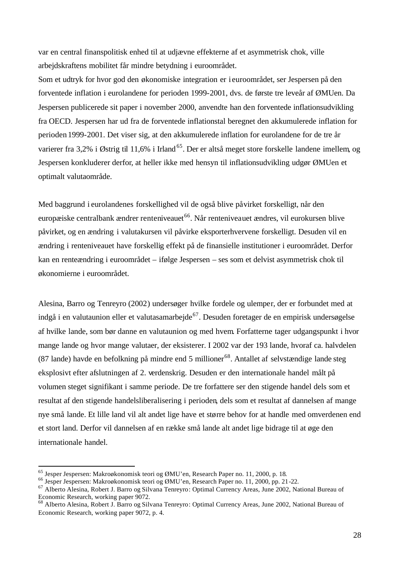var en central finanspolitisk enhed til at udjævne effekterne af et asymmetrisk chok, ville arbejdskraftens mobilitet får mindre betydning i euroområdet.

Som et udtryk for hvor god den økonomiske integration er i euroområdet, ser Jespersen på den forventede inflation i eurolandene for perioden 1999-2001, dvs. de første tre leveår af ØMUen. Da Jespersen publicerede sit paper i november 2000, anvendte han den forventede inflationsudvikling fra OECD. Jespersen har ud fra de forventede inflationstal beregnet den akkumulerede inflation for perioden 1999-2001. Det viser sig, at den akkumulerede inflation for eurolandene for de tre år varierer fra 3,2% i Østrig til 11,6% i Irland<sup>65</sup>. Der er altså meget store forskelle landene imellem, og Jespersen konkluderer derfor, at heller ikke med hensyn til inflationsudvikling udgør ØMUen et optimalt valutaområde.

Med baggrund i eurolandenes forskellighed vil de også blive påvirket forskelligt, når den europæiske centralbank ændrer renteniveauet<sup>66</sup>. Når renteniveauet ændres, vil eurokursen blive påvirket, og en ændring i valutakursen vil påvirke eksporterhvervene forskelligt. Desuden vil en ændring i renteniveauet have forskellig effekt på de finansielle institutioner i euroområdet. Derfor kan en renteændring i euroområdet – ifølge Jespersen – ses som et delvist asymmetrisk chok til økonomierne i euroområdet.

Alesina, Barro og Tenreyro (2002) undersøger hvilke fordele og ulemper, der er forbundet med at indgå i en valutaunion eller et valutasamarbejde<sup>67</sup>. Desuden foretager de en empirisk undersøgelse af hvilke lande, som bør danne en valutaunion og med hvem. Forfatterne tager udgangspunkt i hvor mange lande og hvor mange valutaer, der eksisterer. I 2002 var der 193 lande, hvoraf ca. halvdelen (87 lande) havde en befolkning på mindre end 5 millioner<sup>68</sup>. Antallet af selvstændige lande steg eksplosivt efter afslutningen af 2. verdenskrig. Desuden er den internationale handel målt på volumen steget signifikant i samme periode. De tre forfattere ser den stigende handel dels som et resultat af den stigende handelsliberalisering i perioden, dels som et resultat af dannelsen af mange nye små lande. Et lille land vil alt andet lige have et større behov for at handle med omverdenen end et stort land. Derfor vil dannelsen af en række små lande alt andet lige bidrage til at øge den internationale handel.

<sup>65</sup> Jesper Jespersen: Makroøkonomisk teori og ØMU'en, Research Paper no. 11, 2000, p. 18.

<sup>66</sup> Jesper Jespersen: Makroøkonomisk teori og ØMU'en, Research Paper no. 11, 2000, pp. 21-22.

<sup>67</sup> Alberto Alesina, Robert J. Barro og Silvana Tenreyro: Optimal Currency Areas, June 2002, National Bureau of Economic Research, working paper 9072.

<sup>68</sup> Alberto Alesina, Robert J. Barro og Silvana Tenreyro: Optimal Currency Areas, June 2002, National Bureau of Economic Research, working paper 9072, p. 4.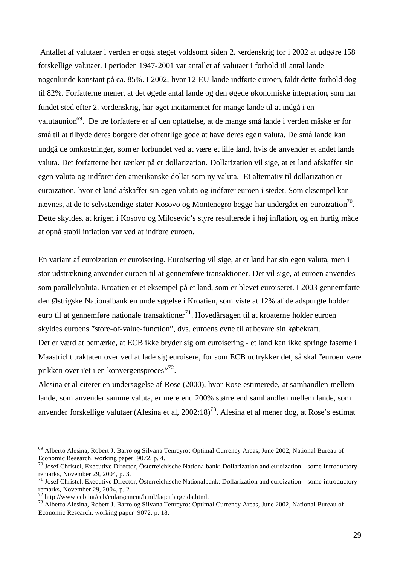Antallet af valutaer i verden er også steget voldsomt siden 2. verdenskrig for i 2002 at udgøre 158 forskellige valutaer. I perioden 1947-2001 var antallet af valutaer i forhold til antal lande nogenlunde konstant på ca. 85%. I 2002, hvor 12 EU-lande indførte euroen, faldt dette forhold dog til 82%. Forfatterne mener, at det øgede antal lande og den øgede økonomiske integration, som har fundet sted efter 2. verdenskrig, har øget incitamentet for mange lande til at indgå i en valutaunion<sup>69</sup>. De tre forfattere er af den opfattelse, at de mange små lande i verden måske er for små til at tilbyde deres borgere det offentlige gode at have deres egen valuta. De små lande kan undgå de omkostninger, somer forbundet ved at være et lille land, hvis de anvender et andet lands valuta. Det forfatterne her tænker på er dollarization. Dollarization vil sige, at et land afskaffer sin egen valuta og indfører den amerikanske dollar som ny valuta. Et alternativ til dollarization er euroization, hvor et land afskaffer sin egen valuta og indfører euroen i stedet. Som eksempel kan nævnes, at de to selvstændige stater Kosovo og Montenegro begge har undergået en euroization $^{70}$ . Dette skyldes, at krigen i Kosovo og Milosevic's styre resulterede i høj inflation, og en hurtig måde at opnå stabil inflation var ved at indføre euroen.

En variant af euroization er euroisering. Euroisering vil sige, at et land har sin egen valuta, men i stor udstrækning anvender euroen til at gennemføre transaktioner. Det vil sige, at euroen anvendes som parallelvaluta. Kroatien er et eksempel på et land, som er blevet euroiseret. I 2003 gennemførte den Østrigske Nationalbank en undersøgelse i Kroatien, som viste at 12% af de adspurgte holder euro til at gennemføre nationale transaktioner<sup>71</sup>. Hovedårsagen til at kroaterne holder euroen skyldes euroens "store-of-value-function", dvs. euroens evne til at bevare sin købekraft. Det er værd at bemærke, at ECB ikke bryder sig om euroisering - et land kan ikke springe faserne i

Maastricht traktaten over ved at lade sig euroisere, for som ECB udtrykker det, så skal "euroen være prikken over i'et i en konvergensproces"<sup>72</sup>.

Alesina et al citerer en undersøgelse af Rose (2000), hvor Rose estimerede, at samhandlen mellem lande, som anvender samme valuta, er mere end 200% større end samhandlen mellem lande, som anvender forskellige valutaer (Alesina et al,  $2002:18$ )<sup>73</sup>. Alesina et al mener dog, at Rose's estimat

<sup>69</sup> Alberto Alesina, Robert J. Barro og Silvana Tenreyro: Optimal Currency Areas, June 2002, National Bureau of Economic Research, working paper 9072, p. 4.

<sup>70</sup> Josef Christel, Executive Director, Österreichische Nationalbank: Dollarization and euroization – some introductory remarks, November 29, 2004, p. 3.

<sup>71</sup> Josef Christel, Executive Director, Österreichische Nationalbank: Dollarization and euroization – some introductory remarks, November 29, 2004, p. 2.

 $72$  http://www.ecb.int/ecb/enlargement/html/faqenlarge.da.html.

<sup>73</sup> Alberto Alesina, Robert J. Barro og Silvana Tenreyro: Optimal Currency Areas, June 2002, National Bureau of Economic Research, working paper 9072, p. 18.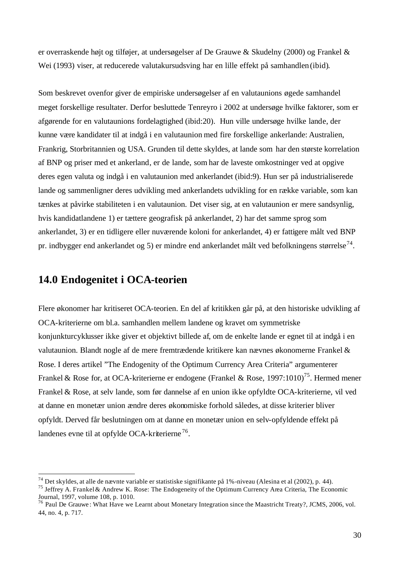er overraskende højt og tilføjer, at undersøgelser af De Grauwe & Skudelny (2000) og Frankel & Wei (1993) viser, at reducerede valutakursudsving har en lille effekt på samhandlen(ibid).

Som beskrevet ovenfor giver de empiriske undersøgelser af en valutaunions øgede samhandel meget forskellige resultater. Derfor besluttede Tenreyro i 2002 at undersøge hvilke faktorer, som er afgørende for en valutaunions fordelagtighed (ibid:20). Hun ville undersøge hvilke lande, der kunne være kandidater til at indgå i en valutaunion med fire forskellige ankerlande: Australien, Frankrig, Storbritannien og USA. Grunden til dette skyldes, at lande som har den største korrelation af BNP og priser med et ankerland, er de lande, som har de laveste omkostninger ved at opgive deres egen valuta og indgå i en valutaunion med ankerlandet (ibid:9). Hun ser på industrialiserede lande og sammenligner deres udvikling med ankerlandets udvikling for en række variable, som kan tænkes at påvirke stabiliteten i en valutaunion. Det viser sig, at en valutaunion er mere sandsynlig, hvis kandidatlandene 1) er tættere geografisk på ankerlandet, 2) har det samme sprog som ankerlandet, 3) er en tidligere eller nuværende koloni for ankerlandet, 4) er fattigere målt ved BNP pr. indbygger end ankerlandet og 5) er mindre end ankerlandet målt ved befolkningens størrelse<sup>74</sup>.

# **14.0 Endogenitet i OCA-teorien**

l

Flere økonomer har kritiseret OCA-teorien. En del af kritikken går på, at den historiske udvikling af OCA-kriterierne om bl.a. samhandlen mellem landene og kravet om symmetriske konjunkturcyklusser ikke giver et objektivt billede af, om de enkelte lande er egnet til at indgå i en valutaunion. Blandt nogle af de mere fremtrædende kritikere kan nævnes økonomerne Frankel & Rose. I deres artikel "The Endogenity of the Optimum Currency Area Criteria" argumenterer Frankel & Rose for, at OCA-kriterierne er endogene (Frankel & Rose, 1997:1010)<sup>75</sup>. Hermed mener Frankel & Rose, at selv lande, som før dannelse af en union ikke opfyldte OCA-kriterierne, vil ved at danne en monetær union ændre deres økonomiske forhold således, at disse kriterier bliver opfyldt. Derved får beslutningen om at danne en monetær union en selv-opfyldende effekt på landenes evne til at opfylde OCA-kriterierne<sup>76</sup>.

<sup>&</sup>lt;sup>74</sup> Det skyldes, at alle de nævnte variable er statistiske signifikante på 1%-niveau (Alesina et al (2002), p. 44).

<sup>75</sup> Jeffrey A. Frankel& Andrew K. Rose: The Endogeneity of the Optimum Currency Area Criteria, The Economic Journal, 1997, volume 108, p. 1010.

<sup>&</sup>lt;sup>76</sup> Paul De Grauwe: What Have we Learnt about Monetary Integration since the Maastricht Treaty?, JCMS, 2006, vol. 44, no. 4, p. 717.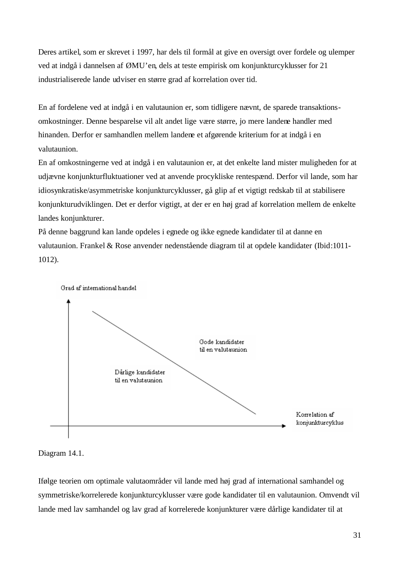Deres artikel, som er skrevet i 1997, har dels til formål at give en oversigt over fordele og ulemper ved at indgå i dannelsen af ØMU'en, dels at teste empirisk om konjunkturcyklusser for 21 industrialiserede lande udviser en større grad af korrelation over tid.

En af fordelene ved at indgå i en valutaunion er, som tidligere nævnt, de sparede transaktionsomkostninger. Denne besparelse vil alt andet lige være større, jo mere landene handler med hinanden. Derfor er samhandlen mellem landene et afgørende kriterium for at indgå i en valutaunion.

En af omkostningerne ved at indgå i en valutaunion er, at det enkelte land mister muligheden for at udjævne konjunkturfluktuationer ved at anvende procykliske rentespænd. Derfor vil lande, som har idiosynkratiske/asymmetriske konjunkturcyklusser, gå glip af et vigtigt redskab til at stabilisere konjunkturudviklingen. Det er derfor vigtigt, at der er en høj grad af korrelation mellem de enkelte landes konjunkturer.

På denne baggrund kan lande opdeles i egnede og ikke egnede kandidater til at danne en valutaunion. Frankel & Rose anvender nedenstående diagram til at opdele kandidater (Ibid:1011- 1012).



#### Diagram 14.1.

Ifølge teorien om optimale valutaområder vil lande med høj grad af international samhandel og symmetriske/korrelerede konjunkturcyklusser være gode kandidater til en valutaunion. Omvendt vil lande med lav samhandel og lav grad af korrelerede konjunkturer være dårlige kandidater til at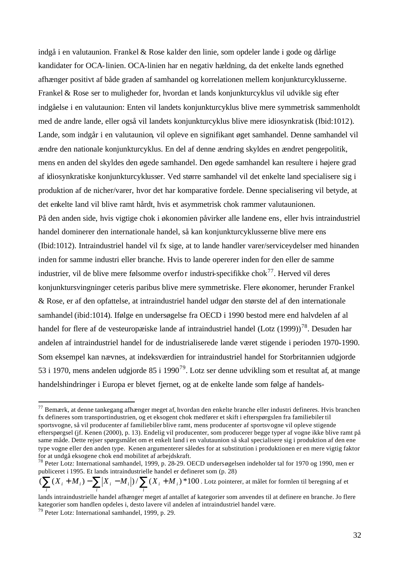indgå i en valutaunion. Frankel & Rose kalder den linie, som opdeler lande i gode og dårlige kandidater for OCA-linien. OCA-linien har en negativ hældning, da det enkelte lands egnethed afhænger positivt af både graden af samhandel og korrelationen mellem konjunkturcyklusserne. Frankel & Rose ser to muligheder for, hvordan et lands konjunkturcyklus vil udvikle sig efter indgåelse i en valutaunion: Enten vil landets konjunkturcyklus blive mere symmetrisk sammenholdt med de andre lande, eller også vil landets konjunkturcyklus blive mere idiosynkratisk (Ibid:1012). Lande, som indgår i en valutaunion, vil opleve en signifikant øget samhandel. Denne samhandel vil ændre den nationale konjunkturcyklus. En del af denne ændring skyldes en ændret pengepolitik, mens en anden del skyldes den øgede samhandel. Den øgede samhandel kan resultere i højere grad af idiosynkratiske konjunkturcyklusser. Ved større samhandel vil det enkelte land specialisere sig i produktion af de nicher/varer, hvor det har komparative fordele. Denne specialisering vil betyde, at det enkelte land vil blive ramt hårdt, hvis et asymmetrisk chok rammer valutaunionen. På den anden side, hvis vigtige chok i økonomien påvirker alle landene ens, eller hvis intraindustriel handel dominerer den internationale handel, så kan konjunkturcyklusserne blive mere ens (Ibid:1012). Intraindustriel handel vil fx sige, at to lande handler varer/serviceydelser med hinanden inden for samme industri eller branche. Hvis to lande opererer inden for den eller de samme industrier, vil de blive mere følsomme overfor industri-specifikke chok<sup>77</sup>. Herved vil deres konjunktursvingninger ceteris paribus blive mere symmetriske. Flere økonomer, herunder Frankel & Rose, er af den opfattelse, at intraindustriel handel udgør den største del af den internationale samhandel (ibid:1014). Ifølge en undersøgelse fra OECD i 1990 bestod mere end halvdelen af al handel for flere af de vesteuropæiske lande af intraindustriel handel (Lotz (1999))<sup>78</sup>. Desuden har andelen af intraindustriel handel for de industrialiserede lande været stigende i perioden 1970-1990. Som eksempel kan nævnes, at indeksværdien for intraindustriel handel for Storbritannien udgjorde 53 i 1970, mens andelen udgjorde 85 i 1990<sup>79</sup>. Lotz ser denne udvikling som et resultat af, at mange handelshindringer i Europa er blevet fjernet, og at de enkelte lande som følge af handels-

 $^{77}$  Bemærk, at denne tankegang afhænger meget af, hvordan den enkelte branche eller industri defineres. Hvis branchen fx defineres som transportindustrien, og et eksogent chok medfører et skift i efterspørgslen fra familiebiler til sportsvogne, så vil producenter af familiebiler blive ramt, mens producenter af sportsvogne vil opleve stigende efterspørgsel (jf. Kenen (2000), p. 13). Endelig vil producenter, som producerer begge typer af vogne ikke blive ramt på same måde. Dette rejser spørgsmålet om et enkelt land i en valutaunion så skal specialisere sig i produktion af den ene type vogne eller den anden type. Kenen argumenterer således for at substitution i produktionen er en mere vigtig faktor for at undgå eksogene chok end mobilitet af arbejdskraft.

<sup>78</sup> Peter Lotz: International samhandel, 1999, p. 28-29. OECD undersøgelsen indeholder tal for 1970 og 1990, men er publiceret i 1995. Et lands intraindustrielle handel er defineret som (p. 28)

 $(\sum(X_i+M_i)-\sum|X_i-M_i|)/\sum(X_i+M_i)$  \*100 . Lotz pointerer, at målet for formlen til beregning af et *i i i*

lands intraindustrielle handel afhænger meget af antallet af kategorier som anvendes til at definere en branche. Jo flere kategorier som handlen opdeles i, desto lavere vil andelen af intraindustriel handel være. <sup>79</sup> Peter Lotz: International samhandel, 1999, p. 29.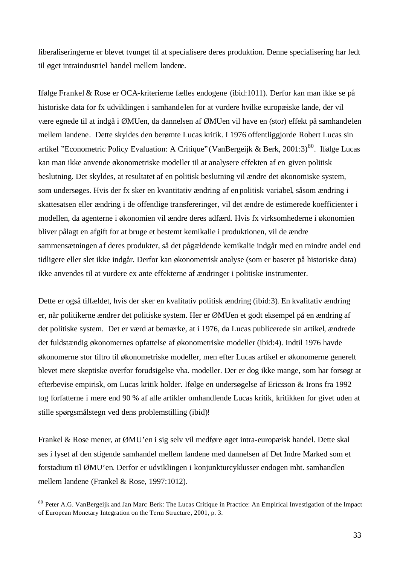liberaliseringerne er blevet tvunget til at specialisere deres produktion. Denne specialisering har ledt til øget intraindustriel handel mellem landene.

Ifølge Frankel & Rose er OCA-kriterierne fælles endogene (ibid:1011). Derfor kan man ikke se på historiske data for fx udviklingen i samhandelen for at vurdere hvilke europæiske lande, der vil være egnede til at indgå i ØMUen, da dannelsen af ØMUen vil have en (stor) effekt på samhandelen mellem landene. Dette skyldes den berømte Lucas kritik. I 1976 offentliggjorde Robert Lucas sin artikel "Econometric Policy Evaluation: A Critique" (VanBergeijk & Berk, 2001:3)<sup>80</sup>. Ifølge Lucas kan man ikke anvende økonometriske modeller til at analysere effekten af en given politisk beslutning. Det skyldes, at resultatet af en politisk beslutning vil ændre det økonomiske system, som undersøges. Hvis der fx sker en kvantitativ ændring af en politisk variabel, såsom ændring i skattesatsen eller ændring i de offentlige transfereringer, vil det ændre de estimerede koefficienter i modellen, da agenterne i økonomien vil ændre deres adfærd. Hvis fx virksomhederne i økonomien bliver pålagt en afgift for at bruge et bestemt kemikalie i produktionen, vil de ændre sammensætningen af deres produkter, så det pågældende kemikalie indgår med en mindre andel end tidligere eller slet ikke indgår. Derfor kan økonometrisk analyse (som er baseret på historiske data) ikke anvendes til at vurdere ex ante effekterne af ændringer i politiske instrumenter.

Dette er også tilfældet, hvis der sker en kvalitativ politisk ændring (ibid:3). En kvalitativ ændring er, når politikerne ændrer det politiske system. Her er ØMUen et godt eksempel på en ændring af det politiske system. Det er værd at bemærke, at i 1976, da Lucas publicerede sin artikel, ændrede det fuldstændig økonomernes opfattelse af økonometriske modeller (ibid:4). Indtil 1976 havde økonomerne stor tiltro til økonometriske modeller, men efter Lucas artikel er økonomerne generelt blevet mere skeptiske overfor forudsigelse vha. modeller. Der er dog ikke mange, som har forsøgt at efterbevise empirisk, om Lucas kritik holder. Ifølge en undersøgelse af Ericsson & Irons fra 1992 tog forfatterne i mere end 90 % af alle artikler omhandlende Lucas kritik, kritikken for givet uden at stille spørgsmålstegn ved dens problemstilling (ibid)!

Frankel & Rose mener, at ØMU'en i sig selv vil medføre øget intra-europæisk handel. Dette skal ses i lyset af den stigende samhandel mellem landene med dannelsen af Det Indre Marked som et forstadium til ØMU'en. Derfor er udviklingen i konjunkturcyklusser endogen mht. samhandlen mellem landene (Frankel & Rose, 1997:1012).

<sup>&</sup>lt;sup>80</sup> Peter A.G. VanBergeijk and Jan Marc Berk: The Lucas Critique in Practice: An Empirical Investigation of the Impact of European Monetary Integration on the Term Structure, 2001, p. 3.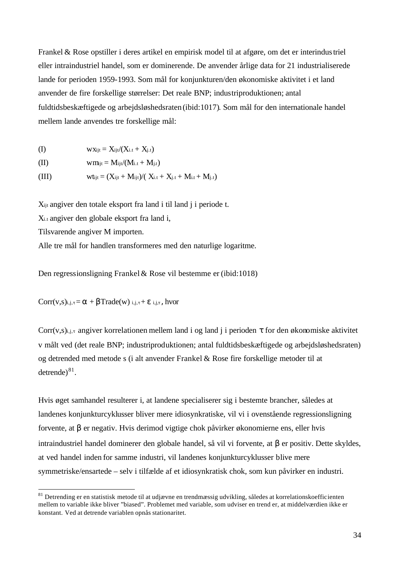Frankel & Rose opstiller i deres artikel en empirisk model til at afgøre, om det er interindustriel eller intraindustriel handel, som er dominerende. De anvender årlige data for 21 industrialiserede lande for perioden 1959-1993. Som mål for konjunkturen/den økonomiske aktivitet i et land anvender de fire forskellige størrelser: Det reale BNP; industriproduktionen; antal fuldtidsbeskæftigede og arbejdsløshedsraten (ibid:1017). Som mål for den internationale handel mellem lande anvendes tre forskellige mål:

$$
\text{(I)} \qquad \qquad \text{WXijt} = X_{ijt} / (X_{i.t} + X_{j.t})
$$

$$
(II) \hspace{3.6cm} w m_{ijt} = M_{ijt}/(M_{i.t}+M_{j.t})
$$

(III)  $wt_{i,t} = (X_{i,t} + M_{i,t})/(X_{i,t} + X_{i,t} + M_{i,t} + M_{i,t})$ 

Xijt angiver den totale eksport fra land i til land j i periode t.

Xi.t angiver den globale eksport fra land i,

Tilsvarende angiver M importen.

l

Alle tre mål for handlen transformeres med den naturlige logaritme.

Den regressionsligning Frankel& Rose vil bestemme er (ibid:1018)

 $Corr(v,s)_{i,j,\tau} = \alpha + \beta Trade(w)_{i,j,\tau} + \varepsilon_{i,j,\tau}$ , hvor

Corr(v,s)<sub>i,j,τ</sub> angiver korrelationen mellem land i og land j i perioden  $\tau$  for den økonomiske aktivitet v målt ved (det reale BNP; industriproduktionen; antal fuldtidsbeskæftigede og arbejdsløshedsraten) og detrended med metode s (i alt anvender Frankel & Rose fire forskellige metoder til at detrende $)^{81}$ .

Hvis øget samhandel resulterer i, at landene specialiserer sig i bestemte brancher, således at landenes konjunkturcyklusser bliver mere idiosynkratiske, vil vi i ovenstående regressionsligning forvente, at β er negativ. Hvis derimod vigtige chok påvirker økonomierne ens, eller hvis intraindustriel handel dominerer den globale handel, så vil vi forvente, at β er positiv. Dette skyldes, at ved handel inden for samme industri, vil landenes konjunkturcyklusser blive mere symmetriske/ensartede – selv i tilfælde af et idiosynkratisk chok, som kun påvirker en industri.

<sup>&</sup>lt;sup>81</sup> Detrending er en statistisk metode til at udjævne en trendmæssig udvikling, således at korrelationskoefficienten mellem to variable ikke bliver "biased". Problemet med variable, som udviser en trend er, at middelværdien ikke er konstant. Ved at detrende variablen opnås stationaritet.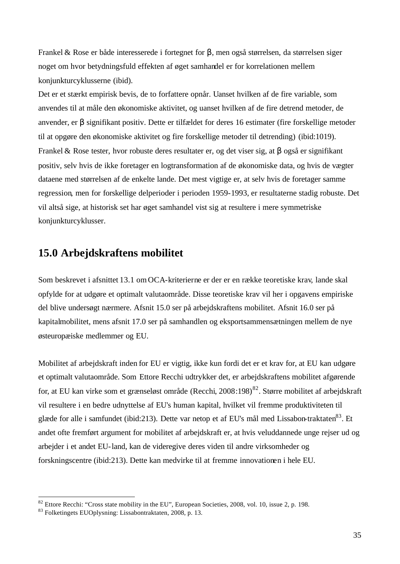Frankel & Rose er både interesserede i fortegnet for β, men også størrelsen, da størrelsen siger noget om hvor betydningsfuld effekten af øget samhandel er for korrelationen mellem konjunkturcyklusserne (ibid).

Det er et stærkt empirisk bevis, de to forfattere opnår. Uanset hvilken af de fire variable, som anvendes til at måle den økonomiske aktivitet, og uanset hvilken af de fire detrend metoder, de anvender, er β signifikant positiv. Dette er tilfældet for deres 16 estimater (fire forskellige metoder til at opgøre den økonomiske aktivitet og fire forskellige metoder til detrending) (ibid:1019). Frankel & Rose tester, hvor robuste deres resultater er, og det viser sig, at β også er signifikant positiv, selv hvis de ikke foretager en logtransformation af de økonomiske data, og hvis de vægter dataene med størrelsen af de enkelte lande. Det mest vigtige er, at selv hvis de foretager samme regression, men for forskellige delperioder i perioden 1959-1993, er resultaterne stadig robuste. Det vil altså sige, at historisk set har øget samhandel vist sig at resultere i mere symmetriske konjunkturcyklusser.

### **15.0 Arbejdskraftens mobilitet**

Som beskrevet i afsnittet 13.1 omOCA-kriterierne er der er en række teoretiske krav, lande skal opfylde for at udgøre et optimalt valutaområde. Disse teoretiske krav vil her i opgavens empiriske del blive undersøgt nærmere. Afsnit 15.0 ser på arbejdskraftens mobilitet. Afsnit 16.0 ser på kapitalmobilitet, mens afsnit 17.0 ser på samhandlen og eksportsammensætningen mellem de nye østeuropæiske medlemmer og EU.

Mobilitet af arbejdskraft inden for EU er vigtig, ikke kun fordi det er et krav for, at EU kan udgøre et optimalt valutaområde. Som Ettore Recchi udtrykker det, er arbejdskraftens mobilitet afgørende for, at EU kan virke som et grænseløst område (Recchi, 2008:198)<sup>82</sup>. Større mobilitet af arbejdskraft vil resultere i en bedre udnyttelse af EU's human kapital, hvilket vil fremme produktiviteten til glæde for alle i samfundet (ibid:213). Dette var netop et af EU's mål med Lissabon-traktaten<sup>83</sup>. Et andet ofte fremført argument for mobilitet af arbejdskraft er, at hvis veluddannede unge rejser ud og arbejder i et andet EU-land, kan de videregive deres viden til andre virksomheder og forskningscentre (ibid:213). Dette kan medvirke til at fremme innovationen i hele EU.

 $82$  Ettore Recchi: "Cross state mobility in the EU", European Societies, 2008, vol. 10, issue 2, p. 198.

<sup>83</sup> Folketingets EUOplysning: Lissabontraktaten, 2008, p. 13.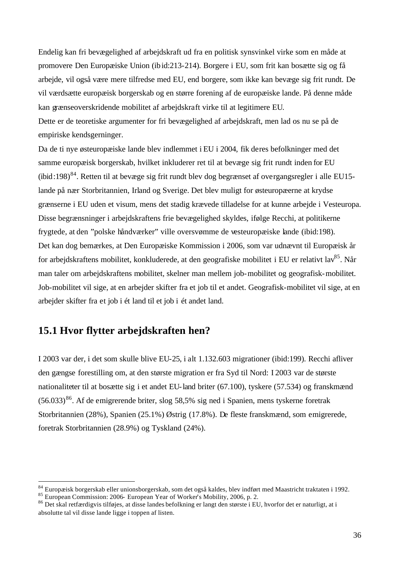Endelig kan fri bevægelighed af arbejdskraft ud fra en politisk synsvinkel virke som en måde at promovere Den Europæiske Union (ibid:213-214). Borgere i EU, som frit kan bosætte sig og få arbejde, vil også være mere tilfredse med EU, end borgere, som ikke kan bevæge sig frit rundt. De vil værdsætte europæisk borgerskab og en større forening af de europæiske lande. På denne måde kan grænseoverskridende mobilitet af arbejdskraft virke til at legitimere EU.

Dette er de teoretiske argumenter for fri bevægelighed af arbejdskraft, men lad os nu se på de empiriske kendsgerninger.

Da de ti nye østeuropæiske lande blev indlemmet i EU i 2004, fik deres befolkninger med det samme europæisk borgerskab, hvilket inkluderer ret til at bevæge sig frit rundt inden for EU (ibid:198)<sup>84</sup>. Retten til at bevæge sig frit rundt blev dog begrænset af overgangsregler i alle EU15lande på nær Storbritannien, Irland og Sverige. Det blev muligt for østeuropæerne at krydse grænserne i EU uden et visum, mens det stadig krævede tilladelse for at kunne arbejde i Vesteuropa. Disse begrænsninger i arbejdskraftens frie bevægelighed skyldes, ifølge Recchi, at politikerne frygtede, at den "polske håndværker" ville oversvømme de vesteuropæiske lande (ibid:198). Det kan dog bemærkes, at Den Europæiske Kommission i 2006, som var udnævnt til Europæisk år for arbejdskraftens mobilitet, konkluderede, at den geografiske mobilitet i EU er relativt lav<sup>85</sup>. Når man taler om arbejdskraftens mobilitet, skelner man mellem job-mobilitet og geografisk-mobilitet. Job-mobilitet vil sige, at en arbejder skifter fra et job til et andet. Geografisk-mobilitet vil sige, at en arbejder skifter fra et job i ét land til et job i ét andet land.

# **15.1 Hvor flytter arbejdskraften hen?**

I 2003 var der, i det som skulle blive EU-25, i alt 1.132.603 migrationer (ibid:199). Recchi afliver den gængse forestilling om, at den største migration er fra Syd til Nord: I 2003 var de største nationaliteter til at bosætte sig i et andet EU-land briter (67.100), tyskere (57.534) og franskmænd  $(56.033)^{86}$ . Af de emigrerende briter, slog 58,5% sig ned i Spanien, mens tyskerne foretrak Storbritannien (28%), Spanien (25.1%) Østrig (17.8%). De fleste franskmænd, som emigrerede, foretrak Storbritannien (28.9%) og Tyskland (24%).

<sup>84</sup> Europæisk borgerskab eller unionsborgerskab, som det også kaldes, blev indført med Maastricht traktaten i 1992.

<sup>85</sup> European Commission: 2006- European Year of Worker's Mobility, 2006, p. 2.

<sup>86</sup> Det skal retfærdigvis tilføjes, at disse landes befolkning er langt den største i EU, hvorfor det er naturligt, at i absolutte tal vil disse lande ligge i toppen af listen.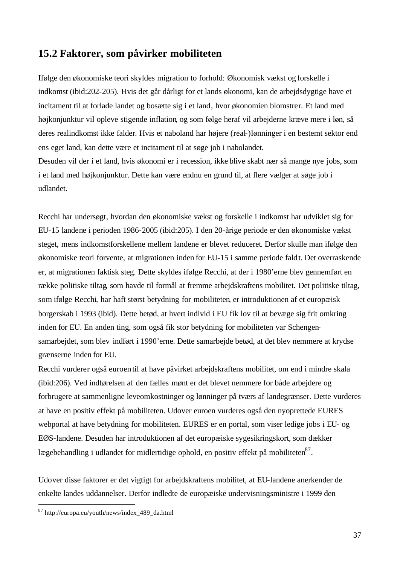#### **15.2 Faktorer, som påvirker mobiliteten**

Ifølge den økonomiske teori skyldes migration to forhold: Økonomisk vækst og forskelle i indkomst (ibid:202-205). Hvis det går dårligt for et lands økonomi, kan de arbejdsdygtige have et incitament til at forlade landet og bosætte sig i et land, hvor økonomien blomstrer. Et land med højkonjunktur vil opleve stigende inflation, og som følge heraf vil arbejderne kræve mere i løn, så deres realindkomst ikke falder. Hvis et naboland har højere (real-)lønninger i en bestemt sektor end ens eget land, kan dette være et incitament til at søge job i nabolandet.

Desuden vil der i et land, hvis økonomi er i recession, ikke blive skabt nær så mange nye jobs, som i et land med højkonjunktur. Dette kan være endnu en grund til, at flere vælger at søge job i udlandet.

Recchi har undersøgt, hvordan den økonomiske vækst og forskelle i indkomst har udviklet sig for EU-15 landene i perioden 1986-2005 (ibid:205). I den 20-årige periode er den økonomiske vækst steget, mens indkomstforskellene mellem landene er blevet reduceret. Derfor skulle man ifølge den økonomiske teori forvente, at migrationen inden for EU-15 i samme periode faldt. Det overraskende er, at migrationen faktisk steg. Dette skyldes ifølge Recchi, at der i 1980'erne blev gennemført en række politiske tiltag, som havde til formål at fremme arbejdskraftens mobilitet. Det politiske tiltag, som ifølge Recchi, har haft størst betydning for mobiliteten, er introduktionen af et europæisk borgerskab i 1993 (ibid). Dette betød, at hvert individ i EU fik lov til at bevæge sig frit omkring inden for EU. En anden ting, som også fik stor betydning for mobiliteten var Schengensamarbejdet, som blev indført i 1990'erne. Dette samarbejde betød, at det blev nemmere at krydse grænserne inden for EU.

Recchi vurderer også euroen til at have påvirket arbejdskraftens mobilitet, om end i mindre skala (ibid:206). Ved indførelsen af den fælles mønt er det blevet nemmere for både arbejdere og forbrugere at sammenligne leveomkostninger og lønninger på tværs af landegrænser. Dette vurderes at have en positiv effekt på mobiliteten. Udover euroen vurderes også den nyoprettede EURES webportal at have betydning for mobiliteten. EURES er en portal, som viser ledige jobs i EU- og EØS-landene. Desuden har introduktionen af det europæiske sygesikringskort, som dækker lægebehandling i udlandet for midlertidige ophold, en positiv effekt på mobiliteten $^{87}$ .

Udover disse faktorer er det vigtigt for arbejdskraftens mobilitet, at EU-landene anerkender de enkelte landes uddannelser. Derfor indledte de europæiske undervisningsministre i 1999 den

<sup>87</sup> http://europa.eu/youth/news/index\_489\_da.html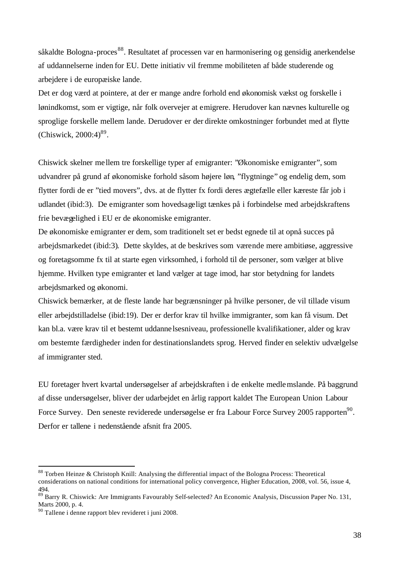såkaldte Bologna-proces<sup>88</sup>. Resultatet af processen var en harmonisering og gensidig anerkendelse af uddannelserne inden for EU. Dette initiativ vil fremme mobiliteten af både studerende og arbejdere i de europæiske lande.

Det er dog værd at pointere, at der er mange andre forhold end økonomisk vækst og forskelle i lønindkomst, som er vigtige, når folk overvejer at emigrere. Herudover kan nævnes kulturelle og sproglige forskelle mellem lande. Derudover er der direkte omkostninger forbundet med at flytte (Chiswick,  $2000:4$ )<sup>89</sup>.

Chiswick skelner mellem tre forskellige typer af emigranter: "Økonomiske emigranter", som udvandrer på grund af økonomiske forhold såsom højere løn, "flygtninge" og endelig dem, som flytter fordi de er "tied movers", dvs. at de flytter fx fordi deres ægtefælle eller kæreste får job i udlandet (ibid:3). De emigranter som hovedsageligt tænkes på i forbindelse med arbejdskraftens frie bevægelighed i EU er de økonomiske emigranter.

De økonomiske emigranter er dem, som traditionelt set er bedst egnede til at opnå succes på arbejdsmarkedet (ibid:3). Dette skyldes, at de beskrives som værende mere ambitiøse, aggressive og foretagsomme fx til at starte egen virksomhed, i forhold til de personer, som vælger at blive hjemme. Hvilken type emigranter et land vælger at tage imod, har stor betydning for landets arbejdsmarked og økonomi.

Chiswick bemærker, at de fleste lande har begrænsninger på hvilke personer, de vil tillade visum eller arbejdstilladelse (ibid:19). Der er derfor krav til hvilke immigranter, som kan få visum. Det kan bl.a. være krav til et bestemt uddanne lsesniveau, professionelle kvalifikationer, alder og krav om bestemte færdigheder inden for destinationslandets sprog. Herved finder en selektiv udvælgelse af immigranter sted.

EU foretager hvert kvartal undersøgelser af arbejdskraften i de enkelte medlemslande. På baggrund af disse undersøgelser, bliver der udarbejdet en årlig rapport kaldet The European Union Labour Force Survey. Den seneste reviderede undersøgelse er fra Labour Force Survey 2005 rapporten<sup>90</sup>. Derfor er tallene i nedenstående afsnit fra 2005.

<sup>88</sup> Torben Heinze & Christoph Knill: Analysing the differential impact of the Bologna Process: Theoretical considerations on national conditions for international policy convergence, Higher Education, 2008, vol. 56, issue 4, 494.

<sup>&</sup>lt;sup>89</sup> Barry R. Chiswick: Are Immigrants Favourably Self-selected? An Economic Analysis, Discussion Paper No. 131, Marts 2000, p. 4.

<sup>90</sup> Tallene i denne rapport blev revideret i juni 2008.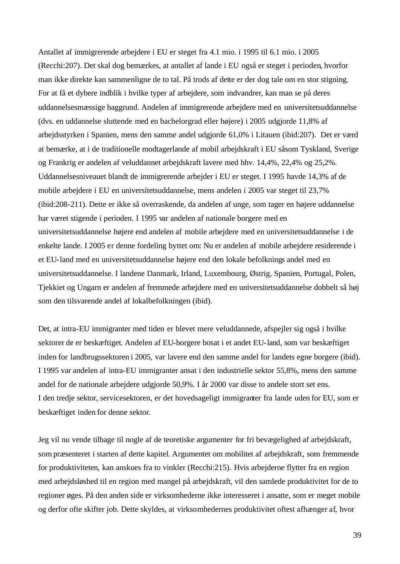Antallet af immigrerende arbejdere i EU er steget fra 4.1 mio. i 1995 til 6.1 mio. i 2005 (Recchi:207). Det skal dog bemærkes, at antallet af lande i EU også er steget i perioden, hvorfor man ikke direkte kan sammenligne de to tal. På trods af dette er der dog tale om en stor stigning. For at få et dybere indblik i hvilke typer af arbejdere, som indvandrer, kan man se på deres uddannelsesmæssige baggrund. Andelen af immigrerende arbejdere med en universitetsuddannelse (dvs. en uddannelse sluttende med en bachelorgrad eller højere) i 2005 udgjorde 11,8% af arbejdsstyrken i Spanien, mens den samme andel udgjorde 61,0% i Litauen (ibid:207). Det er værd at bemærke, at i de traditionelle modtagerlande af mobil arbejdskraft i EU såsom Tyskland, Sverige og Frankrig er andelen af veluddannet arbejdskraft lavere med hhv. 14,4%, 22,4% og 25,2%. Uddannelsesniveauet blandt de immigrerende arbejder i EU er steget. I 1995 havde 14,3% af de mobile arbejdere i EU en universitetsuddannelse, mens andelen i 2005 var steget til 23,7% (ibid:208-211). Dette er ikke så overraskende, da andelen af unge, som tager en højere uddannelse har været stigende i perioden. I 1995 var andelen af nationale borgere med en universitetsuddannelse højere end andelen af mobile arbejdere med en universitetsuddannelse i de enkelte lande. I 2005 er denne fordeling byttet om: Nu er andelen af mobile arbejdere residerende i et EU-land med en universitetsuddannelse højere end den lokale befolknings andel med en universitetsuddannelse. I landene Danmark, Irland, Luxembourg, Østrig, Spanien, Portugal, Polen, Tjekkiet og Ungarn er andelen af fremmede arbejdere med en universitetsuddannelse dobbelt så høj som den tilsvarende andel af lokalbefolkningen (ibid).

Det, at intra-EU immigranter med tiden er blevet mere veluddannede, afspejler sig også i hvilke sektorer de er beskæftiget. Andelen af EU-borgere bosat i et andet EU-land, som var beskæftiget inden for landbrugssektoren i 2005, var lavere end den samme andel for landets egne borgere (ibid). I 1995 var andelen af intra-EU immigranter ansat i den industrielle sektor 55,8%, mens den samme andel for de nationale arbejdere udgjorde 50,9%. I år 2000 var disse to andele stort set ens. I den tredje sektor, servicesektoren, er det hovedsageligt immigranter fra lande uden for EU, som er beskæftiget inden for denne sektor.

Jeg vil nu vende tilbage til nogle af de teoretiske argumenter for fri bevægelighed af arbejdskraft, sompræsenteret i starten af dette kapitel. Argumentet om mobilitet af arbejdskraft, som fremmende for produktiviteten, kan anskues fra to vinkler (Recchi:215). Hvis arbejderne flytter fra en region med arbejdsløshed til en region med mangel på arbejdskraft, vil den samlede produktivitet for de to regioner øges. På den anden side er virksomhederne ikke interesseret i ansatte, som er meget mobile og derfor ofte skifter job. Dette skyldes, at virksomhedernes produktivitet oftest afhænger af, hvor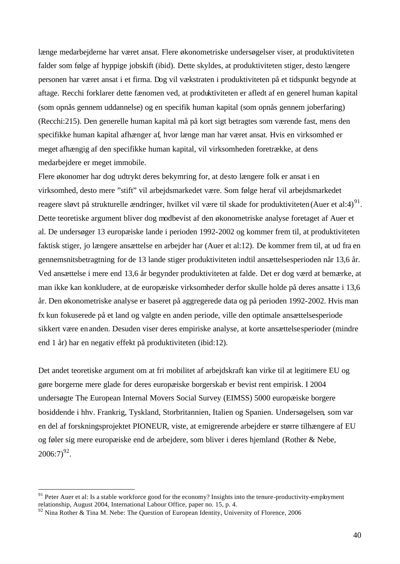længe medarbejderne har været ansat. Flere økonometriske undersøgelser viser, at produktiviteten falder som følge af hyppige jobskift (ibid). Dette skyldes, at produktiviteten stiger, desto længere personen har været ansat i et firma. Dog vil vækstraten i produktiviteten på et tidspunkt begynde at aftage. Recchi forklarer dette fænomen ved, at produktiviteten er afledt af en generel human kapital (som opnås gennem uddannelse) og en specifik human kapital (som opnås gennem joberfaring) (Recchi:215). Den generelle human kapital må på kort sigt betragtes som værende fast, mens den specifikke human kapital afhænger af, hvor længe man har været ansat. Hvis en virksomhed er meget afhængig af den specifikke human kapital, vil virksomheden foretrække, at dens medarbejdere er meget immobile.

Flere økonomer har dog udtrykt deres bekymring for, at desto længere folk er ansat i en virksomhed, desto mere "stift" vil arbejdsmarkedet være. Som følge heraf vil arbejdsmarkedet reagere sløvt på strukturelle ændringer, hvilket vil være til skade for produktiviteten (Auer et al:4)<sup>91</sup>. Dette teoretiske argument bliver dog modbevist af den økonometriske analyse foretaget af Auer et al. De undersøger 13 europæiske lande i perioden 1992-2002 og kommer frem til, at produktiviteten faktisk stiger, jo længere ansættelse en arbejder har (Auer et al:12). De kommer frem til, at ud fra en gennemsnitsbetragtning for de 13 lande stiger produktiviteten indtil ansættelsesperioden når 13,6 år. Ved ansættelse i mere end 13,6 år begynder produktiviteten at falde. Det er dog værd at bemærke, at man ikke kan konkludere, at de europæiske virksomheder derfor skulle holde på deres ansatte i 13,6 år. Den økonometriske analyse er baseret på aggregerede data og på perioden 1992-2002. Hvis man fx kun fokuserede på et land og valgte en anden periode, ville den optimale ansættelsesperiode sikkert være en anden. Desuden viser deres empiriske analyse, at korte ansættelsesperioder (mindre end 1 år) har en negativ effekt på produktiviteten (ibid:12).

Det andet teoretiske argument om at fri mobilitet af arbejdskraft kan virke til at legitimere EU og gøre borgerne mere glade for deres europæiske borgerskab er bevist rent empirisk. I 2004 undersøgte The European Internal Movers Social Survey (EIMSS) 5000 europæiske borgere bosiddende i hhv. Frankrig, Tyskland, Storbritannien, Italien og Spanien. Undersøgelsen, som var en del af forskningsprojektet PIONEUR, viste, at emigrerende arbejdere er større tilhængere af EU og føler sig mere europæiske end de arbejdere, som bliver i deres hjemland (Rother & Nebe,  $2006:7)^{92}$ .

 $91$  Peter Auer et al: Is a stable workforce good for the economy? Insights into the tenure-productivity-employment relationship, August 2004, International Labour Office, paper no. 15, p. 4.

 $92$  Nina Rother & Tina M. Nebe: The Question of European Identity, University of Florence, 2006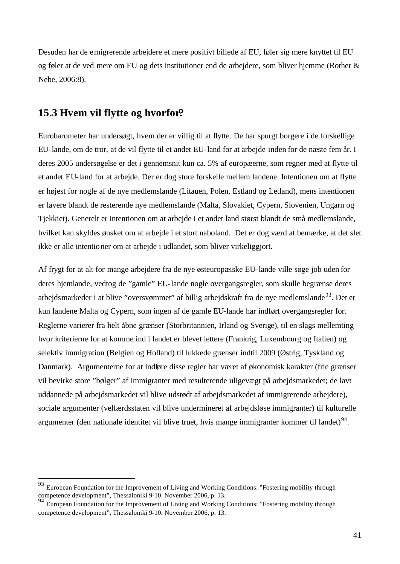Desuden har de emigrerende arbejdere et mere positivt billede af EU, føler sig mere knyttet til EU og føler at de ved mere om EU og dets institutioner end de arbejdere, som bliver hjemme (Rother & Nebe, 2006:8).

## **15.3 Hvem vil flytte og hvorfor?**

l

Eurobarometer har undersøgt, hvem der er villig til at flytte. De har spurgt borgere i de forskellige EU-lande, om de tror, at de vil flytte til et andet EU-land for at arbejde inden for de næste fem år. I deres 2005 undersøgelse er det i gennemsnit kun ca. 5% af europæerne, som regner med at flytte til et andet EU-land for at arbejde. Der er dog store forskelle mellem landene. Intentionen om at flytte er højest for nogle af de nye medlemslande (Litauen, Polen, Estland og Letland), mens intentionen er lavere blandt de resterende nye medlemslande (Malta, Slovakiet, Cypern, Slovenien, Ungarn og Tjekkiet). Generelt er intentionen om at arbejde i et andet land størst blandt de små medlemslande, hvilket kan skyldes ønsket om at arbejde i et stort naboland. Det er dog værd at bemærke, at det slet ikke er alle intentioner om at arbejde i udlandet, som bliver virkeliggjort.

Af frygt for at alt for mange arbejdere fra de nye østeuropæiske EU-lande ville søge job uden for deres hjemlande, vedtog de "gamle" EU-lande nogle overgangsregler, som skulle begrænse deres arbejdsmarkeder i at blive "oversvømmet" af billig arbejdskraft fra de nye medlemslande<sup>93</sup>. Det er kun landene Malta og Cypern, som ingen af de gamle EU-lande har indført overgangsregler for. Reglerne varierer fra helt åbne grænser (Storbritannien, Irland og Sverige), til en slags mellemting hvor kriterierne for at komme ind i landet er blevet lettere (Frankrig, Luxembourg og Italien) og selektiv immigration (Belgien og Holland) til lukkede grænser indtil 2009 (Østrig, Tyskland og Danmark). Argumenterne for at indføre disse regler har været af økonomisk karakter (frie grænser vil bevirke store "bølger" af immigranter med resulterende uligevægt på arbejdsmarkedet; de lavt uddannede på arbejdsmarkedet vil blive udstødt af arbejdsmarkedet af immigrerende arbejdere), sociale argumenter (velfærdsstaten vil blive undermineret af arbejdsløse immigranter) til kulturelle argumenter (den nationale identitet vil blive truet, hvis mange immigranter kommer til landet) $94$ .

<sup>93</sup> European Foundation for the Improvement of Living and Working Conditions: "Fostering mobility through competence development", Thessaloniki 9-10. November 2006, p. 13.

<sup>&</sup>lt;sup>94</sup> European Foundation for the Improvement of Living and Working Conditions: "Fostering mobility through competence development", Thessaloniki 9-10. November 2006, p. 13.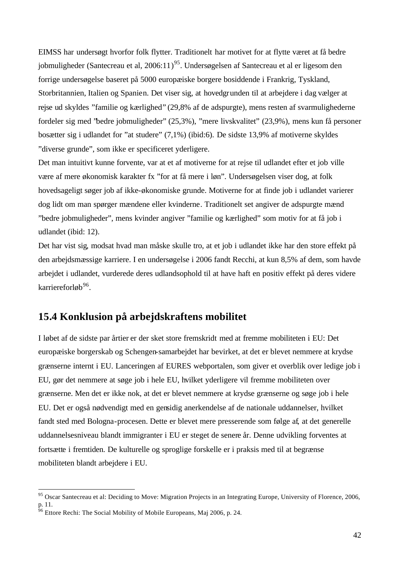EIMSS har undersøgt hvorfor folk flytter. Traditionelt har motivet for at flytte været at få bedre jobmuligheder (Santecreau et al, 2006:11)<sup>95</sup>. Undersøgelsen af Santecreau et al er ligesom den forrige undersøgelse baseret på 5000 europæiske borgere bosiddende i Frankrig, Tyskland, Storbritannien, Italien og Spanien. Det viser sig, at hovedgrunden til at arbejdere i dag vælger at rejse ud skyldes "familie og kærlighed" (29,8% af de adspurgte), mens resten af svarmulighederne fordeler sig med "bedre jobmuligheder" (25,3%), "mere livskvalitet" (23,9%), mens kun få personer bosætter sig i udlandet for "at studere" (7,1%) (ibid:6). De sidste 13,9% af motiverne skyldes "diverse grunde", som ikke er specificeret yderligere.

Det man intuitivt kunne forvente, var at et af motiverne for at rejse til udlandet efter et job ville være af mere økonomisk karakter fx "for at få mere i løn". Undersøgelsen viser dog, at folk hovedsageligt søger job af ikke-økonomiske grunde. Motiverne for at finde job i udlandet varierer dog lidt om man spørger mændene eller kvinderne. Traditionelt set angiver de adspurgte mænd "bedre jobmuligheder", mens kvinder angiver "familie og kærlighed" som motiv for at få job i udlandet (ibid: 12).

Det har vist sig, modsat hvad man måske skulle tro, at et job i udlandet ikke har den store effekt på den arbejdsmæssige karriere. I en undersøgelse i 2006 fandt Recchi, at kun 8,5% af dem, som havde arbejdet i udlandet, vurderede deres udlandsophold til at have haft en positiv effekt på deres videre karriereforløb<sup>96</sup>.

## **15.4 Konklusion på arbejdskraftens mobilitet**

I løbet af de sidste par årtier er der sket store fremskridt med at fremme mobiliteten i EU: Det europæiske borgerskab og Schengen-samarbejdet har bevirket, at det er blevet nemmere at krydse grænserne internt i EU. Lanceringen af EURES webportalen, som giver et overblik over ledige job i EU, gør det nemmere at søge job i hele EU, hvilket yderligere vil fremme mobiliteten over grænserne. Men det er ikke nok, at det er blevet nemmere at krydse grænserne og søge job i hele EU. Det er også nødvendigt med en gensidig anerkendelse af de nationale uddannelser, hvilket fandt sted med Bologna-procesen. Dette er blevet mere presserende som følge af, at det generelle uddannelsesniveau blandt immigranter i EU er steget de senere år. Denne udvikling forventes at fortsætte i fremtiden. De kulturelle og sproglige forskelle er i praksis med til at begrænse mobiliteten blandt arbejdere i EU.

 $95$  Oscar Santecreau et al: Deciding to Move: Migration Projects in an Integrating Europe, University of Florence, 2006, p. 11.

 $^{96}$  Ettore Rechi: The Social Mobility of Mobile Europeans, Maj 2006, p. 24.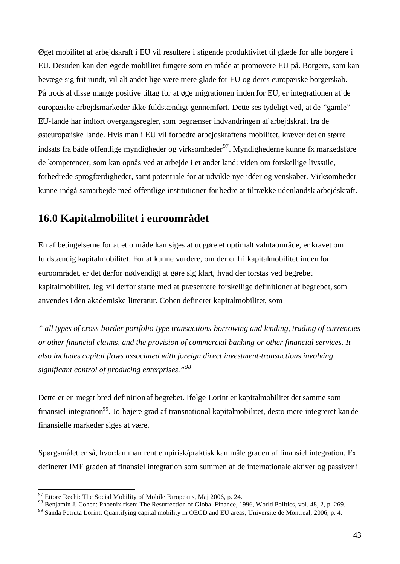Øget mobilitet af arbejdskraft i EU vil resultere i stigende produktivitet til glæde for alle borgere i EU. Desuden kan den øgede mobilitet fungere som en måde at promovere EU på. Borgere, som kan bevæge sig frit rundt, vil alt andet lige være mere glade for EU og deres europæiske borgerskab. På trods af disse mange positive tiltag for at øge migrationen inden for EU, er integrationen af de europæiske arbejdsmarkeder ikke fuldstændigt gennemført. Dette ses tydeligt ved, at de "gamle" EU-lande har indført overgangsregler, som begrænser indvandringen af arbejdskraft fra de østeuropæiske lande. Hvis man i EU vil forbedre arbejdskraftens mobilitet, kræver det en større indsats fra både offentlige myndigheder og virksomheder<sup>97</sup>. Myndighederne kunne fx markedsføre de kompetencer, som kan opnås ved at arbejde i et andet land: viden om forskellige livsstile, forbedrede sprogfærdigheder, samt potentiale for at udvikle nye idéer og venskaber. Virksomheder kunne indgå samarbejde med offentlige institutioner for bedre at tiltrække udenlandsk arbejdskraft.

# **16.0 Kapitalmobilitet i euroområdet**

En af betingelserne for at et område kan siges at udgøre et optimalt valutaområde, er kravet om fuldstændig kapitalmobilitet. For at kunne vurdere, om der er fri kapitalmobilitet inden for euroområdet, er det derfor nødvendigt at gøre sig klart, hvad der forstås ved begrebet kapitalmobilitet. Jeg vil derfor starte med at præsentere forskellige definitioner af begrebet, som anvendes i den akademiske litteratur. Cohen definerer kapitalmobilitet, som

*" all types of cross-border portfolio-type transactions-borrowing and lending, trading of currencies or other financial claims, and the provision of commercial banking or other financial services. It also includes capital flows associated with foreign direct investment-transactions involving significant control of producing enterprises." 98*

Dette er en meget bred definition af begrebet. Ifølge Lorint er kapitalmobilitet det samme som finansiel integration<sup>99</sup>. Jo højere grad af transnational kapitalmobilitet, desto mere integreret kan de finansielle markeder siges at være.

Spørgsmålet er så, hvordan man rent empirisk/praktisk kan måle graden af finansiel integration. Fx definerer IMF graden af finansiel integration som summen af de internationale aktiver og passiver i

 $97$  Ettore Rechi: The Social Mobility of Mobile Europeans, Maj 2006, p. 24.

<sup>98</sup> Benjamin J. Cohen: Phoenix risen: The Resurrection of Global Finance, 1996, World Politics, vol. 48, 2, p. 269.

<sup>&</sup>lt;sup>99</sup> Sanda Petruta Lorint: Quantifying capital mobility in OECD and EU areas, Universite de Montreal, 2006, p. 4.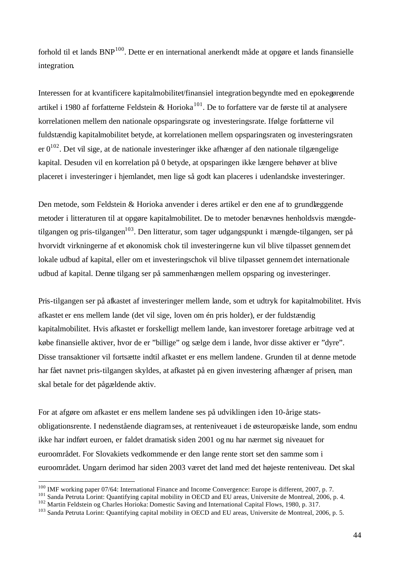forhold til et lands BNP<sup>100</sup>. Dette er en international anerkendt måde at opgøre et lands finansielle integration.

Interessen for at kvantificere kapitalmobilitet/finansiel integration begyndte med en epokegørende artikel i 1980 af forfatterne Feldstein & Horioka<sup>101</sup>. De to forfattere var de første til at analysere korrelationen mellem den nationale opsparingsrate og investeringsrate. Ifølge forfatterne vil fuldstændig kapitalmobilitet betyde, at korrelationen mellem opsparingsraten og investeringsraten er  $0^{102}$ . Det vil sige, at de nationale investeringer ikke afhænger af den nationale tilgængelige kapital. Desuden vil en korrelation på 0 betyde, at opsparingen ikke længere behøver at blive placeret i investeringer i hjemlandet, men lige så godt kan placeres i udenlandske investeringer.

Den metode, som Feldstein & Horioka anvender i deres artikel er den ene af to grundlæggende metoder i litteraturen til at opgøre kapitalmobilitet. De to metoder benævnes henholdsvis mængdetilgangen og pris-tilgangen<sup>103</sup>. Den litteratur, som tager udgangspunkt i mængde-tilgangen, ser på hvorvidt virkningerne af et økonomisk chok til investeringerne kun vil blive tilpasset gennemdet lokale udbud af kapital, eller om et investeringschok vil blive tilpasset gennemdet internationale udbud af kapital. Denne tilgang ser på sammenhængen mellem opsparing og investeringer.

Pris-tilgangen ser på afkastet af investeringer mellem lande, som et udtryk for kapitalmobilitet. Hvis afkastet er ens mellem lande (det vil sige, loven om én pris holder), er der fuldstændig kapitalmobilitet. Hvis afkastet er forskelligt mellem lande, kan investorer foretage arbitrage ved at købe finansielle aktiver, hvor de er "billige" og sælge dem i lande, hvor disse aktiver er "dyre". Disse transaktioner vil fortsætte indtil afkastet er ens mellem landene. Grunden til at denne metode har fået navnet pris-tilgangen skyldes, at afkastet på en given investering afhænger af prisen, man skal betale for det pågældende aktiv.

For at afgøre om afkastet er ens mellem landene ses på udviklingen iden 10-årige statsobligationsrente. I nedenstående diagramses, at renteniveauet i de østeuropæiske lande, som endnu ikke har indført euroen, er faldet dramatisk siden 2001 og nu har nærmet sig niveauet for euroområdet. For Slovakiets vedkommende er den lange rente stort set den samme som i euroområdet. Ungarn derimod har siden 2003 været det land med det højeste renteniveau. Det skal

<sup>&</sup>lt;sup>100</sup> IMF working paper 07/64: International Finance and Income Convergence: Europe is different, 2007, p. 7.

<sup>&</sup>lt;sup>101</sup> Sanda Petruta Lorint: Quantifying capital mobility in OECD and EU areas, Universite de Montreal, 2006, p. 4.

<sup>102</sup> Martin Feldstein og Charles Horioka: Domestic Saving and International Capital Flows, 1980, p. 317.

<sup>&</sup>lt;sup>103</sup> Sanda Petruta Lorint: Quantifying capital mobility in OECD and EU areas, Universite de Montreal, 2006, p. 5.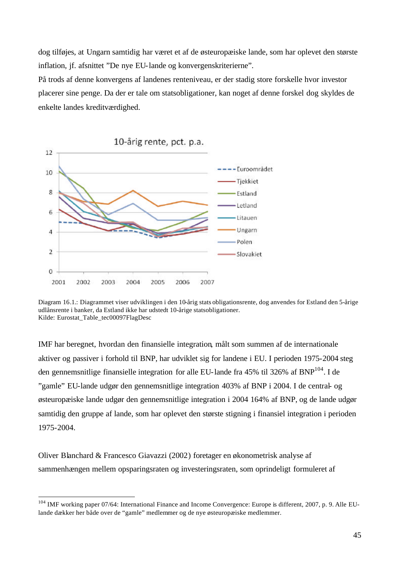dog tilføjes, at Ungarn samtidig har været et af de østeuropæiske lande, som har oplevet den største inflation, jf. afsnittet "De nye EU-lande og konvergenskriterierne".

På trods af denne konvergens af landenes renteniveau, er der stadig store forskelle hvor investor placerer sine penge. Da der er tale om statsobligationer, kan noget af denne forskel dog skyldes de enkelte landes kreditværdighed.



Diagram 16.1.: Diagrammet viser udviklingen i den 10-årig stats obligationsrente, dog anvendes for Estland den 5-årige udlånsrente i banker, da Estland ikke har udstedt 10-årige statsobligationer. Kilde: Eurostat\_Table\_tec00097FlagDesc

IMF har beregnet, hvordan den finansielle integration, målt som summen af de internationale aktiver og passiver i forhold til BNP, har udviklet sig for landene i EU. I perioden 1975-2004 steg den gennemsnitlige finansielle integration for alle EU-lande fra 45% til 326% af BNP<sup>104</sup>. I de "gamle" EU-lande udgør den gennemsnitlige integration 403% af BNP i 2004. I de central- og østeuropæiske lande udgør den gennemsnitlige integration i 2004 164% af BNP, og de lande udgør samtidig den gruppe af lande, som har oplevet den største stigning i finansiel integration i perioden 1975-2004.

Oliver Blanchard & Francesco Giavazzi (2002) foretager en økonometrisk analyse af sammenhængen mellem opsparingsraten og investeringsraten, som oprindeligt formuleret af

<sup>&</sup>lt;sup>104</sup> IMF working paper 07/64: International Finance and Income Convergence: Europe is different, 2007, p. 9. Alle EUlande dækker her både over de "gamle" medlemmer og de nye østeuropæiske medlemmer.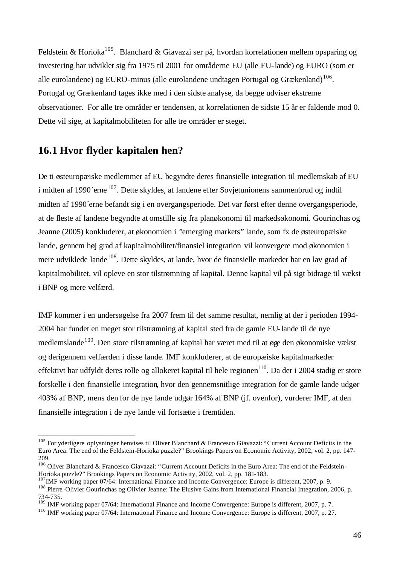Feldstein & Horioka<sup>105</sup>. Blanchard & Giavazzi ser på, hvordan korrelationen mellem opsparing og investering har udviklet sig fra 1975 til 2001 for områderne EU (alle EU-lande) og EURO (som er alle eurolandene) og EURO-minus (alle eurolandene undtagen Portugal og Grækenland)<sup>106</sup>. Portugal og Grækenland tages ikke med i den sidste analyse, da begge udviser ekstreme observationer. For alle tre områder er tendensen, at korrelationen de sidste 15 år er faldende mod 0. Dette vil sige, at kapitalmobiliteten for alle tre områder er steget.

## **16.1 Hvor flyder kapitalen hen?**

l

De ti østeuropæiske medlemmer af EU begyndte deres finansielle integration til medlemskab af EU i midten af 1990'erne <sup>107</sup>. Dette skyldes, at landene efter Sovjetunionens sammenbrud og indtil midten af 1990´erne befandt sig i en overgangsperiode. Det var først efter denne overgangsperiode, at de fleste af landene begyndte at omstille sig fra planøkonomi til markedsøkonomi. Gourinchas og Jeanne (2005) konkluderer, at økonomien i "emerging markets" lande, som fx de østeuropæiske lande, gennem høj grad af kapitalmobilitet/finansiel integration vil konvergere mod økonomien i mere udviklede lande<sup>108</sup>. Dette skyldes, at lande, hvor de finansielle markeder har en lav grad af kapitalmobilitet, vil opleve en stor tilstrømning af kapital. Denne kapital vil på sigt bidrage til vækst i BNP og mere velfærd.

IMF kommer i en undersøgelse fra 2007 frem til det samme resultat, nemlig at der i perioden 1994- 2004 har fundet en meget stor tilstrømning af kapital sted fra de gamle EU-lande til de nye medlemslande<sup>109</sup>. Den store tilstrømning af kapital har været med til at øge den økonomiske vækst og derigennem velfærden i disse lande. IMF konkluderer, at de europæiske kapitalmarkeder effektivt har udfyldt deres rolle og allokeret kapital til hele regionen<sup>110</sup>. Da der i 2004 stadig er store forskelle i den finansielle integration, hvor den gennemsnitlige integration for de gamle lande udgør 403% af BNP, mens den for de nye lande udgør 164% af BNP (jf. ovenfor), vurderer IMF, at den finansielle integration i de nye lande vil fortsætte i fremtiden.

<sup>&</sup>lt;sup>105</sup> For yderligere oplysninger henvises til Oliver Blanchard & Francesco Giavazzi: "Current Account Deficits in the Euro Area: The end of the Feldstein-Horioka puzzle?" Brookings Papers on Economic Activity, 2002, vol. 2, pp. 147- 209.

<sup>&</sup>lt;sup>106</sup> Oliver Blanchard & Francesco Giavazzi: "Current Account Deficits in the Euro Area: The end of the Feldstein-Horioka puzzle?" Brookings Papers on Economic Activity, 2002, vol. 2, pp. 181-183.

<sup>&</sup>lt;sup>107</sup>IMF working paper 07/64: International Finance and Income Convergence: Europe is different, 2007, p. 9.

<sup>108</sup> Pierre -Olivier Gourinchas og Olivier Jeanne: The Elusive Gains from International Financial Integration, 2006, p. 734-735.

<sup>&</sup>lt;sup>109</sup> IMF working paper 07/64: International Finance and Income Convergence: Europe is different, 2007, p. 7.

<sup>110</sup> IMF working paper 07/64: International Finance and Income Convergence: Europe is different, 2007, p. 27.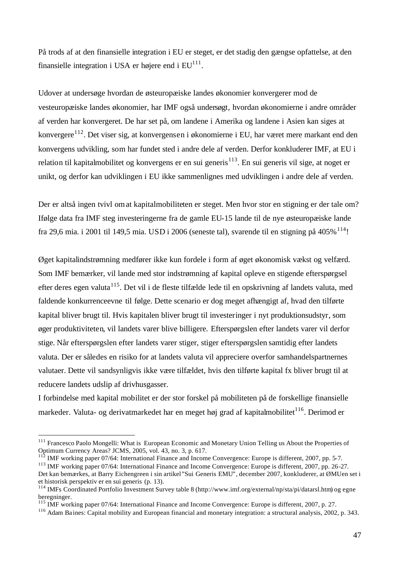På trods af at den finansielle integration i EU er steget, er det stadig den gængse opfattelse, at den finansielle integration i USA er højere end i  $EU^{111}$ .

Udover at undersøge hvordan de østeuropæiske landes økonomier konvergerer mod de vesteuropæiske landes økonomier, har IMF også undersøgt, hvordan økonomierne i andre områder af verden har konvergeret. De har set på, om landene i Amerika og landene i Asien kan siges at konvergere<sup>112</sup>. Det viser sig, at konvergensen i økonomierne i EU, har været mere markant end den konvergens udvikling, som har fundet sted i andre dele af verden. Derfor konkluderer IMF, at EU i relation til kapitalmobilitet og konvergens er en sui generis<sup>113</sup>. En sui generis vil sige, at noget er unikt, og derfor kan udviklingen i EU ikke sammenlignes med udviklingen i andre dele af verden.

Der er altså ingen tvivl omat kapitalmobiliteten er steget. Men hvor stor en stigning er der tale om? Ifølge data fra IMF steg investeringerne fra de gamle EU-15 lande til de nye østeuropæiske lande fra 29,6 mia. i 2001 til 149,5 mia. USD i 2006 (seneste tal), svarende til en stigning på 405%  $^{114}$ !

Øget kapitalindstrømning medfører ikke kun fordele i form af øget økonomisk vækst og velfærd. Som IMF bemærker, vil lande med stor indstrømning af kapital opleve en stigende efterspørgsel efter deres egen valuta<sup>115</sup>. Det vil i de fleste tilfælde lede til en opskrivning af landets valuta, med faldende konkurrenceevne til følge. Dette scenario er dog meget afhængigt af, hvad den tilførte kapital bliver brugt til. Hvis kapitalen bliver brugt til investeringer i nyt produktionsudstyr, som øger produktiviteten, vil landets varer blive billigere. Efterspørgslen efter landets varer vil derfor stige. Når efterspørgslen efter landets varer stiger, stiger efterspørgslen samtidig efter landets valuta. Der er således en risiko for at landets valuta vil appreciere overfor samhandelspartnernes valutaer. Dette vil sandsynligvis ikke være tilfældet, hvis den tilførte kapital fx bliver brugt til at reducere landets udslip af drivhusgasser.

I forbindelse med kapital mobilitet er der stor forskel på mobiliteten på de forskellige finansielle markeder. Valuta- og derivatmarkedet har en meget høj grad af kapitalmobilitet<sup>116</sup>. Derimod er

<sup>&</sup>lt;sup>111</sup> Francesco Paolo Mongelli: What is European Economic and Monetary Union Telling us About the Properties of Optimum Currency Areas? JCMS, 2005, vol. 43, no. 3, p. 617.

<sup>112</sup> IMF working paper 07/64: International Finance and Income Convergence: Europe is different, 2007, pp. 5-7.

<sup>&</sup>lt;sup>113</sup> IMF working paper 07/64: International Finance and Income Convergence: Europe is different, 2007, pp. 26-27. Det kan bemærkes, at Barry Eichengreen i sin artikel"Sui Generis EMU", december 2007, konkluderer, at ØMUen set i et historisk perspektiv er en sui generis (p. 13).

<sup>114</sup> IMFs Coordinated Portfolio Investment Survey table 8 (http://www.imf.org/external/np/sta/pi/datarsl.htm) og egne beregninger.

<sup>&</sup>lt;sup>115</sup> IMF working paper 07/64: International Finance and Income Convergence: Europe is different, 2007, p. 27.

<sup>116</sup> Adam Ba ines: Capital mobility and European financial and monetary integration: a structural analysis, 2002, p. 343.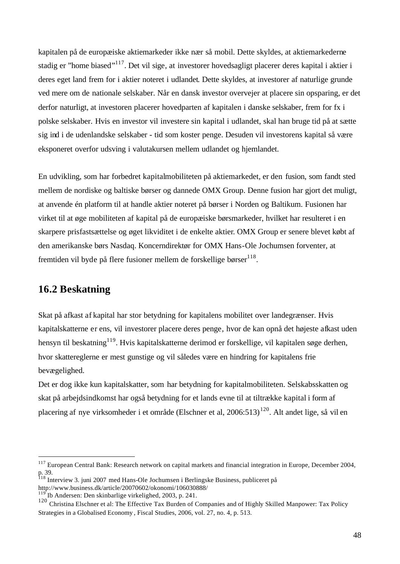kapitalen på de europæiske aktiemarkeder ikke nær så mobil. Dette skyldes, at aktiemarkederne stadig er "home biased"<sup>117</sup>. Det vil sige, at investorer hovedsagligt placerer deres kapital i aktier i deres eget land frem for i aktier noteret i udlandet. Dette skyldes, at investorer af naturlige grunde ved mere om de nationale selskaber. Når en dansk investor overvejer at placere sin opsparing, er det derfor naturligt, at investoren placerer hovedparten af kapitalen i danske selskaber, frem for fx i polske selskaber. Hvis en investor vil investere sin kapital i udlandet, skal han bruge tid på at sætte sig ind i de udenlandske selskaber - tid som koster penge. Desuden vil investorens kapital så være eksponeret overfor udsving i valutakursen mellem udlandet og hjemlandet.

En udvikling, som har forbedret kapitalmobiliteten på aktiemarkedet, er den fusion, som fandt sted mellem de nordiske og baltiske børser og dannede OMX Group. Denne fusion har gjort det muligt, at anvende én platform til at handle aktier noteret på børser i Norden og Baltikum. Fusionen har virket til at øge mobiliteten af kapital på de europæiske børsmarkeder, hvilket har resulteret i en skarpere prisfastsættelse og øget likviditet i de enkelte aktier. OMX Group er senere blevet købt af den amerikanske børs Nasdaq. Koncerndirektør for OMX Hans-Ole Jochumsen forventer, at fremtiden vil byde på flere fusioner mellem de forskellige børser $118$ .

## **16.2 Beskatning**

l

Skat på afkast af kapital har stor betydning for kapitalens mobilitet over landegrænser. Hvis kapitalskatterne er ens, vil investorer placere deres penge, hvor de kan opnå det højeste afkast uden hensyn til beskatning<sup>119</sup>. Hvis kapitalskatterne derimod er forskellige, vil kapitalen søge derhen, hvor skattereglerne er mest gunstige og vil således være en hindring for kapitalens frie bevægelighed.

Det er dog ikke kun kapitalskatter, som har betydning for kapitalmobiliteten. Selskabsskatten og skat på arbejdsindkomst har også betydning for et lands evne til at tiltrække kapital i form af placering af nye virksomheder i et område (Elschner et al, 2006:513)<sup>120</sup>. Alt andet lige, så vil en

<sup>&</sup>lt;sup>117</sup> European Central Bank: Research network on capital markets and financial integration in Europe, December 2004, p. 39.

<sup>&</sup>lt;sup>118</sup> Interview 3. juni 2007 med Hans-Ole Jochumsen i Berlingske Business, publiceret på http://www.business.dk/article/20070602/okonomi/106030888/

 $\int$ Ib Andersen: Den skinbarlige virkelighed, 2003, p. 241.

<sup>120</sup> Christina Elschner et al: The Effective Tax Burden of Companies and of Highly Skilled Manpower: Tax Policy Strategies in a Globalised Economy , Fiscal Studies, 2006, vol. 27, no. 4, p. 513.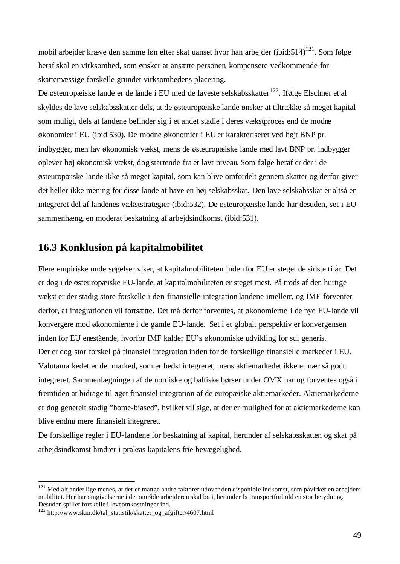mobil arbejder kræve den samme løn efter skat uanset hvor han arbejder (ibid:514)<sup>121</sup>. Som følge heraf skal en virksomhed, som ønsker at ansætte personen, kompensere vedkommende for skattemæssige forskelle grundet virksomhedens placering.

De østeuropæiske lande er de lande i EU med de laveste selskabsskatter<sup>122</sup>. Ifølge Elschner et al skyldes de lave selskabsskatter dels, at de østeuropæiske lande ønsker at tiltrække så meget kapital som muligt, dels at landene befinder sig i et andet stadie i deres vækstproces end de modne økonomier i EU (ibid:530). De modne økonomier i EU er karakteriseret ved højt BNP pr. indbygger, men lav økonomisk vækst, mens de østeuropæiske lande med lavt BNP pr. indbygger oplever høj økonomisk vækst, dog startende fra et lavt niveau. Som følge heraf er der i de østeuropæiske lande ikke så meget kapital, som kan blive omfordelt gennem skatter og derfor giver det heller ikke mening for disse lande at have en høj selskabsskat. Den lave selskabsskat er altså en integreret del af landenes vækststrategier (ibid:532). De østeuropæiske lande har desuden, set i EUsammenhæng, en moderat beskatning af arbejdsindkomst (ibid:531).

## **16.3 Konklusion på kapitalmobilitet**

Flere empiriske undersøgelser viser, at kapitalmobiliteten inden for EU er steget de sidste ti år. Det er dog i de østeuropæiske EU-lande, at kapitalmobiliteten er steget mest. På trods af den hurtige vækst er der stadig store forskelle i den finansielle integration landene imellem, og IMF forventer derfor, at integrationen vil fortsætte. Det må derfor forventes, at økonomierne i de nye EU-lande vil konvergere mod økonomierne i de gamle EU-lande. Set i et globalt perspektiv er konvergensen inden for EU enestående, hvorfor IMF kalder EU's økonomiske udvikling for sui generis. Der er dog stor forskel på finansiel integration inden for de forskellige finansielle markeder i EU. Valutamarkedet er det marked, som er bedst integreret, mens aktiemarkedet ikke er nær så godt integreret. Sammenlægningen af de nordiske og baltiske børser under OMX har og forventes også i fremtiden at bidrage til øget finansiel integration af de europæiske aktiemarkeder. Aktiemarkederne er dog generelt stadig "home-biased", hvilket vil sige, at der er mulighed for at aktiemarkederne kan blive endnu mere finansielt integreret.

De forskellige regler i EU-landene for beskatning af kapital, herunder af selskabsskatten og skat på arbejdsindkomst hindrer i praksis kapitalens frie bevægelighed.

<sup>&</sup>lt;sup>121</sup> Med alt andet lige menes, at der er mange andre faktorer udover den disponible indkomst, som påvirker en arbejders mobilitet. Her har omgivelserne i det område arbejderen skal bo i, herunder fx transportforhold en stor betydning. Desuden spiller forskelle i leveomkostninger ind.

<sup>122</sup> http://www.skm.dk/tal\_statistik/skatter\_og\_afgifter/4607.html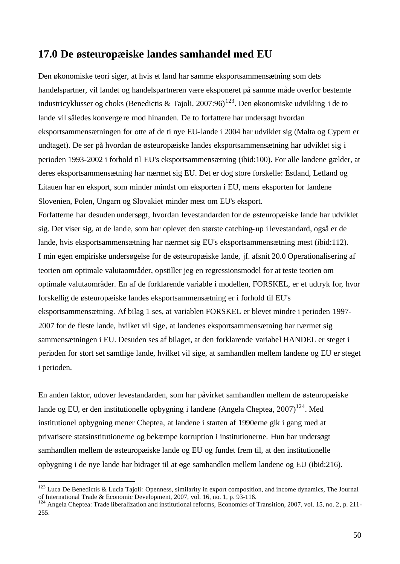## **17.0 De østeuropæiske landes samhandel med EU**

Den økonomiske teori siger, at hvis et land har samme eksportsammensætning som dets handelspartner, vil landet og handelspartneren være eksponeret på samme måde overfor bestemte industricyklusser og choks (Benedictis & Tajoli, 2007:96)<sup>123</sup>. Den økonomiske udvikling i de to lande vil således konverge re mod hinanden. De to forfattere har undersøgt hvordan eksportsammensætningen for otte af de ti nye EU-lande i 2004 har udviklet sig (Malta og Cypern er undtaget). De ser på hvordan de østeuropæiske landes eksportsammensætning har udviklet sig i perioden 1993-2002 i forhold til EU's eksportsammensætning (ibid:100). For alle landene gælder, at deres eksportsammensætning har nærmet sig EU. Det er dog store forskelle: Estland, Letland og Litauen har en eksport, som minder mindst om eksporten i EU, mens eksporten for landene Slovenien, Polen, Ungarn og Slovakiet minder mest om EU's eksport. Forfatterne har desuden undersøgt, hvordan levestandarden for de østeuropæiske lande har udviklet sig. Det viser sig, at de lande, som har oplevet den største catching-up i levestandard, også er de lande, hvis eksportsammensætning har nærmet sig EU's eksportsammensætning mest (ibid:112). I min egen empiriske undersøgelse for de østeuropæiske lande, jf. afsnit 20.0 Operationalisering af teorien om optimale valutaområder, opstiller jeg en regressionsmodel for at teste teorien om optimale valutaområder. En af de forklarende variable i modellen, FORSKEL, er et udtryk for, hvor forskellig de østeuropæiske landes eksportsammensætning er i forhold til EU's eksportsammensætning. Af bilag 1 ses, at variablen FORSKEL er blevet mindre i perioden 1997- 2007 for de fleste lande, hvilket vil sige, at landenes eksportsammensætning har nærmet sig sammensætningen i EU. Desuden ses af bilaget, at den forklarende variabel HANDEL er steget i perioden for stort set samtlige lande, hvilket vil sige, at samhandlen mellem landene og EU er steget i perioden.

En anden faktor, udover levestandarden, som har påvirket samhandlen mellem de østeuropæiske lande og EU, er den institutionelle opbygning i landene (Angela Cheptea,  $2007$ )<sup>124</sup>. Med institutionel opbygning mener Cheptea, at landene i starten af 1990erne gik i gang med at privatisere statsinstitutionerne og bekæmpe korruption i institutionerne. Hun har undersøgt samhandlen mellem de østeuropæiske lande og EU og fundet frem til, at den institutionelle opbygning i de nye lande har bidraget til at øge samhandlen mellem landene og EU (ibid:216).

<sup>&</sup>lt;sup>123</sup> Luca De Benedictis & Lucia Tajoli: Openness, similarity in export composition, and income dynamics, The Journal of International Trade & Economic Development, 2007, vol. 16, no. 1, p. 93-116.

<sup>&</sup>lt;sup>124</sup> Angela Cheptea: Trade liberalization and institutional reforms, Economics of Transition, 2007, vol. 15, no. 2, p. 211-255.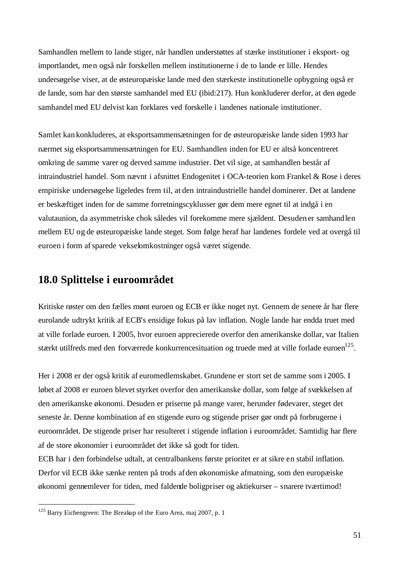Samhandlen mellem to lande stiger, når handlen understøttes af stærke institutioner i eksport- og importlandet, men også når forskellen mellem institutionerne i de to lande er lille. Hendes undersøgelse viser, at de østeuropæiske lande med den stærkeste institutionelle opbygning også er de lande, som har den største samhandel med EU (ibid:217). Hun konkluderer derfor, at den øgede samhandel med EU delvist kan forklares ved forskelle i landenes nationale institutioner.

Samlet kan konkluderes, at eksportsammensætningen for de østeuropæiske lande siden 1993 har nærmet sig eksportsammensætningen for EU. Samhandlen inden for EU er altså koncentreret omkring de samme varer og derved samme industrier. Det vil sige, at samhandlen består af intraindustriel handel. Som nævnt i afsnittet Endogenitet i OCA-teorien kom Frankel & Rose i deres empiriske undersøgelse ligeledes frem til, at den intraindustrielle handel dominerer. Det at landene er beskæftiget inden for de samme forretningscyklusser gør dem mere egnet til at indgå i en valutaunion, da asymmetriske chok således vil forekomme mere sjældent. Desuden er samhandlen mellem EU og de østeuropæiske lande steget. Som følge heraf har landenes fordele ved at overgå til euroen i form afsparede vekselomkostninger også været stigende.

## **18.0 Splittelse i euroområdet**

Kritiske røster om den fælles mønt euroen og ECB er ikke noget nyt. Gennem de senere år har flere eurolande udtrykt kritik af ECB's ensidige fokus på lav inflation. Nogle lande har endda truet med at ville forlade euroen. I 2005, hvor euroen apprecierede overfor den amerikanske dollar, var Italien stærkt utilfreds med den forværrede konkurrencesituation og truede med at ville forlade euroen<sup>125</sup>.

Her i 2008 er der også kritik af euromedlemskabet. Grundene er stort set de samme som i 2005. I løbet af 2008 er euroen blevet styrket overfor den amerikanske dollar, som følge af svækkelsen af den amerikanske økonomi. Desuden er priserne på mange varer, herunder fødevarer, steget det seneste år. Denne kombination af en stigende euro og stigende priser gør ondt på forbrugerne i euroområdet. De stigende priser har resulteret i stigende inflation i euroområdet. Samtidig har flere af de store økonomier i euroområdet det ikke så godt for tiden.

ECB har i den forbindelse udtalt, at centralbankens første prioritet er at sikre en stabil inflation. Derfor vil ECB ikke sænke renten på trods afden økonomiske afmatning, som den europæiske økonomi gennemlever for tiden, med faldende boligpriser og aktiekurser – snarere tværtimod!

 $125$  Barry Eichengreen: The Breakup of the Euro Area, maj 2007, p. 1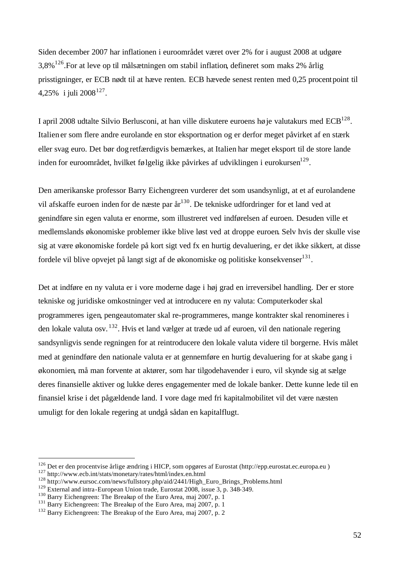Siden december 2007 har inflationen i euroområdet været over 2% for i august 2008 at udgøre 3,8%<sup>126</sup>. For at leve op til målsætningen om stabil inflation, defineret som maks 2% årlig prisstigninger, er ECB nødt til at hæve renten. ECB hævede senest renten med 0,25 procentpoint til 4,25% i juli 2008<sup>127</sup>.

I april 2008 udtalte Silvio Berlusconi, at han ville diskutere euroens høje valutakurs med  $ECB^{128}$ . Italien er som flere andre eurolande en stor eksportnation og er derfor meget påvirket af en stærk eller svag euro. Det bør dog retfærdigvis bemærkes, at Italien har meget eksport til de store lande inden for euroområdet, hvilket følgelig ikke påvirkes af udviklingen i eurokursen $^{129}$ .

Den amerikanske professor Barry Eichengreen vurderer det som usandsynligt, at et af eurolandene vil afskaffe euroen inden for de næste par år<sup>130</sup>. De tekniske udfordringer for et land ved at genindføre sin egen valuta er enorme, som illustreret ved indførelsen af euroen. Desuden ville et medlemslands økonomiske problemer ikke blive løst ved at droppe euroen. Selv hvis der skulle vise sig at være økonomiske fordele på kort sigt ved fx en hurtig devaluering, er det ikke sikkert, at disse fordele vil blive opvejet på langt sigt af de økonomiske og politiske konsekvenser $^{131}$ .

Det at indføre en ny valuta er i vore moderne dage i høj grad en irreversibel handling. Der er store tekniske og juridiske omkostninger ved at introducere en ny valuta: Computerkoder skal programmeres igen, pengeautomater skal re-programmeres, mange kontrakter skal renomineres i den lokale valuta osv. <sup>132</sup>. Hvis et land vælger at træde ud af euroen, vil den nationale regering sandsynligvis sende regningen for at reintroducere den lokale valuta videre til borgerne. Hvis målet med at genindføre den nationale valuta er at gennemføre en hurtig devaluering for at skabe gang i økonomien, må man forvente at aktører, som har tilgodehavender i euro, vil skynde sig at sælge deres finansielle aktiver og lukke deres engagementer med de lokale banker. Dette kunne lede til en finansiel krise i det pågældende land. I vore dage med fri kapitalmobilitet vil det være næsten umuligt for den lokale regering at undgå sådan en kapitalflugt.

<sup>126</sup> Det er den procentvise årlige ændring i HICP, som opgøres af Eurostat (http://epp.eurostat.ec.europa.eu )

<sup>127</sup> http://www.ecb.int/stats/monetary/rates/html/index.en.html

<sup>128</sup> http://www.eursoc.com/news/fullstory.php/aid/2441/High\_Euro\_Brings\_Problems.html

<sup>&</sup>lt;sup>129</sup> External and intra-European Union trade, Eurostat 2008, issue 3, p. 348-349.

<sup>130</sup> Barry Eichengreen: The Breakup of the Euro Area, maj 2007, p. 1

<sup>&</sup>lt;sup>131</sup> Barry Eichengreen: The Breakup of the Euro Area, maj 2007, p. 1

<sup>&</sup>lt;sup>132</sup> Barry Eichengreen: The Breakup of the Euro Area, maj 2007, p. 2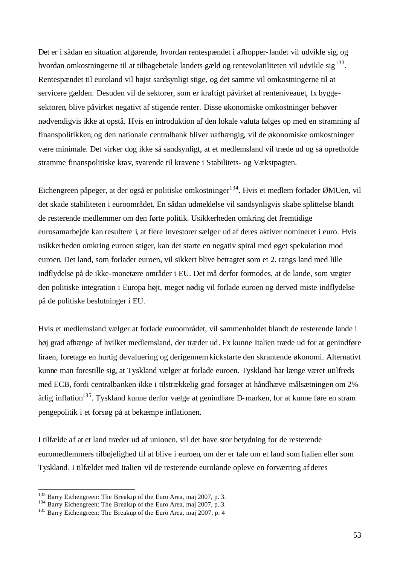Det er i sådan en situation afgørende, hvordan rentespændet i afhopper-landet vil udvikle sig, og hvordan omkostningerne til at tilbagebetale landets gæld og rentevolatiliteten vil udvikle sig $^{133}$ . Rentespændet til euroland vil højst sandsynligt stige, og det samme vil omkostningerne til at servicere gælden. Desuden vil de sektorer, som er kraftigt påvirket af renteniveauet, fx byggesektoren, blive påvirket negativt af stigende renter. Disse økonomiske omkostninger behøver nødvendigvis ikke at opstå. Hvis en introduktion af den lokale valuta følges op med en stramning af finanspolitikken, og den nationale centralbank bliver uafhængig, vil de økonomiske omkostninger være minimale. Det virker dog ikke så sandsynligt, at et medlemsland vil træde ud og så opretholde stramme finanspolitiske krav, svarende til kravene i Stabilitets- og Vækstpagten.

Eichengreen påpeger, at der også er politiske omkostninger 134. Hvis et medlem forlader ØMUen, vil det skade stabiliteten i euroområdet. En sådan udmeldelse vil sandsynligvis skabe splittelse blandt de resterende medlemmer om den førte politik. Usikkerheden omkring det fremtidige eurosamarbejde kan resultere i, at flere investorer sælge r ud af deres aktiver nomineret i euro. Hvis usikkerheden omkring euroen stiger, kan det starte en negativ spiral med øget spekulation mod euroen. Det land, som forlader euroen, vil sikkert blive betragtet som et 2. rangs land med lille indflydelse på de ikke-monetære områder i EU. Det må derfor formodes, at de lande, som vægter den politiske integration i Europa højt, meget nødig vil forlade euroen og derved miste indflydelse på de politiske beslutninger i EU.

Hvis et medlemsland vælger at forlade euroområdet, vil sammenholdet blandt de resterende lande i høj grad afhænge af hvilket medlemsland, der træder ud. Fx kunne Italien træde ud for at genindføre liraen, foretage en hurtig devaluering og derigennemkickstarte den skrantende økonomi. Alternativt kunne man forestille sig, at Tyskland vælger at forlade euroen. Tyskland har længe været utilfreds med ECB, fordi centralbanken ikke i tilstrækkelig grad forsøger at håndhæve målsætningen om 2% årlig inflation<sup>135</sup>. Tyskland kunne derfor vælge at genindføre D-marken, for at kunne føre en stram pengepolitik i et forsøg på at bekæmpe inflationen.

I tilfælde af at et land træder ud af unionen, vil det have stor betydning for de resterende euromedlemmers tilbøjelighed til at blive i euroen, om der er tale om et land som Italien eller som Tyskland. I tilfældet med Italien vil de resterende eurolande opleve en forværring af deres

<sup>&</sup>lt;sup>133</sup> Barry Eichengreen: The Breakup of the Euro Area, maj 2007, p. 3.

<sup>&</sup>lt;sup>134</sup> Barry Eichengreen: The Breakup of the Euro Area, maj 2007, p. 3.

<sup>&</sup>lt;sup>135</sup> Barry Eichengreen: The Breakup of the Euro Area, maj 2007, p. 4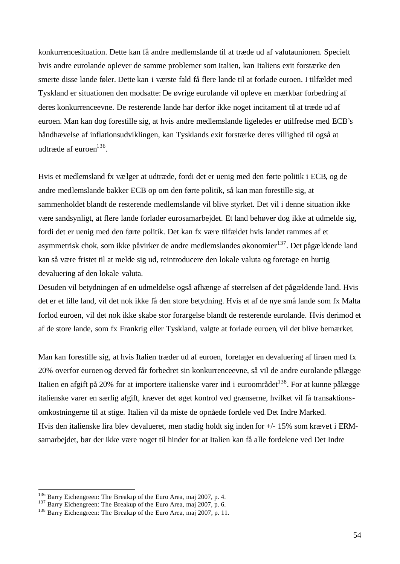konkurrencesituation. Dette kan få andre medlemslande til at træde ud af valutaunionen. Specielt hvis andre eurolande oplever de samme problemer som Italien, kan Italiens exit forstærke den smerte disse lande føler. Dette kan i værste fald få flere lande til at forlade euroen. I tilfældet med Tyskland er situationen den modsatte: De øvrige eurolande vil opleve en mærkbar forbedring af deres konkurrenceevne. De resterende lande har derfor ikke noget incitament til at træde ud af euroen. Man kan dog forestille sig, at hvis andre medlemslande ligeledes er utilfredse med ECB's håndhævelse af inflationsudviklingen, kan Tysklands exit forstærke deres villighed til også at udtræde af euroen<sup>136</sup>.

Hvis et medlemsland fx vælger at udtræde, fordi det er uenig med den førte politik i ECB, og de andre medlemslande bakker ECB op om den førte politik, så kan man forestille sig, at sammenholdet blandt de resterende medlemslande vil blive styrket. Det vil i denne situation ikke være sandsynligt, at flere lande forlader eurosamarbejdet. Et land behøver dog ikke at udmelde sig, fordi det er uenig med den førte politik. Det kan fx være tilfældet hvis landet rammes af et asymmetrisk chok, som ikke påvirker de andre medlemslandes økonomier<sup>137</sup>. Det pågældende land kan så være fristet til at melde sig ud, reintroducere den lokale valuta og foretage en hurtig devaluering af den lokale valuta.

Desuden vil betydningen af en udmeldelse også afhænge af størrelsen af det pågældende land. Hvis det er et lille land, vil det nok ikke få den store betydning. Hvis et af de nye små lande som fx Malta forlod euroen, vil det nok ikke skabe stor forargelse blandt de resterende eurolande. Hvis derimod et af de store lande, som fx Frankrig eller Tyskland, valgte at forlade euroen, vil det blive bemærket.

Man kan forestille sig, at hvis Italien træder ud af euroen, foretager en devaluering af liraen med fx 20% overfor euroen og derved får forbedret sin konkurrenceevne, så vil de andre eurolande pålægge Italien en afgift på 20% for at importere italienske varer ind i euroområdet<sup>138</sup>. For at kunne pålægge italienske varer en særlig afgift, kræver det øget kontrol ved grænserne, hvilket vil få transaktionsomkostningerne til at stige. Italien vil da miste de opnåede fordele ved Det Indre Marked. Hvis den italienske lira blev devalueret, men stadig holdt sig inden for +/- 15% som krævet i ERMsamarbejdet, bør der ikke være noget til hinder for at Italien kan få alle fordelene ved Det Indre

 $136$  Barry Eichengreen: The Breakup of the Euro Area, maj 2007, p. 4.

<sup>&</sup>lt;sup>137</sup> Barry Eichengreen: The Breakup of the Euro Area, maj 2007, p. 6.

<sup>&</sup>lt;sup>138</sup> Barry Eichengreen: The Breakup of the Euro Area, maj 2007, p. 11.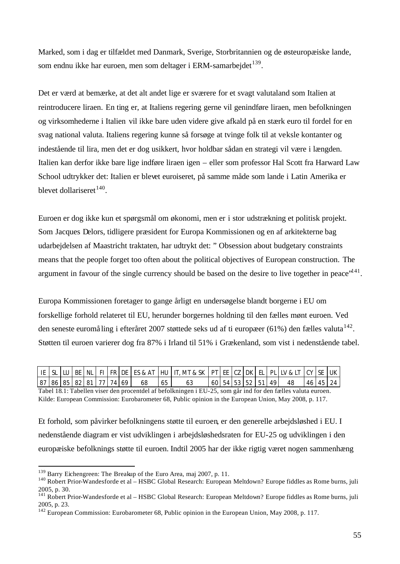Marked, som i dag er tilfældet med Danmark, Sverige, Storbritannien og de østeuropæiske lande, som endnu ikke har euroen, men som deltager i ERM-samarbejdet  $139$ .

Det er værd at bemærke, at det alt andet lige er sværere for et svagt valutaland som Italien at reintroducere liraen. En ting er, at Italiens regering gerne vil genindføre liraen, men befolkningen og virksomhederne i Italien vil ikke bare uden videre give afkald på en stærk euro til fordel for en svag national valuta. Italiens regering kunne så forsøge at tvinge folk til at veksle kontanter og indestående til lira, men det er dog usikkert, hvor holdbar sådan en strategi vil være i længden. Italien kan derfor ikke bare lige indføre liraen igen – eller som professor Hal Scott fra Harward Law School udtrykker det: Italien er blevet euroiseret, på samme måde som lande i Latin Amerika er blevet dollariseret<sup>140</sup>.

Euroen er dog ikke kun et spørgsmål om økonomi, men er i stor udstrækning et politisk projekt. Som Jacques Delors, tidligere præsident for Europa Kommissionen og en af arkitekterne bag udarbejdelsen af Maastricht traktaten, har udtrykt det: " Obsession about budgetary constraints means that the people forget too often about the political objectives of European construction. The argument in favour of the single currency should be based on the desire to live together in peace"<sup>141</sup>.

Europa Kommissionen foretager to gange årligt en undersøgelse blandt borgerne i EU om forskellige forhold relateret til EU, herunder borgernes holdning til den fælles mønt euroen. Ved den seneste euromåling i efteråret 2007 støttede seks ud af ti europæer (61%) den fælles valuta $^{142}$ . Støtten til euroen varierer dog fra 87% i Irland til 51% i Grækenland, som vist i nedenstående tabel.

|  |  |                         |  |    | IE   SL   LU   BE   NL   FI   FR   DE   ES & AT   HU   IT, MT & SK   PT   EE   CZ   DK   EL   PL   LV & LT   CY   SE   UK |  |                   |  |    |          |  |
|--|--|-------------------------|--|----|---------------------------------------------------------------------------------------------------------------------------|--|-------------------|--|----|----------|--|
|  |  | 87 86 85 82 81 77 74 69 |  | 68 | ხა                                                                                                                        |  | 60 54 53 52 51 49 |  | 48 | 46 45 24 |  |

Tabel 18.1: Tabellen viser den procentdel af befolkningen i EU-25, som går ind for den fælles valuta euroen. Kilde: European Commission: Eurobarometer 68, Public opinion in the European Union, May 2008, p. 117.

Et forhold, som påvirker befolkningens støtte til euroen, er den generelle arbejdsløshed i EU. I nedenstående diagram er vist udviklingen i arbejdsløshedsraten for EU-25 og udviklingen i den europæiske befolknings støtte til euroen. Indtil 2005 har der ikke rigtig været nogen sammenhæng

<sup>&</sup>lt;sup>139</sup> Barry Eichengreen: The Breakup of the Euro Area, maj 2007, p. 11.

<sup>&</sup>lt;sup>140</sup> Robert Prior-Wandesforde et al – HSBC Global Research: European Meltdown? Europe fiddles as Rome burns, juli 2005, p. 30.

<sup>&</sup>lt;sup>141</sup> Robert Prior-Wandesforde et al – HSBC Global Research: European Meltdown? Europe fiddles as Rome burns, juli 2005, p. 23.

<sup>&</sup>lt;sup>142</sup> European Commission: Eurobarometer 68, Public opinion in the European Union, May 2008, p. 117.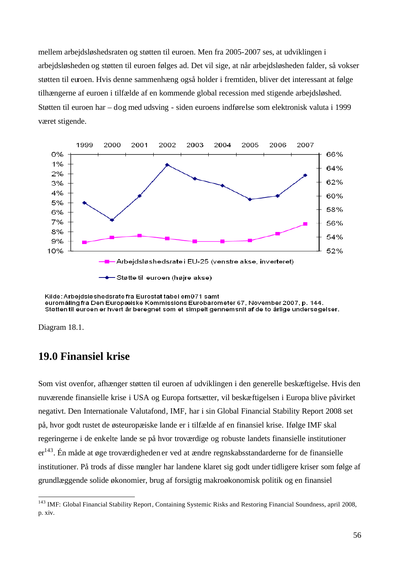mellem arbejdsløshedsraten og støtten til euroen. Men fra 2005-2007 ses, at udviklingen i arbejdsløsheden og støtten til euroen følges ad. Det vil sige, at når arbejdsløsheden falder, så vokser støtten til euroen. Hvis denne sammenhæng også holder i fremtiden, bliver det interessant at følge tilhængerne af euroen i tilfælde af en kommende global recession med stigende arbejdsløshed. Støtten til euroen har – dog med udsving - siden euroens indførelse som elektronisk valuta i 1999 været stigende.



Kilde: Arbejdsløshedsrate fra Eurostat tabel em 071 samt euromåling fra Den Europæiske Kommissions Eurobarometer 67. November 2007, p. 144. Støtten til euroen er hvert år beregnet som et simpelt gennemsnit af de to årlige undersøgelser.

Diagram 18.1.

l

## **19.0 Finansiel krise**

Som vist ovenfor, afhænger støtten til euroen af udviklingen i den generelle beskæftigelse. Hvis den nuværende finansielle krise i USA og Europa fortsætter, vil beskæftigelsen i Europa blive påvirket negativt. Den Internationale Valutafond, IMF, har i sin Global Financial Stability Report 2008 set på, hvor godt rustet de østeuropæiske lande er i tilfælde af en finansiel krise. Ifølge IMF skal regeringerne i de enkelte lande se på hvor troværdige og robuste landets finansielle institutioner  $er^{143}$ . Én måde at øge troværdigheden er ved at ændre regnskabsstandarderne for de finansielle institutioner. På trods af disse mangler har landene klaret sig godt under tidligere kriser som følge af grundlæggende solide økonomier, brug af forsigtig makroøkonomisk politik og en finansiel

<sup>&</sup>lt;sup>143</sup> IMF: Global Financial Stability Report, Containing Systemic Risks and Restoring Financial Soundness, april 2008, p. xiv.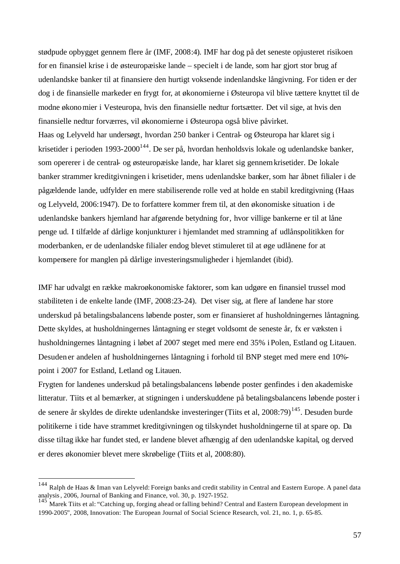stødpude opbygget gennem flere år (IMF, 2008:4). IMF har dog på det seneste opjusteret risikoen for en finansiel krise i de østeuropæiske lande – specielt i de lande, som har gjort stor brug af udenlandske banker til at finansiere den hurtigt voksende indenlandske långivning. For tiden er der dog i de finansielle markeder en frygt for, at økonomierne i Østeuropa vil blive tættere knyttet til de modne økonomier i Vesteuropa, hvis den finansielle nedtur fortsætter. Det vil sige, at hvis den finansielle nedtur forværres, vil økonomierne i Østeuropa også blive påvirket. Haas og Lelyveld har undersøgt, hvordan 250 banker i Central- og Østeuropa har klaret sig i krisetider i perioden 1993-2000<sup>144</sup>. De ser på, hvordan henholdsvis lokale og udenlandske banker, som opererer i de central- og østeuropæiske lande, har klaret sig gennemkrisetider. De lokale banker strammer kreditgivningen i krisetider, mens udenlandske banker, som har åbnet filialer i de pågældende lande, udfylder en mere stabiliserende rolle ved at holde en stabil kreditgivning (Haas og Lelyveld, 2006:1947). De to forfattere kommer frem til, at den økonomiske situation i de udenlandske bankers hjemland har afgørende betydning for, hvor villige bankerne er til at låne penge ud. I tilfælde af dårlige konjunkturer i hjemlandet med stramning af udlånspolitikken for moderbanken, er de udenlandske filialer endog blevet stimuleret til at øge udlånene for at kompensere for manglen på dårlige investeringsmuligheder i hjemlandet (ibid).

IMF har udvalgt en række makroøkonomiske faktorer, som kan udgøre en finansiel trussel mod stabiliteten i de enkelte lande (IMF, 2008:23-24). Det viser sig, at flere af landene har store underskud på betalingsbalancens løbende poster, som er finansieret af husholdningernes låntagning. Dette skyldes, at husholdningernes låntagning er steget voldsomt de seneste år, fx er væksten i husholdningernes låntagning i løbet af 2007 steget med mere end 35% iPolen, Estland og Litauen. Desuden er andelen af husholdningernes låntagning i forhold til BNP steget med mere end 10% point i 2007 for Estland, Letland og Litauen.

Frygten for landenes underskud på betalingsbalancens løbende poster genfindes i den akademiske litteratur. Tiits et al bemærker, at stigningen i underskuddene på betalingsbalancens løbende poster i de senere år skyldes de direkte udenlandske investeringer (Tiits et al, 2008:79)<sup>145</sup>. Desuden burde politikerne i tide have strammet kreditgivningen og tilskyndet husholdningerne til at spare op. Da disse tiltag ikke har fundet sted, er landene blevet afhængig af den udenlandske kapital, og derved er deres økonomier blevet mere skrøbelige (Tiits et al, 2008:80).

<sup>&</sup>lt;sup>144</sup> Ralph de Haas & Iman van Lelyveld: Foreign banks and credit stability in Central and Eastern Europe. A panel data analysis, 2006, Journal of Banking and Finance, vol. 30, p. 1927-1952.

<sup>&</sup>lt;sup>145</sup> Marek Tiits et al: "Catching up, forging ahead or falling behind? Central and Eastern European development in 1990-2005", 2008, Innovation: The European Journal of Social Science Research, vol. 21, no. 1, p. 65-85.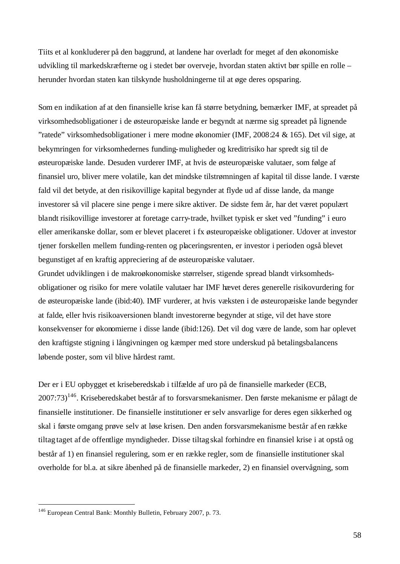Tiits et al konkluderer på den baggrund, at landene har overladt for meget af den økonomiske udvikling til markedskræfterne og i stedet bør overveje, hvordan staten aktivt bør spille en rolle – herunder hvordan staten kan tilskynde husholdningerne til at øge deres opsparing.

Som en indikation af at den finansielle krise kan få større betydning, bemærker IMF, at spreadet på virksomhedsobligationer i de østeuropæiske lande er begyndt at nærme sig spreadet på lignende "ratede" virksomhedsobligationer i mere modne økonomier (IMF, 2008:24 & 165). Det vil sige, at bekymringen for virksomhedernes funding-muligheder og kreditrisiko har spredt sig til de østeuropæiske lande. Desuden vurderer IMF, at hvis de østeuropæiske valutaer, som følge af finansiel uro, bliver mere volatile, kan det mindske tilstrømningen af kapital til disse lande. I værste fald vil det betyde, at den risikovillige kapital begynder at flyde ud af disse lande, da mange investorer så vil placere sine penge i mere sikre aktiver. De sidste fem år, har det været populært blandt risikovillige investorer at foretage carry-trade, hvilket typisk er sket ved "funding" i euro eller amerikanske dollar, som er blevet placeret i fx østeuropæiske obligationer. Udover at investor tjener forskellen mellem funding-renten og placeringsrenten, er investor i perioden også blevet begunstiget af en kraftig appreciering af de østeuropæiske valutaer.

Grundet udviklingen i de makroøkonomiske størrelser, stigende spread blandt virksomhedsobligationer og risiko for mere volatile valutaer har IMF hævet deres generelle risikovurdering for de østeuropæiske lande (ibid:40). IMF vurderer, at hvis væksten i de østeuropæiske lande begynder at falde, eller hvis risikoaversionen blandt investorerne begynder at stige, vil det have store konsekvenser for økonomierne i disse lande (ibid:126). Det vil dog være de lande, som har oplevet den kraftigste stigning i långivningen og kæmper med store underskud på betalingsbalancens løbende poster, som vil blive hårdest ramt.

Der er i EU opbygget et kriseberedskab i tilfælde af uro på de finansielle markeder (ECB, 2007:73)<sup>146</sup>. Kriseberedskabet består af to forsvarsmekanismer. Den første mekanisme er pålagt de finansielle institutioner. De finansielle institutioner er selv ansvarlige for deres egen sikkerhed og skal i første omgang prøve selv at løse krisen. Den anden forsvarsmekanisme består af en række tiltag taget af de offentlige myndigheder. Disse tiltag skal forhindre en finansiel krise i at opstå og består af 1) en finansiel regulering, som er en række regler, som de finansielle institutioner skal overholde for bl.a. at sikre åbenhed på de finansielle markeder, 2) en finansiel overvågning, som

<sup>&</sup>lt;sup>146</sup> European Central Bank: Monthly Bulletin, February 2007, p. 73.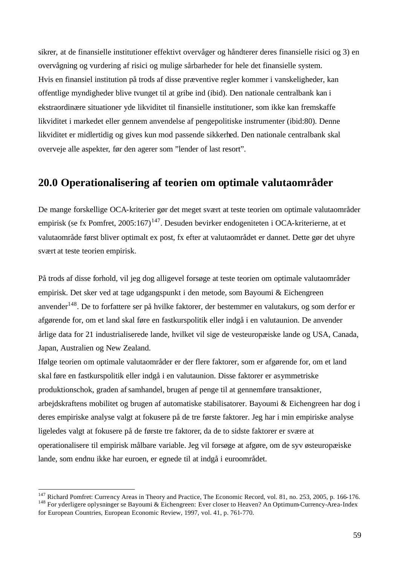sikrer, at de finansielle institutioner effektivt overvåger og håndterer deres finansielle risici og 3) en overvågning og vurdering af risici og mulige sårbarheder for hele det finansielle system. Hvis en finansiel institution på trods af disse præventive regler kommer i vanskeligheder, kan offentlige myndigheder blive tvunget til at gribe ind (ibid). Den nationale centralbank kan i ekstraordinære situationer yde likviditet til finansielle institutioner, som ikke kan fremskaffe likviditet i markedet eller gennem anvendelse af pengepolitiske instrumenter (ibid:80). Denne likviditet er midlertidig og gives kun mod passende sikkerhed. Den nationale centralbank skal overveje alle aspekter, før den agerer som "lender of last resort".

### **20.0 Operationalisering af teorien om optimale valutaområder**

De mange forskellige OCA-kriterier gør det meget svært at teste teorien om optimale valutaområder empirisk (se fx Pomfret,  $2005:167$ )<sup>147</sup>. Desuden bevirker endogeniteten i OCA-kriterierne, at et valutaområde først bliver optimalt ex post, fx efter at valutaområdet er dannet. Dette gør det uhyre svært at teste teorien empirisk.

På trods af disse forhold, vil jeg dog alligevel forsøge at teste teorien om optimale valutaområder empirisk. Det sker ved at tage udgangspunkt i den metode, som Bayoumi & Eichengreen anvender<sup>148</sup>. De to forfattere ser på hvilke faktorer, der bestemmer en valutakurs, og som derfor er afgørende for, om et land skal føre en fastkurspolitik eller indgå i en valutaunion. De anvender årlige data for 21 industrialiserede lande, hvilket vil sige de vesteuropæiske lande og USA, Canada, Japan, Australien og New Zealand.

Ifølge teorien om optimale valutaområder er der flere faktorer, som er afgørende for, om et land skal føre en fastkurspolitik eller indgå i en valutaunion. Disse faktorer er asymmetriske produktionschok, graden afsamhandel, brugen af penge til at gennemføre transaktioner, arbejdskraftens mobilitet og brugen af automatiske stabilisatorer. Bayoumi & Eichengreen har dog i deres empiriske analyse valgt at fokusere på de tre første faktorer. Jeg har i min empiriske analyse ligeledes valgt at fokusere på de første tre faktorer, da de to sidste faktorer er svære at operationalisere til empirisk målbare variable. Jeg vil forsøge at afgøre, om de syv østeuropæiske lande, som endnu ikke har euroen, er egnede til at indgå i euroområdet.

 $147$  Richard Pomfret: Currency Areas in Theory and Practice, The Economic Record, vol. 81, no. 253, 2005, p. 166-176. <sup>148</sup> For yderligere oplysninger se Bayoumi & Eichengreen: Ever closer to Heaven? An Optimum-Currency-Area-Index for European Countries, European Economic Review, 1997, vol. 41, p. 761-770.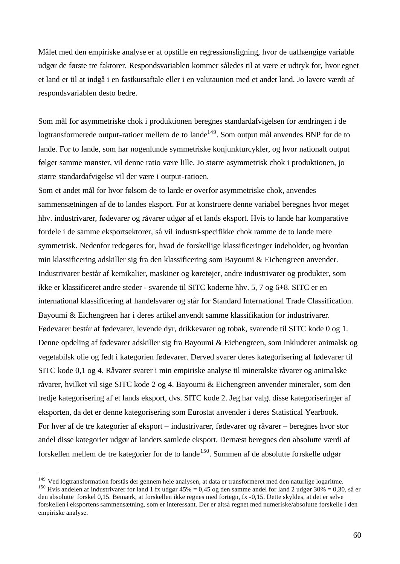Målet med den empiriske analyse er at opstille en regressionsligning, hvor de uafhængige variable udgør de første tre faktorer. Respondsvariablen kommer således til at være et udtryk for, hvor egnet et land er til at indgå i en fastkursaftale eller i en valutaunion med et andet land. Jo lavere værdi af respondsvariablen desto bedre.

Som mål for asymmetriske chok i produktionen beregnes standardafvigelsen for ændringen i de logtransformerede output-ratioer mellem de to lande<sup>149</sup>. Som output mål anvendes BNP for de to lande. For to lande, som har nogenlunde symmetriske konjunkturcykler, og hvor nationalt output følger samme mønster, vil denne ratio være lille. Jo større asymmetrisk chok i produktionen, jo større standardafvigelse vil der være i output-ratioen.

Som et andet mål for hvor følsom de to lande er overfor asymmetriske chok, anvendes sammensætningen af de to landes eksport. For at konstruere denne variabel beregnes hvor meget hhv. industrivarer, fødevarer og råvarer udgør af et lands eksport. Hvis to lande har komparative fordele i de samme eksportsektorer, så vil industri-specifikke chok ramme de to lande mere symmetrisk. Nedenfor redegøres for, hvad de forskellige klassificeringer indeholder, og hvordan min klassificering adskiller sig fra den klassificering som Bayoumi & Eichengreen anvender. Industrivarer består af kemikalier, maskiner og køretøjer, andre industrivarer og produkter, som ikke er klassificeret andre steder - svarende til SITC koderne hhv. 5, 7 og 6+8. SITC er en international klassificering af handelsvarer og står for Standard International Trade Classification. Bayoumi & Eichengreen har i deres artikel anvendt samme klassifikation for industrivarer. Fødevarer består af fødevarer, levende dyr, drikkevarer og tobak, svarende til SITC kode 0 og 1. Denne opdeling af fødevarer adskiller sig fra Bayoumi & Eichengreen, som inkluderer animalsk og vegetabilsk olie og fedt i kategorien fødevarer. Derved svarer deres kategorisering af fødevarer til SITC kode 0,1 og 4. Råvarer svarer i min empiriske analyse til mineralske råvarer og animalske råvarer, hvilket vil sige SITC kode 2 og 4. Bayoumi & Eichengreen anvender mineraler, som den tredje kategorisering af et lands eksport, dvs. SITC kode 2. Jeg har valgt disse kategoriseringer af eksporten, da det er denne kategorisering som Eurostat anvender i deres Statistical Yearbook. For hver af de tre kategorier af eksport – industrivarer, fødevarer og råvarer – beregnes hvor stor andel disse kategorier udgør af landets samlede eksport. Dernæst beregnes den absolutte værdi af forskellen mellem de tre kategorier for de to lande<sup>150</sup>. Summen af de absolutte forskelle udgør

<sup>&</sup>lt;sup>149</sup> Ved logtransformation forstås der gennem hele analysen, at data er transformeret med den naturlige logaritme.

<sup>&</sup>lt;sup>150</sup> Hvis andelen af industrivarer for land 1 fx udgør 45% = 0,45 og den samme andel for land 2 udgør 30% = 0,30, så er den absolutte forskel 0,15. Bemærk, at forskellen ikke regnes med fortegn, fx -0,15. Dette skyldes, at det er selve forskellen i eksportens sammensætning, som er interessant. Der er altså regnet med numeriske/absolutte forskelle i den empiriske analyse.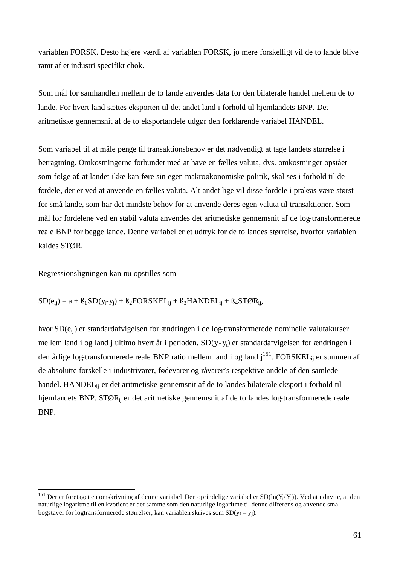variablen FORSK. Desto højere værdi af variablen FORSK, jo mere forskelligt vil de to lande blive ramt af et industri specifikt chok.

Som mål for samhandlen mellem de to lande anvendes data for den bilaterale handel mellem de to lande. For hvert land sættes eksporten til det andet land i forhold til hjemlandets BNP. Det aritmetiske gennemsnit af de to eksportandele udgør den forklarende variabel HANDEL.

Som variabel til at måle penge til transaktionsbehov er det nødvendigt at tage landets størrelse i betragtning. Omkostningerne forbundet med at have en fælles valuta, dvs. omkostninger opstået som følge af, at landet ikke kan føre sin egen makroøkonomiske politik, skal ses i forhold til de fordele, der er ved at anvende en fælles valuta. Alt andet lige vil disse fordele i praksis være størst for små lande, som har det mindste behov for at anvende deres egen valuta til transaktioner. Som mål for fordelene ved en stabil valuta anvendes det aritmetiske gennemsnit af de log-transformerede reale BNP for begge lande. Denne variabel er et udtryk for de to landes størrelse, hvorfor variablen kaldes STØR.

Regressionsligningen kan nu opstilles som

l

#### $SD(e_{ii}) = a + B_1SD(y_i-y_i) + B_2FORSKEL_{ii} + B_3HANDEL_{ii} + B_4STØR_{ii}$

hvor SD( $e_{ii}$ ) er standardafvigelsen for ændringen i de log-transformerede nominelle valutakurser mellem land i og land j ultimo hvert år i perioden. SD(yi-yj) er standardafvigelsen for ændringen i den årlige log-transformerede reale BNP ratio mellem land i og land j<sup>151</sup>. FORSKEL<sub>ij</sub> er summen af de absolutte forskelle i industrivarer, fødevarer og råvarer's respektive andele af den samlede handel. HANDELij er det aritmetiske gennemsnit af de to landes bilaterale eksport i forhold til hjemlandets BNP. STØR<sub>ij</sub> er det aritmetiske gennemsnit af de to landes log-transformerede reale BNP.

<sup>&</sup>lt;sup>151</sup> Der er foretaget en omskrivning af denne variabel. Den oprindelige variabel er SD(ln(Y<sub>i</sub>/Y<sub>j</sub>)). Ved at udnytte, at den naturlige logaritme til en kvotient er det samme som den naturlige logaritme til denne differens og anvende små bogstaver for logtransformerede størrelser, kan variablen skrives som  $SD(y_i - y_i)$ .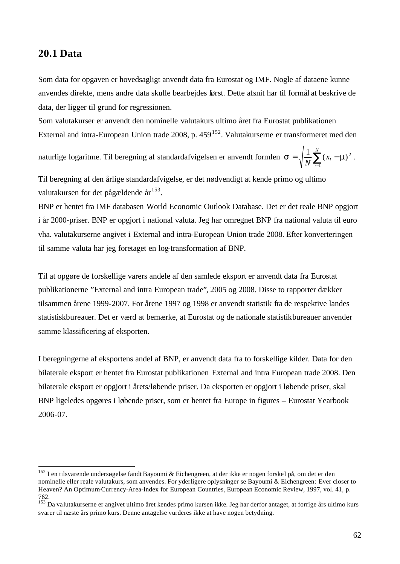#### **20.1 Data**

l

Som data for opgaven er hovedsagligt anvendt data fra Eurostat og IMF. Nogle af dataene kunne anvendes direkte, mens andre data skulle bearbejdes først. Dette afsnit har til formål at beskrive de data, der ligger til grund for regressionen.

Som valutakurser er anvendt den nominelle valutakurs ultimo året fra Eurostat publikationen External and intra-European Union trade 2008, p.  $459^{152}$ . Valutakurserne er transformeret med den

naturlige logaritme. Til beregning af standardafvigelsen er anvendt formlen  $\mathbf{s} = \sqrt{\frac{1}{N} \sum_{i=1}^{N} (x_i - \hat{y}_i)^2}$ *i i x*  $N \nightharpoonup$ <sub>i=1</sub>  $\mathbf{s} = \sqrt{\frac{1}{N} \sum_{i=1}^{N} (x_i - \mathbf{m})^2}$ .

Til beregning af den årlige standardafvigelse, er det nødvendigt at kende primo og ultimo valutakursen for det pågældende år<sup>153</sup>.

BNP er hentet fra IMF databasen World Economic Outlook Database. Det er det reale BNP opgjort i år 2000-priser. BNP er opgjort i national valuta. Jeg har omregnet BNP fra national valuta til euro vha. valutakurserne angivet i External and intra-European Union trade 2008. Efter konverteringen til samme valuta har jeg foretaget en log-transformation af BNP.

Til at opgøre de forskellige varers andele af den samlede eksport er anvendt data fra Eurostat publikationerne "External and intra European trade", 2005 og 2008. Disse to rapporter dækker tilsammen årene 1999-2007. For årene 1997 og 1998 er anvendt statistik fra de respektive landes statistiskbureauer. Det er værd at bemærke, at Eurostat og de nationale statistikbureauer anvender samme klassificering af eksporten.

I beregningerne af eksportens andel af BNP, er anvendt data fra to forskellige kilder. Data for den bilaterale eksport er hentet fra Eurostat publikationen External and intra European trade 2008. Den bilaterale eksport er opgjort i årets/løbende priser. Da eksporten er opgjort i løbende priser, skal BNP ligeledes opgøres i løbende priser, som er hentet fra Europe in figures – Eurostat Yearbook 2006-07.

<sup>&</sup>lt;sup>152</sup> I en tilsvarende undersøgelse fandt Bayoumi & Eichengreen, at der ikke er nogen forskel på, om det er den nominelle eller reale valutakurs, som anvendes. For yderligere oplysninger se Bayoumi & Eichengreen: Ever closer to Heaven? An Optimum-Currency-Area-Index for European Countries, European Economic Review, 1997, vol. 41, p. 762.

<sup>&</sup>lt;sup>153</sup> Da valutakurserne er angivet ultimo året kendes primo kursen ikke. Jeg har derfor antaget, at forrige års ultimo kurs svarer til næste års primo kurs. Denne antagelse vurderes ikke at have nogen betydning.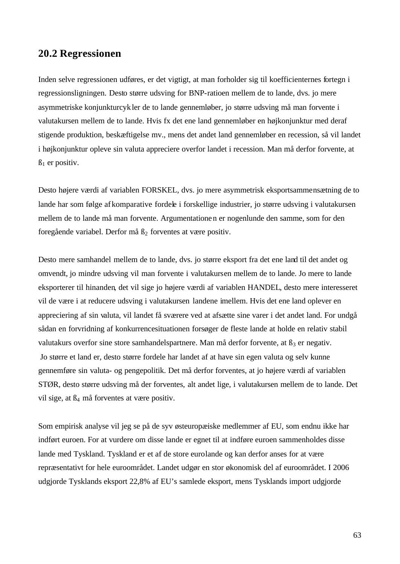#### **20.2 Regressionen**

Inden selve regressionen udføres, er det vigtigt, at man forholder sig til koefficienternes fortegn i regressionsligningen. Desto større udsving for BNP-ratioen mellem de to lande, dvs. jo mere asymmetriske konjunkturcykler de to lande gennemløber, jo større udsving må man forvente i valutakursen mellem de to lande. Hvis fx det ene land gennemløber en højkonjunktur med deraf stigende produktion, beskæftigelse mv., mens det andet land gennemløber en recession, så vil landet i højkonjunktur opleve sin valuta appreciere overfor landet i recession. Man må derfor forvente, at  $\beta_1$  er positiv.

Desto højere værdi af variablen FORSKEL, dvs. jo mere asymmetrisk eksportsammensætning de to lande har som følge afkomparative fordele i forskellige industrier, jo større udsving i valutakursen mellem de to lande må man forvente. Argumentationen er nogenlunde den samme, som for den foregående variabel. Derfor må  $\beta_2$  forventes at være positiv.

Desto mere samhandel mellem de to lande, dvs. jo større eksport fra det ene land til det andet og omvendt, jo mindre udsving vil man forvente i valutakursen mellem de to lande. Jo mere to lande eksporterer til hinanden, det vil sige jo højere værdi af variablen HANDEL, desto mere interesseret vil de være i at reducere udsving i valutakursen landene imellem. Hvis det ene land oplever en appreciering af sin valuta, vil landet få sværere ved at afsætte sine varer i det andet land. For undgå sådan en forvridning af konkurrencesituationen forsøger de fleste lande at holde en relativ stabil valutakurs overfor sine store samhandelspartnere. Man må derfor forvente, at  $\beta_3$  er negativ. Jo større et land er, desto større fordele har landet af at have sin egen valuta og selv kunne gennemføre sin valuta- og pengepolitik. Det må derfor forventes, at jo højere værdi af variablen STØR, desto større udsving må der forventes, alt andet lige, i valutakursen mellem de to lande. Det vil sige, at ß<sup>4</sup> må forventes at være positiv.

Som empirisk analyse vil jeg se på de syv østeuropæiske medlemmer af EU, som endnu ikke har indført euroen. For at vurdere om disse lande er egnet til at indføre euroen sammenholdes disse lande med Tyskland. Tyskland er et af de store eurolande og kan derfor anses for at være repræsentativt for hele euroområdet. Landet udgør en stor økonomisk del af euroområdet. I 2006 udgjorde Tysklands eksport 22,8% af EU's samlede eksport, mens Tysklands import udgjorde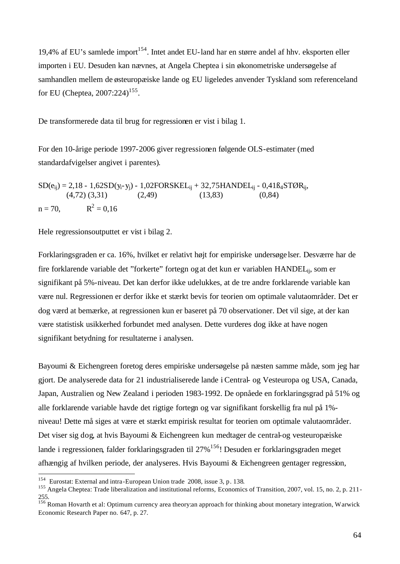19,4% af EU's samlede import<sup>154</sup>. Intet andet EU-land har en større andel af hhv. eksporten eller importen i EU. Desuden kan nævnes, at Angela Cheptea i sin økonometriske undersøgelse af samhandlen mellem de østeuropæiske lande og EU ligeledes anvender Tyskland som referenceland for EU (Cheptea, 2007:224)<sup>155</sup>.

De transformerede data til brug for regressionen er vist i bilag 1.

For den 10-årige periode 1997-2006 giver regressionen følgende OLS-estimater (med standardafvigelser angivet i parentes).

 $SD(e_{ii}) = 2,18 - 1,62SD(y_i - y_i) - 1,02FORSKEL_{ii} + 32,75HANDEL_{ii} - 0,41B_4STØR_{ii}$  $(4,72)$   $(3,31)$   $(2,49)$   $(13,83)$   $(0,84)$  $n = 70$ .  $2^2 = 0,16$ 

Hele regressionsoutputtet er vist i bilag 2.

Forklaringsgraden er ca. 16%, hvilket er relativt højt for empiriske undersøge lser. Desværre har de fire forklarende variable det "forkerte" fortegn ogat det kun er variablen HANDELij, som er signifikant på 5%-niveau. Det kan derfor ikke udelukkes, at de tre andre forklarende variable kan være nul. Regressionen er derfor ikke et stærkt bevis for teorien om optimale valutaområder. Det er dog værd at bemærke, at regressionen kun er baseret på 70 observationer. Det vil sige, at der kan være statistisk usikkerhed forbundet med analysen. Dette vurderes dog ikke at have nogen signifikant betydning for resultaterne i analysen.

Bayoumi & Eichengreen foretog deres empiriske undersøgelse på næsten samme måde, som jeg har gjort. De analyserede data for 21 industrialiserede lande i Central- og Vesteuropa og USA, Canada, Japan, Australien og New Zealand i perioden 1983-1992. De opnåede en forklaringsgrad på 51% og alle forklarende variable havde det rigtige fortegn og var signifikant forskellig fra nul på 1% niveau! Dette må siges at være et stærkt empirisk resultat for teorien om optimale valutaområder. Det viser sig dog, at hvis Bayoumi & Eichengreen kun medtager de central-og vesteuropæiske lande i regressionen, falder forklaringsgraden til 27%<sup>156</sup>! Desuden er forklaringsgraden meget afhængig af hvilken periode, der analyseres. Hvis Bayoumi & Eichengreen gentager regression,

 154 Eurostat: External and intra-European Union trade 2008, issue 3, p. 138.

<sup>&</sup>lt;sup>155</sup> Angela Cheptea: Trade liberalization and institutional reforms, Economics of Transition, 2007, vol. 15, no. 2, p. 211-255.

<sup>156</sup> Roman Hovarth et al: Optimum currency area theory:an approach for thinking about monetary integration, Warwick Economic Research Paper no. 647, p. 27.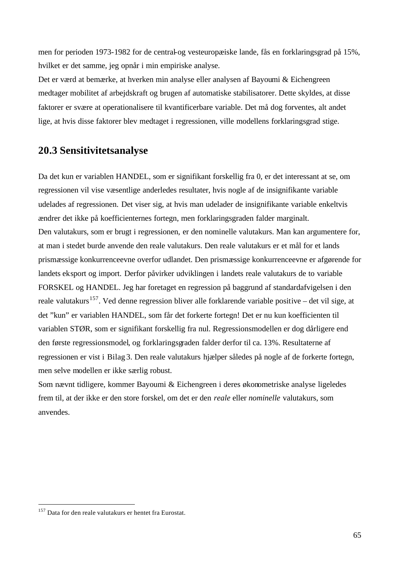men for perioden 1973-1982 for de central-og vesteuropæiske lande, fås en forklaringsgrad på 15%, hvilket er det samme, jeg opnår i min empiriske analyse.

Det er værd at bemærke, at hverken min analyse eller analysen af Bayoumi & Eichengreen medtager mobilitet af arbejdskraft og brugen af automatiske stabilisatorer. Dette skyldes, at disse faktorer er svære at operationalisere til kvantificerbare variable. Det må dog forventes, alt andet lige, at hvis disse faktorer blev medtaget i regressionen, ville modellens forklaringsgrad stige.

## **20.3 Sensitivitetsanalyse**

Da det kun er variablen HANDEL, som er signifikant forskellig fra 0, er det interessant at se, om regressionen vil vise væsentlige anderledes resultater, hvis nogle af de insignifikante variable udelades af regressionen. Det viser sig, at hvis man udelader de insignifikante variable enkeltvis ændrer det ikke på koefficienternes fortegn, men forklaringsgraden falder marginalt. Den valutakurs, som er brugt i regressionen, er den nominelle valutakurs. Man kan argumentere for, at man i stedet burde anvende den reale valutakurs. Den reale valutakurs er et mål for et lands prismæssige konkurrenceevne overfor udlandet. Den prismæssige konkurrenceevne er afgørende for landets eksport og import. Derfor påvirker udviklingen i landets reale valutakurs de to variable FORSKEL og HANDEL. Jeg har foretaget en regression på baggrund af standardafvigelsen i den reale valutakurs<sup>157</sup>. Ved denne regression bliver alle forklarende variable positive – det vil sige, at det "kun" er variablen HANDEL, som får det forkerte fortegn! Det er nu kun koefficienten til variablen STØR, som er signifikant forskellig fra nul. Regressionsmodellen er dog dårligere end den første regressionsmodel, og forklaringsgraden falder derfor til ca. 13%. Resultaterne af regressionen er vist i Bilag 3. Den reale valutakurs hjælper således på nogle af de forkerte fortegn, men selve modellen er ikke særlig robust.

Som nævnt tidligere, kommer Bayoumi & Eichengreen i deres økonometriske analyse ligeledes frem til, at der ikke er den store forskel, om det er den *reale* eller *nominelle* valutakurs, som anvendes.

<sup>&</sup>lt;sup>157</sup> Data for den reale valutakurs er hentet fra Eurostat.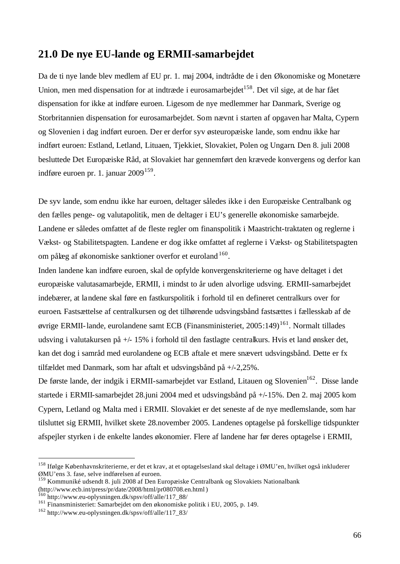## **21.0 De nye EU-lande og ERMII-samarbejdet**

Da de ti nye lande blev medlem af EU pr. 1. maj 2004, indtrådte de i den Økonomiske og Monetære Union, men med dispensation for at indtræde i eurosamarbejdet<sup>158</sup>. Det vil sige, at de har fået dispensation for ikke at indføre euroen. Ligesom de nye medlemmer har Danmark, Sverige og Storbritannien dispensation for eurosamarbejdet. Som nævnt i starten af opgaven har Malta, Cypern og Slovenien i dag indført euroen. Der er derfor syv østeuropæiske lande, som endnu ikke har indført euroen: Estland, Letland, Lituaen, Tjekkiet, Slovakiet, Polen og Ungarn. Den 8. juli 2008 besluttede Det Europæiske Råd, at Slovakiet har gennemført den krævede konvergens og derfor kan indføre euroen pr. 1. januar  $2009^{159}$ .

De syv lande, som endnu ikke har euroen, deltager således ikke i den Europæiske Centralbank og den fælles penge- og valutapolitik, men de deltager i EU's generelle økonomiske samarbejde. Landene er således omfattet af de fleste regler om finanspolitik i Maastricht-traktaten og reglerne i Vækst- og Stabilitetspagten. Landene er dog ikke omfattet af reglerne i Vækst- og Stabilitetspagten om pålæg af økonomiske sanktioner overfor et euroland  $160$ .

Inden landene kan indføre euroen, skal de opfylde konvergenskriterierne og have deltaget i det europæiske valutasamarbejde, ERMII, i mindst to år uden alvorlige udsving. ERMII-samarbejdet indebærer, at landene skal føre en fastkurspolitik i forhold til en defineret centralkurs over for euroen. Fastsættelse af centralkursen og det tilhørende udsvingsbånd fastsættes i fællesskab af de øvrige ERMII-lande, eurolandene samt ECB (Finansministeriet, 2005:149)<sup>161</sup>. Normalt tillades udsving i valutakursen på +/- 15% i forhold til den fastlagte centralkurs. Hvis et land ønsker det, kan det dog i samråd med eurolandene og ECB aftale et mere snævert udsvingsbånd. Dette er fx tilfældet med Danmark, som har aftalt et udsvingsbånd på +/-2,25%.

De første lande, der indgik i ERMII-samarbejdet var Estland, Litauen og Slovenien<sup>162</sup>. Disse lande startede i ERMII-samarbejdet 28.juni 2004 med et udsvingsbånd på +/-15%. Den 2. maj 2005 kom Cypern, Letland og Malta med i ERMII. Slovakiet er det seneste af de nye medlemslande, som har tilsluttet sig ERMII, hvilket skete 28.november 2005. Landenes optagelse på forskellige tidspunkter afspejler styrken i de enkelte landes økonomier. Flere af landene har før deres optagelse i ERMII,

<sup>&</sup>lt;sup>158</sup> Ifølge Københavnskriterierne, er det et krav, at et optagelsesland skal deltage i ØMU'en, hvilket også inkluderer ØMU'ens 3. fase, selve indførelsen af euroen.

<sup>159</sup> Kommuniké udsendt 8. juli 2008 af Den Europæiske Centralbank og Slovakiets Nationalbank (http://www.ecb.int/press/pr/date/2008/html/pr080708.en.html)

<sup>160</sup> http://www.eu-oplysningen.dk/spsv/off/alle/117\_88/

<sup>&</sup>lt;sup>161</sup> Finansministeriet: Samarbejdet om den økonomiske politik i EU, 2005, p. 149.

<sup>162</sup> http://www.eu-oplysningen.dk/spsv/off/alle/117\_83/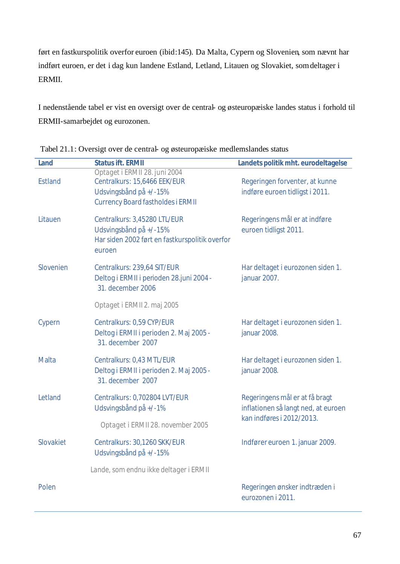ført en fastkurspolitik overfor euroen (ibid:145). Da Malta, Cypern og Slovenien, som nævnt har indført euroen, er det i dag kun landene Estland, Letland, Litauen og Slovakiet, somdeltager i ERMII.

I nedenstående tabel er vist en oversigt over de central- og østeuropæiske landes status i forhold til ERMII-samarbejdet og eurozonen.

| Land           | <b>Status ift. ERMII</b>                                                                                                            | Landets politik mht. eurodeltagelse                                   |  |  |
|----------------|-------------------------------------------------------------------------------------------------------------------------------------|-----------------------------------------------------------------------|--|--|
| <b>Estland</b> | Optaget i ERMII 28. juni 2004<br>Centralkurs: 15,6466 EEK/EUR<br>Udsvingsbånd på +/-15%<br><b>Currency Board fastholdes i ERMII</b> | Regeringen forventer, at kunne<br>indføre euroen tidligst i 2011.     |  |  |
| Litauen        | Centralkurs: 3,45280 LTL/EUR<br>Udsvingsbånd på +/-15%<br>Har siden 2002 ført en fastkurspolitik overfor<br>euroen                  | Regeringens mål er at indføre<br>euroen tidligst 2011.                |  |  |
| Slovenien      | Centralkurs: 239,64 SIT/EUR<br>Deltog i ERMII i perioden 28. juni 2004 -<br>31. december 2006                                       | Har deltaget i eurozonen siden 1.<br>januar 2007.                     |  |  |
|                | Optaget i ERMII 2. maj 2005                                                                                                         |                                                                       |  |  |
| Cypern         | Centralkurs: 0,59 CYP/EUR<br>Deltog i ERMII i perioden 2. Maj 2005 -<br>31. december 2007                                           | Har deltaget i eurozonen siden 1.<br>januar 2008.                     |  |  |
| <b>Malta</b>   | Centralkurs: 0,43 MTL/EUR<br>Deltog i ERMII i perioden 2. Maj 2005 -<br>31. december 2007                                           | Har deltaget i eurozonen siden 1.<br>januar 2008.                     |  |  |
| Letland        | Centralkurs: 0,702804 LVT/EUR<br>Udsvingsbånd på +/-1%                                                                              | Regeringens mål er at få bragt<br>inflationen så langt ned, at euroen |  |  |
|                | Optaget i ERMII 28. november 2005                                                                                                   | kan indføres i 2012/2013.                                             |  |  |
| Slovakiet      | Centralkurs: 30,1260 SKK/EUR<br>Udsvingsbånd på +/-15%                                                                              | Indfører euroen 1. januar 2009.                                       |  |  |
|                | Lande, som endnu ikke deltager i ERMII                                                                                              |                                                                       |  |  |
| Polen          |                                                                                                                                     | Regeringen ønsker indtræden i<br>eurozonen i 2011.                    |  |  |

Tabel 21.1: Oversigt over de central- og østeuropæiske medlemslandes status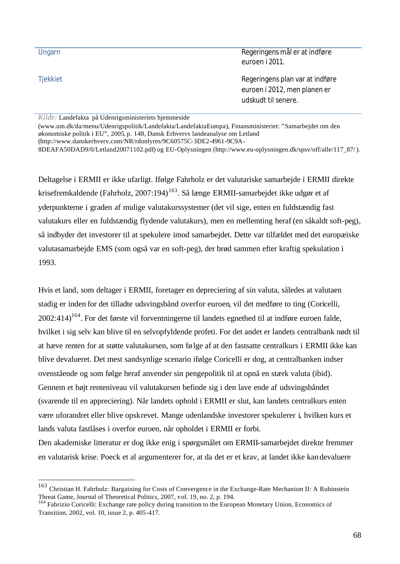| Ungarn          | Regeringens mål er at indføre<br>euroen i 2011.                                        |
|-----------------|----------------------------------------------------------------------------------------|
| <b>Tjekkiet</b> | Regeringens plan var at indføre<br>euroen i 2012, men planen er<br>udskudt til senere. |
| $V = 1.7$       |                                                                                        |

*Kilde:* Landefakta på Udenrigsministeriets hjemmeside

l

(www.um.dk/da/menu/Udenrigspolitik/Landefakta/LandefaktaEuropa), Finansministeriet: "Samarbejdet om den økonomiske politik i EU", 2005, p. 148, Dansk Erhvervs landeanalyse om Letland (http://www.danskerhverv.com/NR/rdonlyres/9C60575C-3DE2-4961-9C9A-

8DEAFA50DAD9/0/Letland20071102.pdf) og EU-Oplysningen (http://www.eu-oplysningen.dk/spsv/off/alle/117\_87/).

Deltagelse i ERMII er ikke ufarligt. Ifølge Fahrholz er det valutariske samarbejde i ERMII direkte krisefremkaldende (Fahrholz, 2007:194)<sup>163</sup>. Så længe ERMII-samarbejdet ikke udgør et af yderpunkterne i graden af mulige valutakurssystemer (det vil sige, enten en fuldstændig fast valutakurs eller en fuldstændig flydende valutakurs), men en mellemting heraf (en såkaldt soft-peg), så indbyder det investorer til at spekulere imod samarbejdet. Dette var tilfældet med det europæiske valutasamarbejde EMS (som også var en soft-peg), der brød sammen efter kraftig spekulation i 1993.

Hvis et land, som deltager i ERMII, foretager en depreciering af sin valuta, således at valutaen stadig er inden for det tilladte udsvingsbånd overfor euroen, vil det medføre to ting (Coricelli,  $2002:414$ <sup>164</sup>. For det første vil forventningerne til landets egnethed til at indføre euroen falde, hvilket i sig selv kan blive til en selvopfyldende profeti. For det andet er landets centralbank nødt til at hæve renten for at støtte valutakursen, som følge af at den fastsatte centralkurs i ERMII ikke kan blive devalueret. Det mest sandsynlige scenario ifølge Coricelli er dog, at centralbanken indser ovenstående og som følge heraf anvender sin pengepolitik til at opnå en stærk valuta (ibid). Gennem et højt renteniveau vil valutakursen befinde sig i den lave ende af udsvingsbåndet (svarende til en appreciering). Når landets ophold i ERMII er slut, kan landets centralkurs enten være uforandret eller blive opskrevet. Mange udenlandske investorer spekulerer i, hvilken kurs et lands valuta fastlåses i overfor euroen, når opholdet i ERMII er forbi.

Den akademiske litteratur er dog ikke enig i spørgsmålet om ERMII-samarbejdet direkte fremmer en valutarisk krise. Poeck et al argumenterer for, at da det er et krav, at landet ikke kandevaluere

<sup>&</sup>lt;sup>163</sup> Christian H. Fahrholz: Bargaining for Costs of Convergence in the Exchange-Rate Mechanism II: A Rubinstein Threat Game, Journal of Theoretical Politics, 2007, vol. 19, no. 2, p. 194.

<sup>&</sup>lt;sup>164</sup> Fabrizio Coricelli: Exchange rate policy during transition to the European Monetary Union, Economics of Transition, 2002, vol. 10, issue 2, p. 405-417.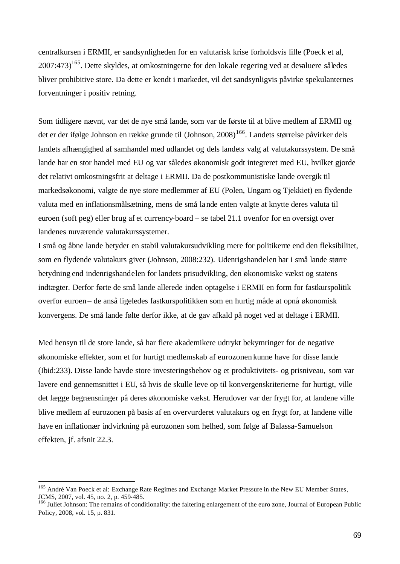centralkursen i ERMII, er sandsynligheden for en valutarisk krise forholdsvis lille (Poeck et al, 2007:473)<sup>165</sup>. Dette skyldes, at omkostningerne for den lokale regering ved at devaluere således bliver prohibitive store. Da dette er kendt i markedet, vil det sandsynligvis påvirke spekulanternes forventninger i positiv retning.

Som tidligere nævnt, var det de nye små lande, som var de første til at blive medlem af ERMII og det er der ifølge Johnson en række grunde til (Johnson, 2008)<sup>166</sup>. Landets størrelse påvirker dels landets afhængighed af samhandel med udlandet og dels landets valg af valutakurssystem. De små lande har en stor handel med EU og var således økonomisk godt integreret med EU, hvilket gjorde det relativt omkostningsfrit at deltage i ERMII. Da de postkommunistiske lande overgik til markedsøkonomi, valgte de nye store medlemmer af EU (Polen, Ungarn og Tjekkiet) en flydende valuta med en inflationsmålsætning, mens de små lande enten valgte at knytte deres valuta til euroen (soft peg) eller brug af et currency-board – se tabel 21.1 ovenfor for en oversigt over landenes nuværende valutakurssystemer.

I små og åbne lande betyder en stabil valutakursudvikling mere for politikerne end den fleksibilitet, som en flydende valutakurs giver (Johnson, 2008:232). Udenrigshandelen har i små lande større betydning end indenrigshandelen for landets prisudvikling, den økonomiske vækst og statens indtægter. Derfor førte de små lande allerede inden optagelse i ERMII en form for fastkurspolitik overfor euroen – de anså ligeledes fastkurspolitikken som en hurtig måde at opnå økonomisk konvergens. De små lande følte derfor ikke, at de gav afkald på noget ved at deltage i ERMII.

Med hensyn til de store lande, så har flere akademikere udtrykt bekymringer for de negative økonomiske effekter, som et for hurtigt medlemskab af eurozonen kunne have for disse lande (Ibid:233). Disse lande havde store investeringsbehov og et produktivitets- og prisniveau, som var lavere end gennemsnittet i EU, så hvis de skulle leve op til konvergenskriterierne for hurtigt, ville det lægge begrænsninger på deres økonomiske vækst. Herudover var der frygt for, at landene ville blive medlem af eurozonen på basis af en overvurderet valutakurs og en frygt for, at landene ville have en inflationær indvirkning på eurozonen som helhed, som følge af Balassa-Samuelson effekten, jf. afsnit 22.3.

<sup>&</sup>lt;sup>165</sup> André Van Poeck et al: Exchange Rate Regimes and Exchange Market Pressure in the New EU Member States, JCMS, 2007, vol. 45, no. 2, p. 459-485.

<sup>&</sup>lt;sup>166</sup> Juliet Johnson: The remains of conditionality: the faltering enlargement of the euro zone, Journal of European Public Policy, 2008, vol. 15, p. 831.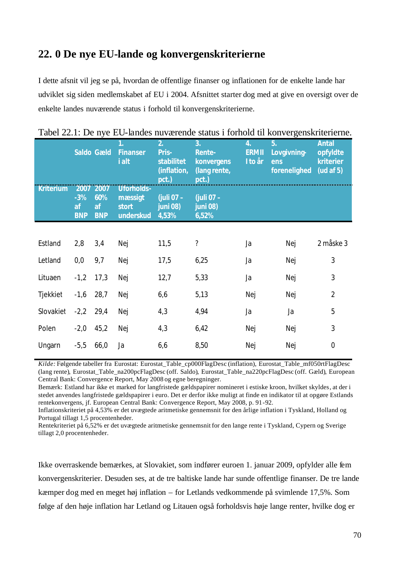## **22. 0 De nye EU-lande og konvergenskriterierne**

I dette afsnit vil jeg se på, hvordan de offentlige finanser og inflationen for de enkelte lande har udviklet sig siden medlemskabet af EU i 2004. Afsnittet starter dog med at give en oversigt over de enkelte landes nuværende status i forhold til konvergenskriterierne.

|                  |                           | <b>Saldo Gæld</b>                    | 1.<br><b>Finanser</b><br>i alt                     | 2.<br>Pris-<br>stabilitet<br>(inflation,<br>pct.) | 3.<br><b>Rente-</b><br><b>konvergens</b><br>(lang rente,<br>pct.) | 4.<br><b>ERMII</b><br>I to år | 5.<br>Lovgivning-<br>ens<br>forenelighed | <b>Antal</b><br>opfyldte<br>kriterier<br>(ud af $5$ ) |
|------------------|---------------------------|--------------------------------------|----------------------------------------------------|---------------------------------------------------|-------------------------------------------------------------------|-------------------------------|------------------------------------------|-------------------------------------------------------|
| <b>Kriterium</b> | $-3%$<br>af<br><b>BNP</b> | 2007 2007<br>60%<br>af<br><b>BNP</b> | <b>Uforholds-</b><br>mæssigt<br>stort<br>underskud | (juli 07 -<br>juni 08)<br>4,53%                   | (juli 07 -<br>juni 08)<br>6,52%                                   |                               |                                          |                                                       |
|                  |                           |                                      |                                                    |                                                   |                                                                   |                               |                                          |                                                       |
| Estland          | 2,8                       | 3,4                                  | Nej                                                | 11,5                                              | $\ddot{?}$                                                        | Ja                            | Nej                                      | 2 måske 3                                             |
| Letland          | 0,0                       | 9,7                                  | Nej                                                | 17,5                                              | 6,25                                                              | Ja                            | Nej                                      | 3                                                     |
| Lituaen          | $-1,2$                    | 17,3                                 | Nej                                                | 12,7                                              | 5,33                                                              | Ja                            | Nej                                      | 3                                                     |
| Tjekkiet         | $-1,6$                    | 28,7                                 | Nej                                                | 6,6                                               | 5,13                                                              | Nej                           | Nej                                      | $\overline{2}$                                        |
| Slovakiet        | $-2,2$                    | 29,4                                 | Nej                                                | 4,3                                               | 4,94                                                              | Ja                            | Ja                                       | 5                                                     |
| Polen            | $-2,0$                    | 45,2                                 | Nej                                                | 4,3                                               | 6,42                                                              | Nej                           | Nej                                      | 3                                                     |
| Ungarn           | $-5,5$                    | 66,0                                 | Ja                                                 | 6, 6                                              | 8,50                                                              | Nej                           | Nej                                      | $\mathbf 0$                                           |

Tabel 22.1: De nye EU-landes nuværende status i forhold til konvergenskriterierne.

*Kilde:* Følgende tabeller fra Eurostat: Eurostat\_Table\_cp000FlagDesc (inflation), Eurostat\_Table\_mf050rtFlagDesc (lang rente), Eurostat\_Table\_na200pcFlagDesc (off. Saldo), Eurostat\_Table\_na220pcFlagDesc (off. Gæld), European Central Bank: Convergence Report, May 2008 og egne beregninger.

Bemærk: Estland har ikke et marked for langfristede gældspapirer nomineret i estiske kroon, hvilket skyldes, at der i stedet anvendes langfristede gældspapirer i euro. Det er derfor ikke muligt at finde en indikator til at opgøre Estlands rentekonvergens, jf. European Central Bank: Convergence Report, May 2008, p. 91-92.

Inflationskriteriet på 4,53% er det uvægtede aritmetiske gennemsnit for den årlige inflation i Tyskland, Holland og Portugal tillagt 1,5 procentenheder.

Rentekriteriet på 6,52% er det uvægtede aritmetiske gennemsnit for den lange rente i Tyskland, Cypern og Sverige tillagt 2,0 procentenheder.

Ikke overraskende bemærkes, at Slovakiet, som indfører euroen 1. januar 2009, opfylder alle fem konvergenskriterier. Desuden ses, at de tre baltiske lande har sunde offentlige finanser. De tre lande kæmper dog med en meget høj inflation – for Letlands vedkommende på svimlende 17,5%. Som følge af den høje inflation har Letland og Litauen også forholdsvis høje lange renter, hvilke dog er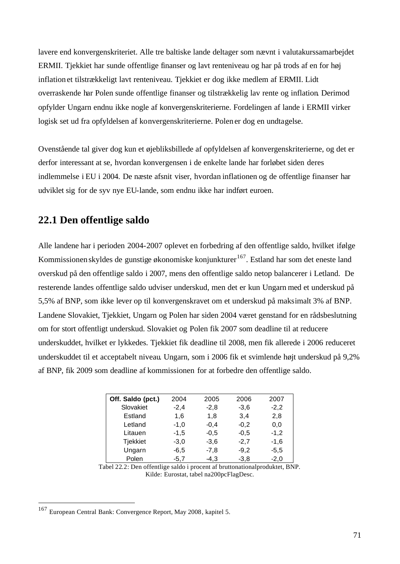lavere end konvergenskriteriet. Alle tre baltiske lande deltager som nævnt i valutakurssamarbejdet ERMII. Tjekkiet har sunde offentlige finanser og lavt renteniveau og har på trods af en for høj inflation et tilstrækkeligt lavt renteniveau. Tjekkiet er dog ikke medlem af ERMII. Lidt overraskende har Polen sunde offentlige finanser og tilstrækkelig lav rente og inflation. Derimod opfylder Ungarn endnu ikke nogle af konvergenskriterierne. Fordelingen af lande i ERMII virker logisk set ud fra opfyldelsen af konvergenskriterierne. Polen er dog en undtagelse.

Ovenstående tal giver dog kun et øjebliksbillede af opfyldelsen af konvergenskriterierne, og det er derfor interessant at se, hvordan konvergensen i de enkelte lande har forløbet siden deres indlemmelse i EU i 2004. De næste afsnit viser, hvordan inflationen og de offentlige finanser har udviklet sig for de syv nye EU-lande, som endnu ikke har indført euroen.

## **22.1 Den offentlige saldo**

Alle landene har i perioden 2004-2007 oplevet en forbedring af den offentlige saldo, hvilket ifølge Kommissionen skyldes de gunstige økonomiske konjunkturer<sup>167</sup>. Estland har som det eneste land overskud på den offentlige saldo i 2007, mens den offentlige saldo netop balancerer i Letland. De resterende landes offentlige saldo udviser underskud, men det er kun Ungarn med et underskud på 5,5% af BNP, som ikke lever op til konvergenskravet om et underskud på maksimalt 3% af BNP. Landene Slovakiet, Tjekkiet, Ungarn og Polen har siden 2004 været genstand for en rådsbeslutning om for stort offentligt underskud. Slovakiet og Polen fik 2007 som deadline til at reducere underskuddet, hvilket er lykkedes. Tjekkiet fik deadline til 2008, men fik allerede i 2006 reduceret underskuddet til et acceptabelt niveau. Ungarn, som i 2006 fik et svimlende højt underskud på 9,2% af BNP, fik 2009 som deadline af kommissionen for at forbedre den offentlige saldo.

| Off. Saldo (pct.) | 2004   | 2005   | 2006   | 2007   |
|-------------------|--------|--------|--------|--------|
| Slovakiet         | $-2,4$ | $-2,8$ | $-3,6$ | $-2,2$ |
| Estland           | 1,6    | 1.8    | 3.4    | 2,8    |
| Letland           | $-1,0$ | $-0,4$ | $-0,2$ | 0,0    |
| Litauen           | $-1,5$ | $-0,5$ | $-0,5$ | $-1,2$ |
| <b>Tjekkiet</b>   | $-3,0$ | $-3,6$ | $-2.7$ | $-1,6$ |
| Ungarn            | $-6,5$ | $-7,8$ | $-9,2$ | $-5,5$ |
| Polen             | $-5.7$ | $-4,3$ | $-3,8$ | $-2,0$ |

Tabel 22.2: Den offentlige saldo i procent af bruttonationalproduktet, BNP. Kilde: Eurostat, tabel na200pcFlagDesc.

<sup>&</sup>lt;sup>167</sup> European Central Bank: Convergence Report, May 2008, kapitel 5.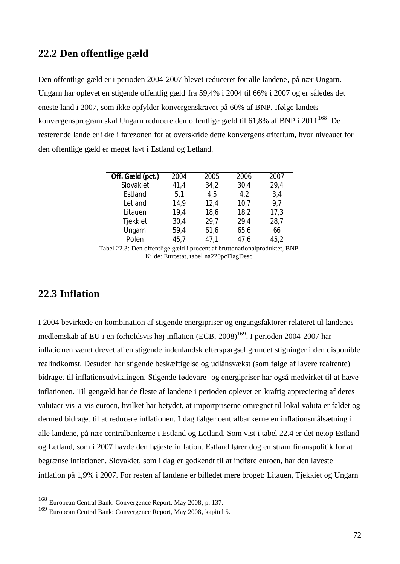#### **22.2 Den offentlige gæld**

Den offentlige gæld er i perioden 2004-2007 blevet reduceret for alle landene, på nær Ungarn. Ungarn har oplevet en stigende offentlig gæld fra 59,4% i 2004 til 66% i 2007 og er således det eneste land i 2007, som ikke opfylder konvergenskravet på 60% af BNP. Ifølge landets konvergensprogram skal Ungarn reducere den offentlige gæld til 61,8% af BNP i 2011 $^{168}$ . De resterende lande er ikke i farezonen for at overskride dette konvergenskriterium, hvor niveauet for den offentlige gæld er meget lavt i Estland og Letland.

| Off. Gæld (pct.) | 2004 | 2005 | 2006 | 2007 |
|------------------|------|------|------|------|
| Slovakiet        | 41,4 | 34,2 | 30,4 | 29,4 |
| Estland          | 5,1  | 4,5  | 4,2  | 3,4  |
| Letland          | 14,9 | 12,4 | 10,7 | 9,7  |
| Litauen          | 19,4 | 18,6 | 18,2 | 17,3 |
| Tjekkiet         | 30,4 | 29,7 | 29,4 | 28,7 |
| Ungarn           | 59,4 | 61,6 | 65,6 | 66   |
| Polen            | 45,7 | 47,1 | 47,6 | 45,2 |

Tabel 22.3: Den offentlige gæld i procent af bruttonationalproduktet, BNP. Kilde: Eurostat, tabel na220pcFlagDesc.

## **22.3 Inflation**

l

I 2004 bevirkede en kombination af stigende energipriser og engangsfaktorer relateret til landenes medlemskab af EU i en forholdsvis høj inflation (ECB, 2008)<sup>169</sup>. I perioden 2004-2007 har inflationen været drevet af en stigende indenlandsk efterspørgsel grundet stigninger i den disponible realindkomst. Desuden har stigende beskæftigelse og udlånsvækst (som følge af lavere realrente) bidraget til inflationsudviklingen. Stigende fødevare- og energipriser har også medvirket til at hæve inflationen. Til gengæld har de fleste af landene i perioden oplevet en kraftig appreciering af deres valutaer vis-a-vis euroen, hvilket har betydet, at importpriserne omregnet til lokal valuta er faldet og dermed bidraget til at reducere inflationen. I dag følger centralbankerne en inflationsmålsætning i alle landene, på nær centralbankerne i Estland og Letland. Som vist i tabel 22.4 er det netop Estland og Letland, som i 2007 havde den højeste inflation. Estland fører dog en stram finanspolitik for at begrænse inflationen. Slovakiet, som i dag er godkendt til at indføre euroen, har den laveste inflation på 1,9% i 2007. For resten af landene er billedet mere broget: Litauen, Tjekkiet og Ungarn

<sup>168</sup> European Central Bank: Convergence Report, May 2008, p. 137.

<sup>169</sup> European Central Bank: Convergence Report, May 2008, kapitel 5.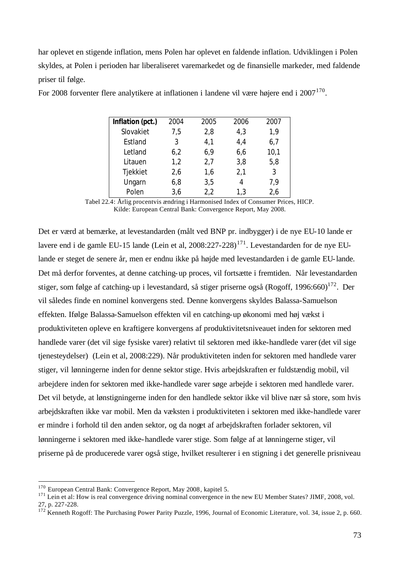har oplevet en stigende inflation, mens Polen har oplevet en faldende inflation. Udviklingen i Polen skyldes, at Polen i perioden har liberaliseret varemarkedet og de finansielle markeder, med faldende priser til følge.

| Inflation (pct.) | 2004 | 2005 | 2006 | 2007 |
|------------------|------|------|------|------|
| Slovakiet        | 7,5  | 2,8  | 4,3  | 1,9  |
| Estland          | 3    | 4,1  | 4,4  | 6,7  |
| Letland          | 6,2  | 6,9  | 6,6  | 10,1 |
| Litauen          | 1,2  | 2,7  | 3,8  | 5,8  |
| Tjekkiet         | 2,6  | 1,6  | 2,1  | 3    |
| Ungarn           | 6,8  | 3,5  | 4    | 7,9  |
| Polen            | 3,6  | 2,2  | 1,3  | 2,6  |

For 2008 forventer flere analytikere at inflationen i landene vil være højere end i  $2007^{170}$ .

Tabel 22.4: Årlig procentvis ændring i Harmonised Index of Consumer Prices, HICP. Kilde: European Central Bank: Convergence Report, May 2008.

Det er værd at bemærke, at levestandarden (målt ved BNP pr. indbygger) i de nye EU-10 lande er lavere end i de gamle EU-15 lande (Lein et al,  $2008:227-228$ )<sup>171</sup>. Levestandarden for de nye EUlande er steget de senere år, men er endnu ikke på højde med levestandarden i de gamle EU-lande. Det må derfor forventes, at denne catching-up proces, vil fortsætte i fremtiden. Når levestandarden stiger, som følge af catching-up i levestandard, så stiger priserne også (Rogoff, 1996:660)<sup>172</sup>. Der vil således finde en nominel konvergens sted. Denne konvergens skyldes Balassa-Samuelson effekten. Ifølge Balassa-Samuelson effekten vil en catching-up økonomi med høj vækst i produktiviteten opleve en kraftigere konvergens af produktivitetsniveauet inden for sektoren med handlede varer (det vil sige fysiske varer) relativt til sektoren med ikke-handlede varer (det vil sige tjenesteydelser) (Lein et al, 2008:229). Når produktiviteten inden for sektoren med handlede varer stiger, vil lønningerne inden for denne sektor stige. Hvis arbejdskraften er fuldstændig mobil, vil arbejdere inden for sektoren med ikke-handlede varer søge arbejde i sektoren med handlede varer. Det vil betyde, at lønstigningerne inden for den handlede sektor ikke vil blive nær så store, som hvis arbejdskraften ikke var mobil. Men da væksten i produktiviteten i sektoren med ikke-handlede varer er mindre i forhold til den anden sektor, og da noget af arbejdskraften forlader sektoren, vil lønningerne i sektoren med ikke-handlede varer stige. Som følge af at lønningerne stiger, vil priserne på de producerede varer også stige, hvilket resulterer i en stigning i det generelle prisniveau

l

<sup>170</sup> European Central Bank: Convergence Report, May 2008, kapitel 5.

<sup>&</sup>lt;sup>171</sup> Lein et al: How is real convergence driving nominal convergence in the new EU Member States? JIMF, 2008, vol. 27, p. 227-228.

 $172$  Kenneth Rogoff: The Purchasing Power Parity Puzzle, 1996, Journal of Economic Literature, vol. 34, issue 2, p. 660.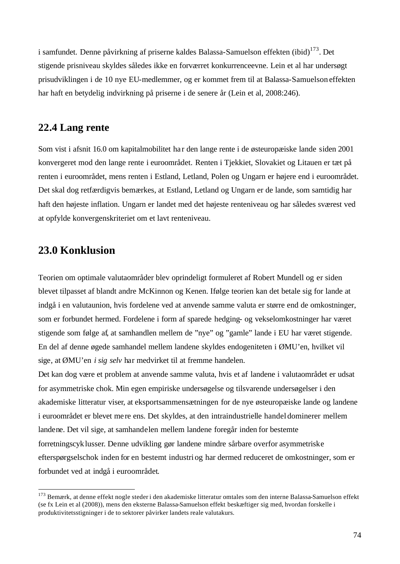i samfundet. Denne påvirkning af priserne kaldes Balassa-Samuelson effekten  $(ibi d)^{173}$ . Det stigende prisniveau skyldes således ikke en forværret konkurrenceevne. Lein et al har undersøgt prisudviklingen i de 10 nye EU-medlemmer, og er kommet frem til at Balassa-Samuelson effekten har haft en betydelig indvirkning på priserne i de senere år (Lein et al, 2008:246).

## **22.4 Lang rente**

Som vist i afsnit 16.0 om kapitalmobilitet har den lange rente i de østeuropæiske lande siden 2001 konvergeret mod den lange rente i euroområdet. Renten i Tjekkiet, Slovakiet og Litauen er tæt på renten i euroområdet, mens renten i Estland, Letland, Polen og Ungarn er højere end i euroområdet. Det skal dog retfærdigvis bemærkes, at Estland, Letland og Ungarn er de lande, som samtidig har haft den højeste inflation. Ungarn er landet med det højeste renteniveau og har således sværest ved at opfylde konvergenskriteriet om et lavt renteniveau.

# **23.0 Konklusion**

l

Teorien om optimale valutaområder blev oprindeligt formuleret af Robert Mundell og er siden blevet tilpasset af blandt andre McKinnon og Kenen. Ifølge teorien kan det betale sig for lande at indgå i en valutaunion, hvis fordelene ved at anvende samme valuta er større end de omkostninger, som er forbundet hermed. Fordelene i form af sparede hedging- og vekselomkostninger har været stigende som følge af, at samhandlen mellem de "nye" og "gamle" lande i EU har været stigende. En del af denne øgede samhandel mellem landene skyldes endogeniteten i ØMU'en, hvilket vil sige, at ØMU'en *i sig selv* har medvirket til at fremme handelen.

Det kan dog være et problem at anvende samme valuta, hvis et af landene i valutaområdet er udsat for asymmetriske chok. Min egen empiriske undersøgelse og tilsvarende undersøgelser i den akademiske litteratur viser, at eksportsammensætningen for de nye østeuropæiske lande og landene i euroområdet er blevet me re ens. Det skyldes, at den intraindustrielle handel dominerer mellem landene. Det vil sige, at samhandelen mellem landene foregår inden for bestemte forretningscyklusser. Denne udvikling gør landene mindre sårbare overfor asymmetriske efterspørgselschok inden for en bestemt industri og har dermed reduceret de omkostninger, som er forbundet ved at indgå i euroområdet.

<sup>&</sup>lt;sup>173</sup> Bemærk, at denne effekt nogle steder i den akademiske litteratur omtales som den interne Balassa-Samuelson effekt (se fx Lein et al (2008)), mens den eksterne Balassa-Samuelson effekt beskæftiger sig med, hvordan forskelle i produktivitetsstigninger i de to sektorer påvirker landets reale valutakurs.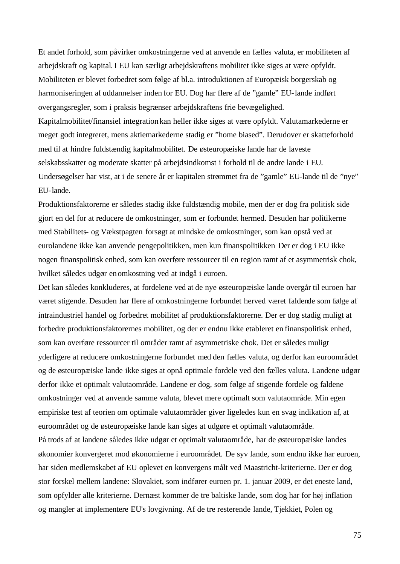Et andet forhold, som påvirker omkostningerne ved at anvende en fælles valuta, er mobiliteten af arbejdskraft og kapital. I EU kan særligt arbejdskraftens mobilitet ikke siges at være opfyldt. Mobiliteten er blevet forbedret som følge af bl.a. introduktionen af Europæisk borgerskab og harmoniseringen af uddannelser inden for EU. Dog har flere af de "gamle" EU-lande indført overgangsregler, som i praksis begrænser arbejdskraftens frie bevægelighed. Kapitalmobilitet/finansiel integration kan heller ikke siges at være opfyldt. Valutamarkederne er meget godt integreret, mens aktiemarkederne stadig er "home biased". Derudover er skatteforhold med til at hindre fuldstændig kapitalmobilitet. De østeuropæiske lande har de laveste selskabsskatter og moderate skatter på arbejdsindkomst i forhold til de andre lande i EU. Undersøgelser har vist, at i de senere år er kapitalen strømmet fra de "gamle" EU-lande til de "nye" EU-lande.

Produktionsfaktorerne er således stadig ikke fuldstændig mobile, men der er dog fra politisk side gjort en del for at reducere de omkostninger, som er forbundet hermed. Desuden har politikerne med Stabilitets- og Vækstpagten forsøgt at mindske de omkostninger, som kan opstå ved at eurolandene ikke kan anvende pengepolitikken, men kun finanspolitikken Der er dog i EU ikke nogen finanspolitisk enhed, som kan overføre ressourcer til en region ramt af et asymmetrisk chok, hvilket således udgør enomkostning ved at indgå i euroen.

Det kan således konkluderes, at fordelene ved at de nye østeuropæiske lande overgår til euroen har været stigende. Desuden har flere af omkostningerne forbundet herved været faldende som følge af intraindustriel handel og forbedret mobilitet af produktionsfaktorerne. Der er dog stadig muligt at forbedre produktionsfaktorernes mobilitet, og der er endnu ikke etableret en finanspolitisk enhed, som kan overføre ressourcer til områder ramt af asymmetriske chok. Det er således muligt yderligere at reducere omkostningerne forbundet med den fælles valuta, og derfor kan euroområdet og de østeuropæiske lande ikke siges at opnå optimale fordele ved den fælles valuta. Landene udgør derfor ikke et optimalt valutaområde. Landene er dog, som følge af stigende fordele og faldene omkostninger ved at anvende samme valuta, blevet mere optimalt som valutaområde. Min egen empiriske test af teorien om optimale valutaområder giver ligeledes kun en svag indikation af, at euroområdet og de østeuropæiske lande kan siges at udgøre et optimalt valutaområde. På trods af at landene således ikke udgør et optimalt valutaområde, har de østeuropæiske landes økonomier konvergeret mod økonomierne i euroområdet. De syv lande, som endnu ikke har euroen, har siden medlemskabet af EU oplevet en konvergens målt ved Maastricht-kriterierne. Der er dog stor forskel mellem landene: Slovakiet, som indfører euroen pr. 1. januar 2009, er det eneste land, som opfylder alle kriterierne. Dernæst kommer de tre baltiske lande, som dog har for høj inflation

og mangler at implementere EU's lovgivning. Af de tre resterende lande, Tjekkiet, Polen og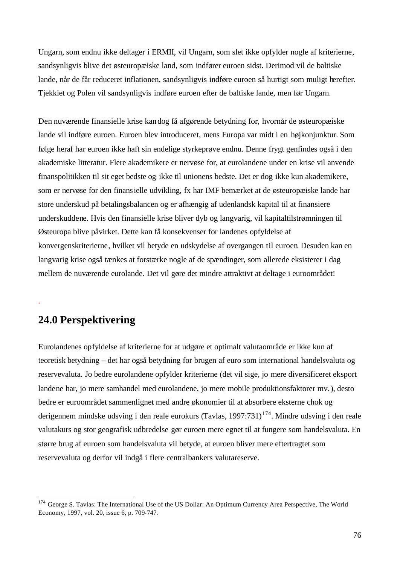Ungarn, som endnu ikke deltager i ERMII, vil Ungarn, som slet ikke opfylder nogle af kriterierne, sandsynligvis blive det østeuropæiske land, som indfører euroen sidst. Derimod vil de baltiske lande, når de får reduceret inflationen, sandsynligvis indføre euroen så hurtigt som muligt herefter. Tjekkiet og Polen vil sandsynligvis indføre euroen efter de baltiske lande, men før Ungarn.

Den nuværende finansielle krise kandog få afgørende betydning for, hvornår de østeuropæiske lande vil indføre euroen. Euroen blev introduceret, mens Europa var midt i en højkonjunktur. Som følge heraf har euroen ikke haft sin endelige styrkeprøve endnu. Denne frygt genfindes også i den akademiske litteratur. Flere akademikere er nervøse for, at eurolandene under en krise vil anvende finanspolitikken til sit eget bedste og ikke til unionens bedste. Det er dog ikke kun akademikere, som er nervøse for den finansielle udvikling, fx har IMF bemærket at de østeuropæiske lande har store underskud på betalingsbalancen og er afhængig af udenlandsk kapital til at finansiere underskuddene. Hvis den finansielle krise bliver dyb og langvarig, vil kapitaltilstrømningen til Østeuropa blive påvirket. Dette kan få konsekvenser for landenes opfyldelse af konvergenskriterierne, hvilket vil betyde en udskydelse af overgangen til euroen. Desuden kan en langvarig krise også tænkes at forstærke nogle af de spændinger, som allerede eksisterer i dag mellem de nuværende eurolande. Det vil gøre det mindre attraktivt at deltage i euroområdet!

# **24.0 Perspektivering**

.

l

Eurolandenes opfyldelse af kriterierne for at udgøre et optimalt valutaområde er ikke kun af teoretisk betydning – det har også betydning for brugen af euro som international handelsvaluta og reservevaluta. Jo bedre eurolandene opfylder kriterierne (det vil sige, jo mere diversificeret eksport landene har, jo mere samhandel med eurolandene, jo mere mobile produktionsfaktorer mv.), desto bedre er euroområdet sammenlignet med andre økonomier til at absorbere eksterne chok og derigennem mindske udsving i den reale eurokurs (Tavlas, 1997:731)<sup>174</sup>. Mindre udsving i den reale valutakurs og stor geografisk udbredelse gør euroen mere egnet til at fungere som handelsvaluta. En større brug af euroen som handelsvaluta vil betyde, at euroen bliver mere eftertragtet som reservevaluta og derfor vil indgå i flere centralbankers valutareserve.

<sup>&</sup>lt;sup>174</sup> George S. Tavlas: The International Use of the US Dollar: An Optimum Currency Area Perspective, The World Economy, 1997, vol. 20, issue 6, p. 709-747.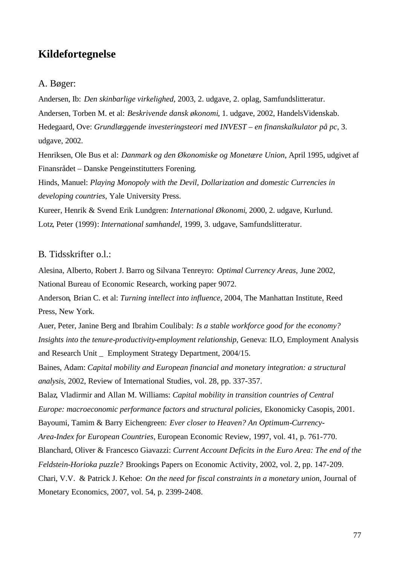## **Kildefortegnelse**

#### A. Bøger:

Andersen, Ib: *Den skinbarlige virkelighed*, 2003, 2. udgave, 2. oplag, Samfundslitteratur. Andersen, Torben M. et al: *Beskrivende dansk økonomi*, 1. udgave, 2002, HandelsVidenskab. Hedegaard, Ove: *Grundlæggende investeringsteori med INVEST – en finanskalkulator på pc*, 3. udgave, 2002.

Henriksen, Ole Bus et al: *Danmark og den Økonomiske og Monetære Union*, April 1995, udgivet af Finansrådet – Danske Pengeinstitutters Forening.

Hinds, Manuel: *Playing Monopoly with the Devil, Dollarization and domestic Currencies in developing countries*, Yale University Press.

Kureer, Henrik & Svend Erik Lundgren: *International Økonomi*, 2000, 2. udgave, Kurlund. Lotz, Peter (1999): *International samhandel*, 1999, 3. udgave, Samfundslitteratur.

### B. Tidsskrifter o.l.:

Alesina, Alberto, Robert J. Barro og Silvana Tenreyro: *Optimal Currency Areas*, June 2002, National Bureau of Economic Research, working paper 9072.

Anderson, Brian C. et al: *Turning intellect into influence*, 2004, The Manhattan Institute, Reed Press, New York.

Auer, Peter, Janine Berg and Ibrahim Coulibaly: *Is a stable workforce good for the economy? Insights into the tenure-productivity-employment relationship*, Geneva: ILO, Employment Analysis and Research Unit \_ Employment Strategy Department, 2004/15.

Baines, Adam: *Capital mobility and European financial and monetary integration: a structural analysis*, 2002, Review of International Studies, vol. 28, pp. 337-357.

Balaz, Vladirmir and Allan M. Williams: *Capital mobility in transition countries of Central Europe: macroeconomic performance factors and structural policies*, Ekonomicky Casopis, 2001. Bayoumi, Tamim & Barry Eichengreen: *Ever closer to Heaven? An Optimum-Currency-*

*Area-Index for European Countries*, European Economic Review, 1997, vol. 41, p. 761-770.

Blanchard, Oliver & Francesco Giavazzi: *Current Account Deficits in the Euro Area: The end of the* 

*Feldstein-Horioka puzzle?* Brookings Papers on Economic Activity, 2002, vol. 2, pp. 147-209.

Chari, V.V. & Patrick J. Kehoe: *On the need for fiscal constraints in a monetary union*, Journal of Monetary Economics, 2007, vol. 54, p. 2399-2408.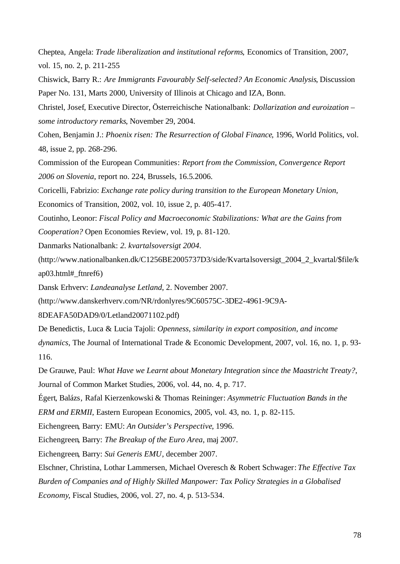Cheptea, Angela: *Trade liberalization and institutional reforms*, Economics of Transition, 2007, vol. 15, no. 2, p. 211-255

Chiswick, Barry R.: *Are Immigrants Favourably Self-selected? An Economic Analysis*, Discussion Paper No. 131, Marts 2000, University of Illinois at Chicago and IZA, Bonn.

Christel, Josef, Executive Director, Österreichische Nationalbank: *Dollarization and euroization – some introductory remarks*, November 29, 2004.

Cohen, Benjamin J.: *Phoenix risen: The Resurrection of Global Finance*, 1996, World Politics, vol. 48, issue 2, pp. 268-296.

Commission of the European Communities: *Report from the Commission, Convergence Report 2006 on Slovenia*, report no. 224, Brussels, 16.5.2006.

Coricelli, Fabrizio: *Exchange rate policy during transition to the European Monetary Union,*

Economics of Transition, 2002, vol. 10, issue 2, p. 405-417.

Coutinho, Leonor: *Fiscal Policy and Macroeconomic Stabilizations: What are the Gains from Cooperation?* Open Economies Review, vol. 19, p. 81-120.

Danmarks Nationalbank: *2. kvartalsoversigt 2004*.

(http://www.nationalbanken.dk/C1256BE2005737D3/side/Kvartalsoversigt\_2004\_2\_kvartal/\$file/k ap03.html#\_ftnref6)

Dansk Erhverv: *Landeanalyse Letland*, 2. November 2007.

(http://www.danskerhverv.com/NR/rdonlyres/9C60575C-3DE2-4961-9C9A-

8DEAFA50DAD9/0/Letland20071102.pdf)

De Benedictis, Luca & Lucia Tajoli: *Openness, similarity in export composition, and income dynamics*, The Journal of International Trade & Economic Development, 2007, vol. 16, no. 1, p. 93- 116.

De Grauwe, Paul: *What Have we Learnt about Monetary Integration since the Maastricht Treaty?*, Journal of Common Market Studies, 2006, vol. 44, no. 4, p. 717.

Égert, Balázs, Rafal Kierzenkowski & Thomas Reininger: *Asymmetric Fluctuation Bands in the* 

*ERM and ERMII*, Eastern European Economics, 2005, vol. 43, no. 1, p. 82-115.

Eichengreen, Barry: EMU: *An Outsider's Perspective*, 1996.

Eichengreen, Barry: *The Breakup of the Euro Area*, maj 2007.

Eichengreen, Barry: *Sui Generis EMU*, december 2007.

Elschner, Christina, Lothar Lammersen, Michael Overesch & Robert Schwager: *The Effective Tax Burden of Companies and of Highly Skilled Manpower: Tax Policy Strategies in a Globalised Economy*, Fiscal Studies, 2006, vol. 27, no. 4, p. 513-534.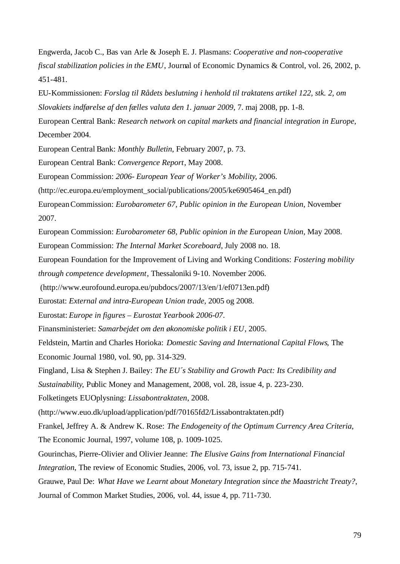Engwerda, Jacob C., Bas van Arle & Joseph E. J. Plasmans: *Cooperative and non-cooperative fiscal stabilization policies in the EMU*, Journal of Economic Dynamics & Control, vol. 26, 2002, p. 451-481.

EU-Kommissionen: *Forslag til Rådets beslutning i henhold til traktatens artikel 122, stk. 2, om Slovakiets indførelse af den fælles valuta den 1. januar 2009*, 7. maj 2008, pp. 1-8.

European Central Bank: *Research network on capital markets and financial integration in Europe*, December 2004.

European Central Bank: *Monthly Bulletin*, February 2007, p. 73.

European Central Bank: *Convergence Report*, May 2008.

European Commission: *2006- European Year of Worker's Mobility*, 2006.

(http://ec.europa.eu/employment\_social/publications/2005/ke6905464\_en.pdf)

EuropeanCommission: *Eurobarometer 67, Public opinion in the European Union*, November 2007.

European Commission: *Eurobarometer 68, Public opinion in the European Union*, May 2008. European Commission: *The Internal Market Scoreboard*, July 2008 no. 18.

European Foundation for the Improvement of Living and Working Conditions: *Fostering mobility through competence development*, Thessaloniki 9-10. November 2006.

(http://www.eurofound.europa.eu/pubdocs/2007/13/en/1/ef0713en.pdf)

Eurostat: *External and intra-European Union trade*, 2005 og 2008.

Eurostat: *Europe in figures – Eurostat Yearbook 2006-07*.

Finansministeriet: *Samarbejdet om den økonomiske politik i EU*, 2005.

Feldstein, Martin and Charles Horioka: *Domestic Saving and International Capital Flows*, The Economic Journal 1980, vol. 90, pp. 314-329.

Fingland, Lisa & Stephen J. Bailey: *The EU´s Stability and Growth Pact: Its Credibility and* 

*Sustainability*, Public Money and Management, 2008, vol. 28, issue 4, p. 223-230.

Folketingets EUOplysning: *Lissabontraktaten*, 2008.

(http://www.euo.dk/upload/application/pdf/70165fd2/Lissabontraktaten.pdf)

Frankel, Jeffrey A. & Andrew K. Rose: *The Endogeneity of the Optimum Currency Area Criteria*,

The Economic Journal, 1997, volume 108, p. 1009-1025.

Gourinchas, Pierre-Olivier and Olivier Jeanne: *The Elusive Gains from International Financial Integration*, The review of Economic Studies, 2006, vol. 73, issue 2, pp. 715-741.

Grauwe, Paul De: *What Have we Learnt about Monetary Integration since the Maastricht Treaty?*, Journal of Common Market Studies, 2006, vol. 44, issue 4, pp. 711-730.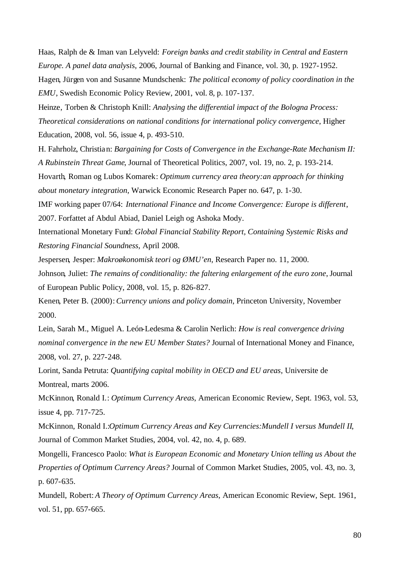Haas, Ralph de & Iman van Lelyveld: *Foreign banks and credit stability in Central and Eastern Europe. A panel data analysis*, 2006, Journal of Banking and Finance, vol. 30, p. 1927-1952. Hagen, Jürgen von and Susanne Mundschenk: *The political economy of policy coordination in the EMU*, Swedish Economic Policy Review, 2001, vol. 8, p. 107-137.

Heinze, Torben & Christoph Knill: *Analysing the differential impact of the Bologna Process: Theoretical considerations on national conditions for international policy convergence*, Higher Education, 2008, vol. 56, issue 4, p. 493-510.

H. Fahrholz, Christian: *Bargaining for Costs of Convergence in the Exchange-Rate Mechanism II: A Rubinstein Threat Game*, Journal of Theoretical Politics, 2007, vol. 19, no. 2, p. 193-214.

Hovarth, Roman og Lubos Komarek: *Optimum currency area theory:an approach for thinking about monetary integration*, Warwick Economic Research Paper no. 647, p. 1-30.

IMF working paper 07/64: *International Finance and Income Convergence: Europe is different*, 2007. Forfattet af Abdul Abiad, Daniel Leigh og Ashoka Mody.

International Monetary Fund: *Global Financial Stability Report, Containing Systemic Risks and Restoring Financial Soundness*, April 2008.

Jespersen, Jesper: *Makroøkonomisk teori og ØMU'en*, Research Paper no. 11, 2000.

Johnson, Juliet: *The remains of conditionality: the faltering enlargement of the euro zone*, Journal of European Public Policy, 2008, vol. 15, p. 826-827.

Kenen, Peter B. (2000): *Currency unions and policy domain*, Princeton University, November 2000.

Lein, Sarah M., Miguel A. León-Ledesma & Carolin Nerlich: *How is real convergence driving nominal convergence in the new EU Member States?* Journal of International Money and Finance, 2008, vol. 27, p. 227-248.

Lorint, Sanda Petruta: *Quantifying capital mobility in OECD and EU areas*, Universite de Montreal, marts 2006.

McKinnon, Ronald I.: *Optimum Currency Areas*, American Economic Review, Sept. 1963, vol. 53, issue 4, pp. 717-725.

McKinnon, Ronald I.:*Optimum Currency Areas and Key Currencies:Mundell I versus Mundell II*, Journal of Common Market Studies, 2004, vol. 42, no. 4, p. 689.

Mongelli, Francesco Paolo: *What is European Economic and Monetary Union telling us About the Properties of Optimum Currency Areas?* Journal of Common Market Studies, 2005, vol. 43, no. 3, p. 607-635.

Mundell, Robert: *A Theory of Optimum Currency Areas*, American Economic Review, Sept. 1961, vol. 51, pp. 657-665.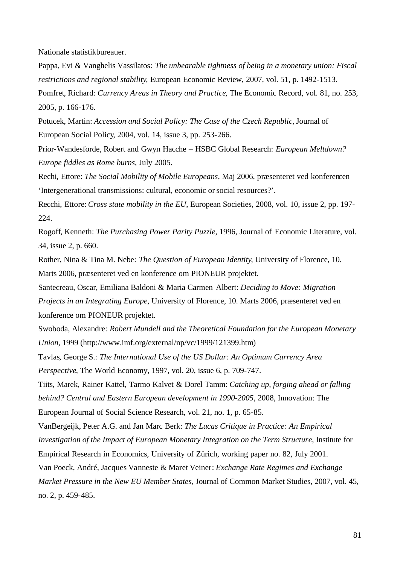Nationale statistikbureauer.

Pappa, Evi & Vanghelis Vassilatos: *The unbearable tightness of being in a monetary union: Fiscal restrictions and regional stability*, European Economic Review, 2007, vol. 51, p. 1492-1513. Pomfret, Richard: *Currency Areas in Theory and Practice*, The Economic Record, vol. 81, no. 253, 2005, p. 166-176.

Potucek, Martin: *Accession and Social Policy: The Case of the Czech Republic*, Journal of European Social Policy, 2004, vol. 14, issue 3, pp. 253-266.

Prior-Wandesforde, Robert and Gwyn Hacche – HSBC Global Research: *European Meltdown? Europe fiddles as Rome burns*, July 2005.

Rechi, Ettore: *The Social Mobility of Mobile Europeans*, Maj 2006, præsenteret ved konferencen 'Intergenerational transmissions: cultural, economic orsocial resources?'.

Recchi, Ettore: *Cross state mobility in the EU*, European Societies, 2008, vol. 10, issue 2, pp. 197- 224.

Rogoff, Kenneth: *The Purchasing Power Parity Puzzle*, 1996, Journal of Economic Literature, vol. 34, issue 2, p. 660.

Rother, Nina & Tina M. Nebe: *The Question of European Identity*, University of Florence, 10. Marts 2006, præsenteret ved en konference om PIONEUR projektet.

Santecreau, Oscar, Emiliana Baldoni & Maria Carmen Albert: *Deciding to Move: Migration* 

*Projects in an Integrating Europe*, University of Florence, 10. Marts 2006, præsenteret ved en konference om PIONEUR projektet.

Swoboda, Alexandre: *Robert Mundell and the Theoretical Foundation for the European Monetary Union*, 1999 (http://www.imf.org/external/np/vc/1999/121399.htm)

Tavlas, George S.: *The International Use of the US Dollar: An Optimum Currency Area Perspective*, The World Economy, 1997, vol. 20, issue 6, p. 709-747.

Tiits, Marek, Rainer Kattel, Tarmo Kalvet & Dorel Tamm: *Catching up, forging ahead or falling behind? Central and Eastern European development in 1990-2005*, 2008, Innovation: The European Journal of Social Science Research, vol. 21, no. 1, p. 65-85.

VanBergeijk, Peter A.G. and Jan Marc Berk: *The Lucas Critique in Practice: An Empirical Investigation of the Impact of European Monetary Integration on the Term Structure*, Institute for Empirical Research in Economics, University of Zürich, working paper no. 82, July 2001. Van Poeck, André, Jacques Vanneste & Maret Veiner: *Exchange Rate Regimes and Exchange Market Pressure in the New EU Member States*, Journal of Common Market Studies, 2007, vol. 45,

no. 2, p. 459-485.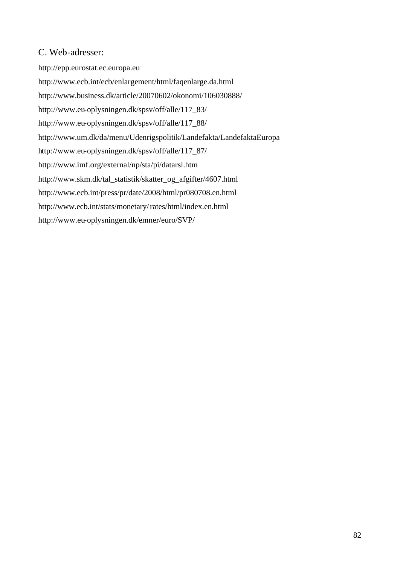## C. Web-adresser:

http://epp.eurostat.ec.europa.eu http://www.ecb.int/ecb/enlargement/html/faqenlarge.da.html http://www.business.dk/article/20070602/okonomi/106030888/ http://www.eu-oplysningen.dk/spsv/off/alle/117\_83/ http://www.eu-oplysningen.dk/spsv/off/alle/117\_88/ http://www.um.dk/da/menu/Udenrigspolitik/Landefakta/LandefaktaEuropa http://www.eu-oplysningen.dk/spsv/off/alle/117\_87/ http://www.imf.org/external/np/sta/pi/datarsl.htm http://www.skm.dk/tal\_statistik/skatter\_og\_afgifter/4607.html http://www.ecb.int/press/pr/date/2008/html/pr080708.en.html http://www.ecb.int/stats/monetary/rates/html/index.en.html http://www.eu-oplysningen.dk/emner/euro/SVP/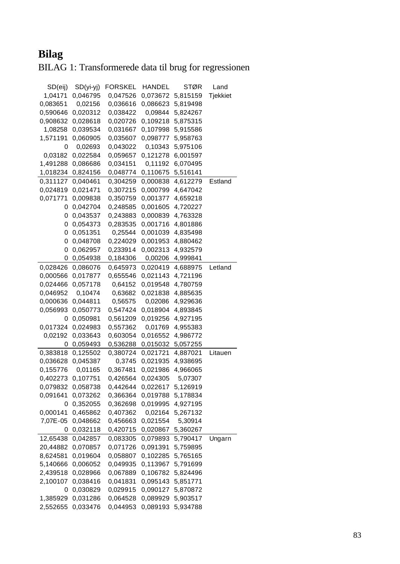# **Bilag**

BILAG 1: Transformerede data til brug for regressionen

| SD(eij)  | $SD(yi-yj)$ | <b>FORSKEL</b> | <b>HANDEL</b> | <b>STØR</b> | Land     |
|----------|-------------|----------------|---------------|-------------|----------|
| 1,04171  | 0,046795    | 0,047526       | 0,073672      | 5,815159    | Tjekkiet |
| 0,083651 | 0,02156     | 0,036616       | 0,086623      | 5,819498    |          |
| 0,590646 | 0,020312    | 0,038422       | 0,09844       | 5,824267    |          |
| 0,908632 | 0,028618    | 0,020726       | 0,109218      | 5,875315    |          |
| 1,08258  | 0,039534    | 0,031667       | 0,107998      | 5,915586    |          |
| 1,571191 | 0,060905    | 0,035607       | 0,098777      | 5,958763    |          |
| 0        | 0,02693     | 0,043022       | 0,10343       | 5,975106    |          |
| 0,03182  | 0,022584    | 0,059657       | 0,121278      | 6,001597    |          |
| 1,491288 | 0,086686    | 0,034151       | 0,11192       | 6,070495    |          |
| 1,018234 | 0,824156    | 0,048774       | 0,110675      | 5,516141    |          |
| 0,311127 | 0,040461    | 0,304259       | 0,000838      | 4,612279    | Estland  |
| 0,024819 | 0,021471    | 0,307215       | 0,000799      | 4,647042    |          |
| 0,071771 | 0,009838    | 0,350759       | 0,001377      | 4,659218    |          |
| 0        | 0,042704    | 0,248585       | 0,001605      | 4,720227    |          |
| 0        | 0,043537    | 0,243883       | 0,000839      | 4,763328    |          |
| 0        | 0,054373    | 0,283535       | 0,001716      | 4,801886    |          |
| 0        | 0,051351    | 0,25544        | 0,001039      | 4,835498    |          |
| 0        | 0,048708    | 0,224029       | 0,001953      | 4,880462    |          |
| 0        | 0,062957    | 0,233914       | 0,002313      | 4,932579    |          |
| 0        | 0,054938    | 0,184306       | 0,00206       | 4,999841    |          |
| 0,028426 | 0,086076    | 0,645973       | 0,020419      | 4,688975    | Letland  |
| 0,000566 | 0,017877    | 0,655546       | 0,021143      | 4,721196    |          |
| 0,024466 | 0,057178    | 0,64152        | 0,019548      | 4,780759    |          |
| 0,046952 | 0,10474     | 0,63682        | 0,021838      | 4,885635    |          |
| 0,000636 | 0,044811    | 0,56575        | 0,02086       | 4,929636    |          |
| 0,056993 | 0,050773    | 0,547424       | 0,018904      | 4,893845    |          |
| 0        | 0,050981    | 0,561209       | 0,019256      | 4,927195    |          |
| 0,017324 | 0,024983    | 0,557362       | 0,01769       | 4,955383    |          |
| 0,02192  | 0,033643    | 0,603054       | 0,016552      | 4,986772    |          |
| 0        | 0,059493    | 0,536288       | 0,015032      | 5,057255    |          |
| 0,383818 | 0,125502    | 0,380724       | 0,021721      | 4,887021    | Litauen  |
| 0,036628 | 0,045387    | 0,3745         | 0,021935      | 4,938695    |          |
| 0,155776 | 0,01165     | 0,367481       | 0,021986      | 4,966065    |          |
| 0,402273 | 0,107751    | 0,426564       | 0,024305      | 5,07307     |          |
| 0,079832 | 0,058738    | 0,442644       | 0,022617      | 5,126919    |          |
| 0,091641 | 0,073262    | 0,366364       | 0,019788      | 5,178834    |          |
| 0        | 0,352055    | 0,362698       | 0,019995      | 4,927195    |          |
| 0,000141 | 0,465862    | 0,407362       | 0,02164       | 5,267132    |          |
| 7,07E-05 | 0,048662    | 0,456663       | 0,021554      | 5,30914     |          |
| 0        | 0,032118    | 0,420715       | 0,020867      | 5,360267    |          |
| 12,65438 | 0,042857    | 0,083305       | 0,079893      | 5,790417    | Ungarn   |
| 20,44882 | 0,070857    | 0,071726       | 0,091391      | 5,759895    |          |
| 8,624581 | 0,019604    | 0,058807       | 0,102285      | 5,765165    |          |
| 5,140666 | 0,006052    | 0,049935       | 0,113967      | 5,791699    |          |
| 2,439518 | 0,028966    | 0,067889       | 0,106782      | 5,824496    |          |
| 2,100107 | 0,038416    | 0,041831       | 0,095143      | 5,851771    |          |
| 0        | 0,030829    | 0,029915       | 0,090127      | 5,870872    |          |
| 1,385929 | 0,031286    | 0,064528       | 0,089929      | 5,903517    |          |
| 2,552655 | 0,033476    | 0,044953       | 0,089193      | 5,934788    |          |
|          |             |                |               |             |          |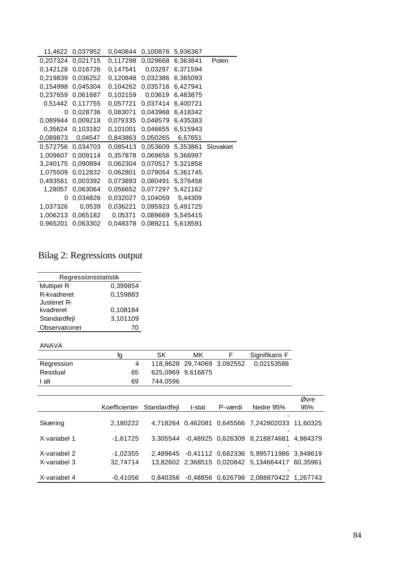| 11,4622  | 0,037952 | 0,040844 | 0,100876 | 5,936367 |           |
|----------|----------|----------|----------|----------|-----------|
| 0,207324 | 0,021715 | 0,117298 | 0.029668 | 6,363841 | Polen     |
| 0,142128 | 0,016726 | 0,147541 | 0,03297  | 6,371594 |           |
| 0.219839 | 0,036252 | 0,120848 | 0,032386 | 6,365093 |           |
| 0,154998 | 0,045304 | 0,104262 | 0,035716 | 6,427941 |           |
| 0,237659 | 0,061687 | 0,102159 | 0,03619  | 6,483875 |           |
| 0,51442  | 0,117755 | 0,057721 | 0,037414 | 6,400721 |           |
| 0        | 0.028736 | 0.083071 | 0.043968 | 6,418342 |           |
| 0,089944 | 0,009218 | 0,079335 | 0,048579 | 6,435383 |           |
| 0,35624  | 0,103182 | 0,101001 | 0,046655 | 6,515943 |           |
| 0,089873 | 0,04547  | 0,843863 | 0,050265 | 6,57651  |           |
| 0,572756 | 0,034703 | 0,085413 | 0,053609 | 5,353861 | Slovakiet |
|          |          |          |          |          |           |
| 1,009607 | 0,009114 | 0,357878 | 0,069656 | 5,366997 |           |
| 3,240175 | 0,090894 | 0,062304 | 0,070517 | 5,321858 |           |
| 1,075509 | 0,012832 | 0,062801 | 0,079054 | 5,361745 |           |
| 0,493561 | 0,003392 | 0,073893 | 0,080491 | 5,376458 |           |
| 1,28057  | 0.063064 | 0.056652 | 0,077297 | 5,421162 |           |
| 0        | 0.034826 | 0,032027 | 0,104059 | 5,44309  |           |
| 1,037326 | 0,0539   | 0,036221 | 0,095923 | 5,491725 |           |
| 1,006213 | 0.065182 | 0,05371  | 0,089669 | 5,545415 |           |
| 0,965201 | 0.063302 | 0,048378 | 0,089211 | 5,618591 |           |

# Bilag 2: Regressions output

| Regressionsstatistik |          |  |  |  |  |
|----------------------|----------|--|--|--|--|
| <b>Multipel R</b>    | 0,399854 |  |  |  |  |
| R-kvadreret          | 0,159883 |  |  |  |  |
| Justeret R-          |          |  |  |  |  |
| kvadreret            | 0,108184 |  |  |  |  |
| Standardfejl         | 3,101109 |  |  |  |  |
| Observationer        |          |  |  |  |  |

### ANAVA

|            | tα | SK                | мк                         | Signifikans F |
|------------|----|-------------------|----------------------------|---------------|
| Regression |    |                   | 118,9628 29,74069 3,092552 | 0.02153588    |
| Residual   | 65 | 625,0969 9,616875 |                            |               |
| I alt      | 69 | 744.0596          |                            |               |

|              | Koefficienter Standardfeil |          | t-stat | P-værdi | Nedre 95%                                       | Øvre<br>95% |
|--------------|----------------------------|----------|--------|---------|-------------------------------------------------|-------------|
|              |                            |          |        |         |                                                 |             |
| Skæring      | 2,180222                   |          |        |         | 4.718264 0.462081 0.645566 7,242802033 11,60325 |             |
| X-variabel 1 | $-1,61725$                 | 3.305544 |        |         | -0,48925 0,626309 8,218874681 4,984379          |             |
| X-variabel 2 | $-1.02355$                 |          |        |         | 2,489645 -0,41112 0,682336 5,995711986 3,948619 |             |
| X-variabel 3 | 32.74714                   |          |        |         | 13,82602 2,368515 0,020842 5,134664417 60,35961 |             |
| X-variabel 4 | $-0.41056$                 | 0.840356 |        |         | -0,48856 0,626798 2,088870422 1,267743          |             |
|              |                            |          |        |         |                                                 |             |